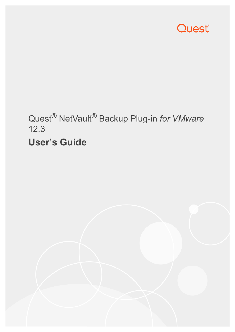

# Quest® NetVault® Backup Plug-in *for VMware* 12.3 **User's Guide**

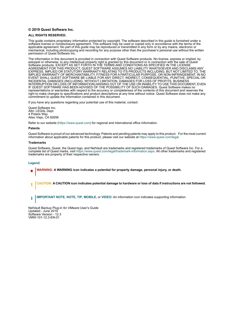### **© 2019 Quest Software Inc.**

#### **ALL RIGHTS RESERVED.**

This guide contains proprietary information protected by copyright. The software described in this guide is furnished under a software license or nondisclosure agreement. This software may be used or copied only in accordance with the terms of the applicable agreement. No part of this guide may be reproduced or transmitted in any form or by any means, electronic or mechanical, including photocopying and recording for any purpose other than the purchaser's personal use without the written permission of Quest Software Inc.

The information in this document is provided in connection with Quest Software products. No license, express or implied, by estoppel or otherwise, to any intellectual property right is granted by this document or in connection with the sale of Quest<br>Software products. EXCEPT AS SET FORTH IN THE TERMS AND CONDITIONS AS SPECIFIED IN THE LICENSE<br>A EXPRESS, IMPLIED OR STATUTORY WARRANTY RELATING TO ITS PRODUCTS INCLUDING, BUT NOT LIMITED TO, THE IMPLIED WARRANTY OF MERCHANTABILITY, FITNESS FOR A PARTICULAR PURPOSE, OR NON-INFRINGEMENT. IN NO EVENT SHALL QUEST SOFTWARE BE LIABLE FOR ANY DIRECT, INDIRECT, CONSEQUENTIAL, PUNITIVE, SPECIAL OR INCIDENTAL DAMAGES (INCLUDING, WITHOUT LIMITATION, DAMAGES FOR LOSS OF PROFITS, BUSINESS<br>INTERRUPTION OR LOSS OF INFORMATION) ARISING OUT OF THE USE OR INABILITY TO USE THIS DOCUMENT, EVEN IF QUEST SOFTWARE HAS BEEN ADVISED OF THE POSSIBILITY OF SUCH DAMAGES. Quest Software makes no representations or warranties with respect to the accuracy or completeness of the contents of this document and reserves the right to make changes to specifications and product descriptions at any time without notice. Quest Software does not make any commitment to update the information contained in this document.

If you have any questions regarding your potential use of this material, contact:

Quest Software Inc. Attn: LEGAL Dept. 4 Polaris Way Aliso Viejo, CA 92656

Refer to our website [\(https://www.quest.com](https://www.quest.com)) for regional and international office information.

#### **Patents**

Quest Software is proud of our advanced technology. Patents and pending patents may apply to this product. For the most current information about applicable patents for this product, please visit our website at [https://www.quest.com/legal.](https://www.quest.com/legal)

#### **Trademarks**

Quest Software, Quest, the Quest logo, and NetVault are trademarks and registered trademarks of Quest Software Inc. For a complete list of Quest marks, visit [https://www.quest.com/legal/trademark-information.aspx.](https://www.quest.com/legal/trademark-information.aspx) All other trademarks and registered trademarks are property of their respective owners.

### **Legend**

- **WARNING: A WARNING icon indicates a potential for property damage, personal injury, or death.**
- **CAUTION: A CAUTION icon indicates potential damage to hardware or loss of data if instructions are not followed.** Ţ
- **IMPORTANT NOTE**, **NOTE**, **TIP**, **MOBILE**, or **VIDEO:** An information icon indicates supporting information.f.

NetVault Backup Plug-in *for VMware* User's Guide Updated - June 2019 Software Version - 12.3 VMW-101-12.3-EN-01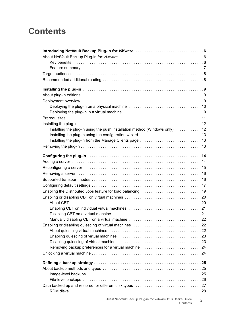## **Contents**

| Installing the plug-in using the push installation method (Windows only)  12 |   |
|------------------------------------------------------------------------------|---|
|                                                                              |   |
|                                                                              |   |
|                                                                              |   |
|                                                                              |   |
|                                                                              |   |
|                                                                              |   |
|                                                                              |   |
|                                                                              |   |
|                                                                              |   |
|                                                                              |   |
|                                                                              |   |
|                                                                              |   |
|                                                                              |   |
|                                                                              |   |
|                                                                              |   |
|                                                                              |   |
|                                                                              |   |
|                                                                              |   |
|                                                                              |   |
|                                                                              |   |
| Removing backup preferences for a virtual machine 24                         |   |
|                                                                              |   |
|                                                                              |   |
|                                                                              |   |
|                                                                              |   |
|                                                                              |   |
|                                                                              |   |
|                                                                              |   |
|                                                                              |   |
| Quest NetVault Backup Plug-in for VMware 12.3 User's Guide<br>Contents       | 3 |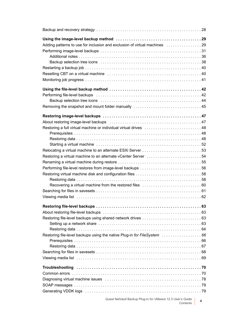| Adding patterns to use for inclusion and exclusion of virtual machines 29                                                                        |   |
|--------------------------------------------------------------------------------------------------------------------------------------------------|---|
|                                                                                                                                                  |   |
|                                                                                                                                                  |   |
|                                                                                                                                                  |   |
|                                                                                                                                                  |   |
|                                                                                                                                                  |   |
|                                                                                                                                                  |   |
|                                                                                                                                                  |   |
|                                                                                                                                                  |   |
|                                                                                                                                                  |   |
| Removing the snapshot and mount folder manually  45                                                                                              |   |
|                                                                                                                                                  |   |
| About restoring image-level backups (and account and account and all the About restoring image-level backups (and account account account all 47 |   |
|                                                                                                                                                  |   |
|                                                                                                                                                  |   |
|                                                                                                                                                  |   |
|                                                                                                                                                  |   |
|                                                                                                                                                  |   |
| Restoring a virtual machine to an alternate vCenter Server 54                                                                                    |   |
|                                                                                                                                                  |   |
|                                                                                                                                                  |   |
|                                                                                                                                                  |   |
|                                                                                                                                                  |   |
|                                                                                                                                                  |   |
|                                                                                                                                                  |   |
|                                                                                                                                                  |   |
|                                                                                                                                                  |   |
|                                                                                                                                                  |   |
|                                                                                                                                                  |   |
|                                                                                                                                                  |   |
|                                                                                                                                                  |   |
| Restoring file-level backups using the native Plug-in for FileSystem 66                                                                          |   |
|                                                                                                                                                  |   |
|                                                                                                                                                  |   |
|                                                                                                                                                  |   |
|                                                                                                                                                  |   |
|                                                                                                                                                  |   |
|                                                                                                                                                  |   |
|                                                                                                                                                  |   |
|                                                                                                                                                  |   |
|                                                                                                                                                  |   |
| Quest NetVault Backup Plug-in for VMware 12.3 User's Guide<br>Contents                                                                           | 4 |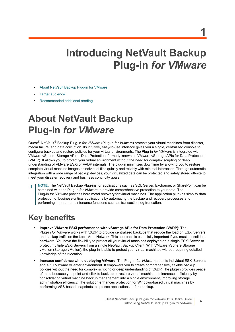# <span id="page-5-0"></span>**Introducing NetVault Backup Plug-in** *for VMware*

- **•** [About NetVault Backup Plug-in for VMware](#page-5-1)
- **•** [Target audience](#page-7-0)
- **•** [Recommended additional reading](#page-7-1)

# <span id="page-5-1"></span>**About NetVault Backup Plug-in** *for VMware*

Quest® NetVault® Backup Plug-in *for VMware* (Plug-in *for VMware*) protects your virtual machines from disaster, media failure, and data corruption. Its intuitive, easy-to-use interface gives you a single, centralized console to configure backup and restore policies for your virtual environments. The Plug-in *for VMware* is integrated with VMware vSphere Storage APIs – Data Protection, formerly known as VMware vStorage APIs for Data Protection (VADP). It allows you to protect your virtual environment without the need for complex scripting or deep understanding of VMware ESXi or VADP internals. The plug-in minimizes downtime by allowing you to restore complete virtual machine images or individual files quickly and reliably with minimal interaction. Through automatic integration with a wide range of backup devices, your virtualized data can be protected and safely stored off-site to meet your disaster recovery and business continuity goals.

**NOTE:** The NetVault Backup Plug-ins for applications such as SQL Server, Exchange, or SharePoint can be combined with the Plug-in *for VMware* to provide comprehensive protection to your data. The Plug-in *for VMware* provides bare metal recovery for virtual machines. The application plug-ins simplify data protection of business-critical applications by automating the backup and recovery processes and performing important maintenance functions such as transaction log truncation.

## <span id="page-5-2"></span>**Key benefits**

- **Improve VMware ESXi performance with vStorage APIs for Data Protection (VADP):** The Plug-in *for VMware* works with VADP to provide centralized backups that reduce the load on ESXi Servers and backup traffic on the Local Area Network. This approach is especially important if you must consolidate hardware. You have the flexibility to protect all your virtual machines deployed on a single ESXi Server or protect multiple ESXi Servers from a single NetVault Backup Client. With VMware vSphere Storage vMotion (Storage vMotion), the plug-in is able to protect your virtual machines without requiring detailed knowledge of their location.
- **Increase confidence while deploying VMware:** The Plug-in *for VMware* protects individual ESXi Servers and a full VMware vCenter environment. It empowers you to create comprehensive, flexible backup policies without the need for complex scripting or deep understanding of VADP. The plug-in provides peace of mind because you point-and-click to back up or restore virtual machines. It increases efficiency by consolidating virtual machine backup management into a single environment, improving storage administration efficiency. The solution enhances protection for Windows-based virtual machines by performing VSS-based snapshots to quiesce applications before backup.

**6**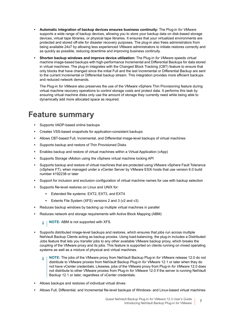- **Automatic integration of backup devices ensures business continuity:** The Plug-in *for VMware* supports a wide range of backup devices, allowing you to store your backup data on disk-based storage devices, virtual tape libraries, or physical tape libraries. It ensures that your virtualized environments are protected and stored off-site for disaster recovery purposes. The plug-in also frees administrators from being available 24x7 by allowing less experienced VMware administrators to initiate restores correctly and as quickly as possible, reducing downtime and improving business continuity.
- **Shorten backup windows and improve device utilization:** The Plug-in *for VMware* speeds virtual machine image-based backups with high-performance Incremental and Differential Backups for data stored in virtual machines. The plug-in integrates with the Changed Block Tracking (CBT) feature to ensure that only blocks that have changed since the initial Full and the last Incremental or Differential Backup are sent to the current Incremental or Differential backup stream. This integration provides more efficient backups and reduced network demands.

The Plug-in *for VMware* also preserves the use of the VMware vSphere Thin Provisioning feature during virtual machine recovery operations to control storage costs and protect data. It performs this task by ensuring virtual machine disks only use the amount of storage they currently need while being able to dynamically add more allocated space as required.

### <span id="page-6-0"></span>**Feature summary**

- **•** Supports VADP-based online backups
- **•** Creates VSS-based snapshots for application-consistent backups
- **•** Allows CBT-based Full, Incremental, and Differential image-level backups of virtual machines
- **•** Supports backup and restore of Thin Provisioned Disks
- **•** Enables backup and restore of virtual machines within a Virtual Application (vApp)
- **•** Supports Storage vMotion using the vSphere virtual machine locking API
- **•** Supports backup and restore of virtual machines that are protected using VMware vSphere Fault Tolerance (vSphere FT), when managed under a vCenter Server by VMware ESXi hosts that use version 6.0 build number 4192238 or later
- **•** Support for inclusion and exclusion configuration of virtual machine names for use with backup selection
- **•** Supports file-level restores on Linux and UNIX for:
	- **▪** Extended file systems: EXT2, EXT3, and EXT4
	- **▪** Extents File System (XFS) versions 2 and 3 (v2 and v3)
- **•** Reduces backup windows by backing up multiple virtual machines in parallel
- **•** Reduces network and storage requirements with Active Block Mapping (ABM)

**NOTE:** ABM is not supported with XFS. i l

- **•** Supports distributed image-level backups and restores, which ensures that jobs run across multiple NetVault Backup Clients acting as backup proxies. Using load-balancing, the plug-in includes a Distributed Jobs feature that lets you transfer jobs to any other available VMware backup proxy, which breaks the coupling of the VMware proxy and its jobs. This feature is supported on clients running on mixed operating systems as well as a mixture of physical and virtual machines.
	- **NOTE:** The jobs of the VMware proxy from NetVault Backup Plug-in *for VMware* release 12.0 do not  $\mathbf{i}$ distribute to VMware proxies from NetVault Backup Plug-in *for VMware* 12.1 or later when they do not have vCenter credentials. Likewise, jobs of the VMware proxy from Plug-in *for VMware* 12.0 does not distribute to other VMware proxies from Plug-in *for VMware* 12.0 if the server is running NetVault Backup 12.1 or later, regardless of vCenter credentials.
- **•** Allows backups and restores of individual virtual drives
- **•** Allows Full, Differential, and Incremental file-level backups of Windows- and Linux-based virtual machines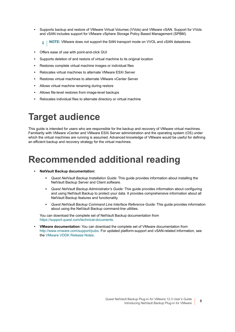**•** Supports backup and restore of VMware Virtual Volumes (VVols) and VMware vSAN. Support for VVols and vSAN includes support for VMware vSphere Storage Policy Based Management (SPBM).

**i** | NOTE: VMware does not support the SAN transport mode on VVOL and vSAN datastores.

- **•** Offers ease of use with point-and-click GUI
- **•** Supports deletion of and restore of virtual machine to its original location
- **•** Restores complete virtual machine images or individual files
- **•** Relocates virtual machines to alternate VMware ESXi Server
- **•** Restores virtual machines to alternate VMware vCenter Server
- **•** Allows virtual machine renaming during restore
- **•** Allows file-level restores from image-level backups
- **•** Relocates individual files to alternate directory or virtual machine

# <span id="page-7-0"></span>**Target audience**

This guide is intended for users who are responsible for the backup and recovery of VMware virtual machines. Familiarity with VMware vCenter and VMware ESXi Server administration and the operating system (OS) under which the virtual machines are running is assumed. Advanced knowledge of VMware would be useful for defining an efficient backup and recovery strategy for the virtual machines.

# <span id="page-7-1"></span>**Recommended additional reading**

- **NetVault Backup documentation:**
	- Quest NetVault Backup Installation Guide: This guide provides information about installing the NetVault Backup Server and Client software.
	- **▪** *Quest NetVault Backup Administrator's Guide:* This guide provides information about configuring and using NetVault Backup to protect your data. It provides comprehensive information about all NetVault Backup features and functionality.
	- **▪** *Quest NetVault Backup Command Line Interface Reference Guide:* This guide provides information about using the NetVault Backup command-line utilities.

You can download the complete set of NetVault Backup documentation from [https://support.quest.com/technical-documents.](https://support.quest.com/technical-documents)

**• VMware documentation:** You can download the complete set of VMware documentation from [http://www.vmware.com/support/pubs.](http://www.vmware.com/support/pubs) For updated platform-support and vSAN-related information, see the [VMware VDDK Release Notes.](https://vdc-download.vmware.com/vmwb-repository/dcr-public/e2cc5d38-f193-426c-bb80-69cd3d0b779f/adfaa510-4c69-4250-a7b8-e2854631b5f0/vsphere-vddk-672-release-notes.html)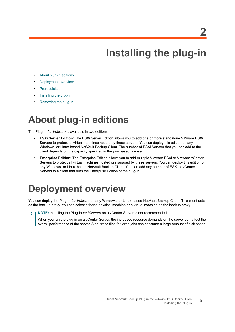**2**

# **Installing the plug-in**

- <span id="page-8-0"></span>**•** [About plug-in editions](#page-8-1)
- **•** [Deployment overview](#page-8-2)
- **•** [Prerequisites](#page-10-0)
- **•** [Installing the plug-in](#page-11-0)
- **•** [Removing the plug-in](#page-12-2)

# <span id="page-8-1"></span>**About plug-in editions**

The Plug-in *for VMware* is available in two editions:

- **ESXi Server Edition:** The ESXi Server Edition allows you to add one or more standalone VMware ESXi Servers to protect all virtual machines hosted by these servers. You can deploy this edition on any Windows- or Linux-based NetVault Backup Client. The number of ESXi Servers that you can add to the client depends on the capacity specified in the purchased license.
- **Enterprise Edition:** The Enterprise Edition allows you to add multiple VMware ESXi or VMware vCenter Servers to protect all virtual machines hosted or managed by these servers. You can deploy this edition on any Windows- or Linux-based NetVault Backup Client. You can add any number of ESXi or vCenter Servers to a client that runs the Enterprise Edition of the plug-in.

# <span id="page-8-2"></span>**Deployment overview**

You can deploy the Plug-in *for VMware* on any Windows- or Linux-based NetVault Backup Client. This client acts as the backup proxy. You can select either a physical machine or a virtual machine as the backup proxy.

**NOTE:** Installing the Plug-in *for VMware* on a vCenter Server is not recommended. ÷

When you run the plug-in on a vCenter Server, the increased resource demands on the server can affect the overall performance of the server. Also, trace files for large jobs can consume a large amount of disk space.

**9**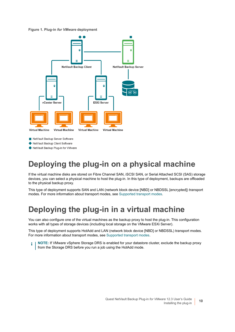**Figure 1. Plug-in** *for VMware* **deployment**



NetVault Backup Server Software

NetVault Backup Client Software

NetVault Backup Plug-in for VMware

## <span id="page-9-0"></span>**Deploying the plug-in on a physical machine**

If the virtual machine disks are stored on Fibre Channel SAN, iSCSI SAN, or Serial Attached SCSI (SAS) storage devices, you can select a physical machine to host the plug-in. In this type of deployment, backups are offloaded to the physical backup proxy.

This type of deployment supports SAN and LAN (network block device [NBD] or NBDSSL [encrypted]) transport modes. For more information about transport modes, see [Supported transport modes.](#page-15-2)

## <span id="page-9-1"></span>**Deploying the plug-in in a virtual machine**

You can also configure one of the virtual machines as the backup proxy to host the plug-in. This configuration works with all types of storage devices (including local storage on the VMware ESXi Server).

This type of deployment supports HotAdd and LAN (network block device [NBD] or NBDSSL) transport modes. For more information about transport modes, see [Supported transport modes.](#page-15-2)

**NOTE:** If VMware vSphere Storage DRS is enabled for your datastore cluster, exclude the backup proxy ÷ from the Storage DRS before you run a job using the HotAdd mode.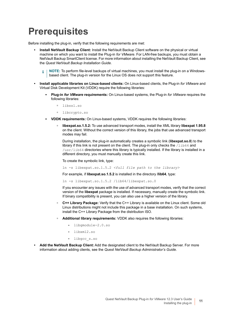# <span id="page-10-0"></span>**Prerequisites**

Before installing the plug-in, verify that the following requirements are met:

- **Install NetVault Backup Client:** Install the NetVault Backup Client software on the physical or virtual machine on which you want to install the Plug-in *for VMware*. For LAN-free backups, you must obtain a NetVault Backup SmartClient license. For more information about installing the NetVault Backup Client, see the *Quest NetVault Backup Installation Guide*.
	- **NOTE:** To perform file-level backups of virtual machines, you must install the plug-in on a Windowsf. based client. The plug-in version for the Linux OS does not support this feature.
- **Install applicable libraries on Linux-based clients:** On Linux-based clients, the Plug-in *for VMware* and Virtual Disk Development Kit (VDDK) require the following libraries:
	- **Plug-in** *for VMware* **requirements:** On Linux-based systems, the Plug-in *for VMware* requires the following libraries:
		- **▫** libssl.so
		- **▫** libcrypto.so
	- **YDDK requirements:** On Linux-based systems, VDDK requires the following libraries:
		- **libexpat.so.1.5.2:** To use advanced transport modes, install the XML library **libexpat 1.95.8** on the client. Without the correct version of this library, the jobs that use advanced transport modes may fail.

During installation, the plug-in automatically creates a symbolic link (**libexpat.so.0**) to the library if this link is not present on the client. The plug-in only checks the /lib64 and /usr/lib64 directories where this library is typically installed. If the library is installed in a different directory, you must manually create this link.

To create the symbolic link, type:

ln -s libexpat.so.1.5.2 *<full file path to the library>*

For example, if **libexpat.so.1.5.2** is installed in the directory **/lib64**, type:

ln -s libexpat.so.1.5.2 /lib64/libexpat.so.0

If you encounter any issues with the use of advanced transport modes, verify that the correct version of the **libexpat** package is installed. If necessary, manually create the symbolic link. If binary compatibility is present, you can also use a higher version of the library.

- **C++ Library Package:** Verify that the C++ Library is available on the Linux client. Some old Linux distributions might not include this package in a base installation. On such systems, install the C++ Library Package from the distribution ISO.
- **Additional library requirements:** VDDK also requires the following libraries:
	- **-** libgmodule-2.0.so
	- **-** libxml2.so
	- **-** libgcc\_s.so
- **Add the NetVault Backup Client:** Add the designated client to the NetVault Backup Server. For more information about adding clients, see the *Quest NetVault Backup Administrator's Guide*.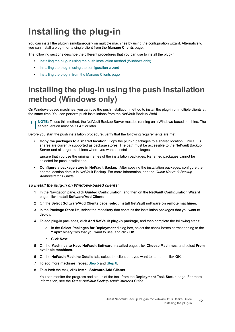# <span id="page-11-0"></span>**Installing the plug-in**

You can install the plug-in simultaneously on multiple machines by using the configuration wizard. Alternatively, you can install a plug-in on a single client from the **Manage Clients** page.

The following sections describe the different procedures that you can use to install the plug-in:

- **•** [Installing the plug-in using the push installation method \(Windows only\)](#page-11-1)
- **•** [Installing the plug-in using the configuration wizard](#page-12-0)
- **•** [Installing the plug-in from the Manage Clients page](#page-12-1)

### <span id="page-11-1"></span>**Installing the plug-in using the push installation method (Windows only)**

On Windows-based machines, you can use the push installation method to install the plug-in on multiple clients at the same time. You can perform push installations from the NetVault Backup WebUI.

**NOTE:** To use this method, the NetVault Backup Server must be running on a Windows-based machine. The server version must be 11.4.5 or later.

Before you start the push installation procedure, verify that the following requirements are met:

**• Copy the packages to a shared location:** Copy the plug-in packages to a shared location. Only CIFS shares are currently supported as package stores. The path must be accessible to the NetVault Backup Server and all target machines where you want to install the packages.

Ensure that you use the original names of the installation packages. Renamed packages cannot be selected for push installations.

**• Configure a package store in NetVault Backup:** After copying the installation packages, configure the shared location details in NetVault Backup. For more information, see the *Quest NetVault Backup Administrator's Guide*.

### *To install the plug-in on Windows-based clients:*

- 1 In the Navigation pane, click **Guided Configuration**, and then on the **NetVault Configuration Wizard** page, click **Install Software/Add Clients**.
- 2 On the **Select Software/Add Clients** page, select **Install NetVault software on remote machines**.
- 3 In the **Package Store** list, select the repository that contains the installation packages that you want to deploy.
- 4 To add plug-in packages, click **Add NetVault plug-in package**, and then complete the following steps:
	- a In the **Select Packages for Deployment** dialog box, select the check boxes corresponding to the **".npk"** binary files that you want to use, and click **OK**.
	- b Click **Next**.
- <span id="page-11-2"></span>5 On the **Machines to Have NetVault Software Installed** page, click **Choose Machines**, and select **From available machines**.
- <span id="page-11-3"></span>6 On the **NetVault Machine Details** tab, select the client that you want to add, and click **OK**.
- 7 To add more machines, repeat [Step 5](#page-11-2) and [Step 6.](#page-11-3)
- 8 To submit the task, click **Install Software/Add Clients**.

You can monitor the progress and status of the task from the **Deployment Task Status** page. For more information, see the *Quest NetVault Backup Administrator's Guide*.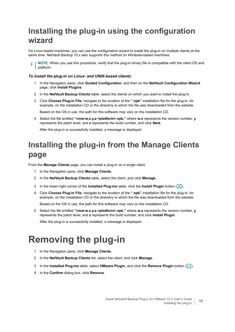## <span id="page-12-0"></span>**Installing the plug-in using the configuration wizard**

On Linux-based machines, you can use the configuration wizard to install the plug-in on multiple clients at the same time. NetVault Backup 10.x also supports this method on Windows-based machines.

**NOTE:** When you use this procedure, verify that the plug-in binary file is compatible with the client OS and platform.

### *To install the plug-in on Linux- and UNIX-based clients:*

- 1 In the Navigation pane, click **Guided Configuration**, and then on the **NetVault Configuration Wizard** page, click **Install Plugins**.
- 2 In the **NetVault Backup Clients** table, select the clients on which you want to install the plug-in.
- 3 Click **Choose Plug-in File**, navigate to the location of the **".npk"** installation file for the plug-in, for example, on the installation CD or the directory to which the file was downloaded from the website.

Based on the OS in use, the path for this software may vary on the installation CD.

4 Select the file entitled **"vmw-w.x.y.z-***<platform>***.npk,"** where **w.x** represents the version number, **y** represents the patch level, and **z** represents the build number, and click **Next**.

After the plug-in is successfully installed, a message is displayed.

## <span id="page-12-1"></span>**Installing the plug-in from the Manage Clients page**

From the **Manage Clients** page, you can install a plug-in on a single client.

- 1 In the Navigation pane, click **Manage Clients**.
- 2 In the **NetVault Backup Clients** table, select the client, and click **Manage**.
- 3 In the lower-right corner of the **Installed Plug-ins** table, click the **Install Plugin** button (**4)**.
- 4 Click **Choose Plug-in File**, navigate to the location of the **".npk"** installation file for the plug-in, for example, on the installation CD or the directory to which the file was downloaded from the website.

Based on the OS in use, the path for this software may vary on the installation CD.

5 Select the file entitled **"vmw-w.x.y.z-***<platform>***.npk,"** where **w.x** represents the version number, **y** represents the patch level, and **z** represents the build number, and click **Install Plugin**.

After the plug-in is successfully installed, a message is displayed.

# <span id="page-12-2"></span>**Removing the plug-in**

- 1 In the Navigation pane, click **Manage Clients**.
- 2 In the **NetVault Backup Clients** list, select the client, and click **Manage.**
- 3 In the **Installed Plug-ins** table, select **VMware Plugin**, and click the **Remove Plugin** button ( ).
- 4 In the **Confirm** dialog box, click **Remove**.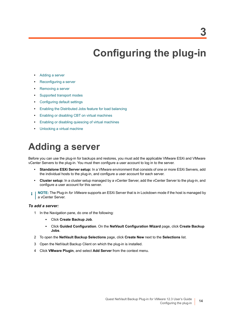# **Configuring the plug-in**

- <span id="page-13-0"></span>**•** [Adding a server](#page-13-1)
- **•** [Reconfiguring a server](#page-14-0)
- **•** [Removing a server](#page-15-0)
- **•** [Supported transport modes](#page-15-1)
- **•** [Configuring default settings](#page-16-0)
- **•** [Enabling the Distributed Jobs feature for load balancing](#page-18-0)
- **•** [Enabling or disabling CBT on virtual machines](#page-19-0)
- **•** [Enabling or disabling quiescing of virtual machines](#page-21-1)
- **•** [Unlocking a virtual machine](#page-23-1)

# <span id="page-13-1"></span>**Adding a server**

Before you can use the plug-in for backups and restores, you must add the applicable VMware ESXi and VMware vCenter Servers to the plug-in. You must then configure a user account to log in to the server.

- **Standalone ESXi Server setup:** In a VMware environment that consists of one or more ESXi Servers, add the individual hosts to the plug-in, and configure a user account for each server.
- **Cluster setup:** In a cluster setup managed by a vCenter Server, add the vCenter Server to the plug-in, and configure a user account for this server.
- **NOTE:** The Plug-in *for VMware* supports an ESXi Server that is in Lockdown mode if the host is managed by a vCenter Server.

### *To add a server:*

- 1 In the Navigation pane, do one of the following:
	- **▪** Click **Create Backup Job**.
	- **▪** Click **Guided Configuration**. On the **NetVault Configuration Wizard** page, click **Create Backup Jobs**.
- 2 To open the **NetVault Backup Selections** page, click **Create New** next to the **Selections** list.
- 3 Open the NetVault Backup Client on which the plug-in is installed.
- 4 Click **VMware Plugin**, and select **Add Server** from the context menu.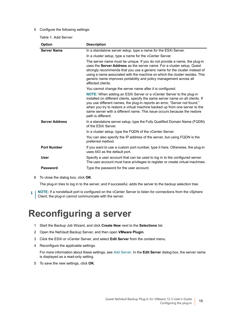### <span id="page-14-1"></span>5 Configure the following settings:

**Table 1. Add Server**

| <b>Option</b>         | <b>Description</b>                                                                                                                                                                                                                                                                                                                                                                                                          |
|-----------------------|-----------------------------------------------------------------------------------------------------------------------------------------------------------------------------------------------------------------------------------------------------------------------------------------------------------------------------------------------------------------------------------------------------------------------------|
| <b>Server Name</b>    | In a standalone server setup, type a name for the ESXi Server.                                                                                                                                                                                                                                                                                                                                                              |
|                       | In a cluster setup, type a name for the vCenter Server.                                                                                                                                                                                                                                                                                                                                                                     |
|                       | The server name must be unique. If you do not provide a name, the plug-in<br>uses the Server Address as the server name. For a cluster setup, Quest<br>strongly recommends that you use a generic name for the cluster instead of<br>using a name associated with the machine on which the cluster resides. This<br>generic name improves portability and policy management across all<br>affected clients.                 |
|                       | You cannot change the server name after it is configured.                                                                                                                                                                                                                                                                                                                                                                   |
|                       | <b>NOTE:</b> When adding an ESXi Server or a vCenter Server to the plug-in<br>installed on different clients, specify the same server name on all clients. If<br>you use different names, the plug-in reports an error, "Server not found,"<br>when you try to restore a virtual machine backed up from one server to the<br>same server with a different name. This issue occurs because the restore<br>path is different. |
| <b>Server Address</b> | In a standalone server setup, type the Fully Qualified Domain Name (FQDN)<br>of the FSXi Server.                                                                                                                                                                                                                                                                                                                            |
|                       | In a cluster setup, type the FQDN of the vCenter Server.                                                                                                                                                                                                                                                                                                                                                                    |
|                       | You can also specify the IP address of the server, but using FQDN is the<br>preferred method.                                                                                                                                                                                                                                                                                                                               |
| <b>Port Number</b>    | If you want to use a custom port number, type it here. Otherwise, the plug-in<br>uses 443 as the default port.                                                                                                                                                                                                                                                                                                              |
| <b>User</b>           | Specify a user account that can be used to log in to the configured server.<br>The user account must have privileges to register or create virtual machines.                                                                                                                                                                                                                                                                |
| <b>Password</b>       | Type the password for the user account.                                                                                                                                                                                                                                                                                                                                                                                     |

6 To close the dialog box, click **OK**.

The plug-in tries to log in to the server, and if successful, adds the server to the backup selection tree.

**NOTE:** If a nondefault port is configured on the vCenter Server to listen for connections from the vSphere f. Client, the plug-in cannot communicate with the server.

# <span id="page-14-0"></span>**Reconfiguring a server**

- 1 Start the Backup Job Wizard, and click **Create New** next to the **Selections** list.
- 2 Open the NetVault Backup Server, and then open **VMware Plugin**.
- 3 Click the ESXi or vCenter Server, and select **Edit Server** from the context menu.
- 4 Reconfigure the applicable settings.

For more information about these settings, see [Add Server](#page-14-1). In the **Edit Serve**r dialog box, the server name is displayed as a read-only setting.

5 To save the new settings, click **OK**.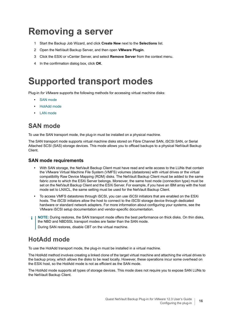# <span id="page-15-0"></span>**Removing a server**

- 1 Start the Backup Job Wizard, and click **Create New** next to the **Selections** list.
- 2 Open the NetVault Backup Server, and then open **VMware Plugin**.
- 3 Click the ESXi or vCenter Server, and select **Remove Server** from the context menu.
- 4 In the confirmation dialog box, click **OK**.

# <span id="page-15-2"></span><span id="page-15-1"></span>**Supported transport modes**

Plug-in *for VMware* supports the following methods for accessing virtual machine disks:

- **•** [SAN mode](#page-15-3)
- **•** [HotAdd mode](#page-15-4)
- **•** [LAN mode](#page-16-1)

### <span id="page-15-3"></span>**SAN mode**

To use the SAN transport mode, the plug-in must be installed on a physical machine.

The SAN transport mode supports virtual machine disks stored on Fibre Channel SAN, iSCSI SAN, or Serial Attached SCSI (SAS) storage devices. This mode allows you to offload backups to a physical NetVault Backup Client.

### **SAN mode requirements**

- **•** With SAN storage, the NetVault Backup Client must have read and write access to the LUNs that contain the VMware Virtual Machine File System (VMFS) volumes (datastores) with virtual drives or the virtual compatibility Raw Device Mapping (RDM) disks. The NetVault Backup Client must be added to the same fabric zone to which the ESXi Server belongs. Moreover, the same host mode (connection type) must be set on the NetVault Backup Client and the ESXi Server. For example, if you have an IBM array with the host mode set to LNXCL, the same setting must be used for the NetVault Backup Client.
- **•** To access VMFS datastores through iSCSI, you can use iSCSI initiators that are enabled on the ESXi hosts. The iSCSI initiators allow the host to connect to the iSCSI storage device through dedicated hardware or standard network adapters. For more information about configuring your systems, see the VMware iSCSI setup documentation and vendor-specific documentation.
- **NOTE:** During restores, the SAN transport mode offers the best performance on thick disks. On thin disks, ÷. the NBD and NBDSSL transport modes are faster than the SAN mode. During SAN restores, disable CBT on the virtual machine.

### <span id="page-15-4"></span>**HotAdd mode**

To use the HotAdd transport mode, the plug-in must be installed in a virtual machine.

The HotAdd method involves creating a linked clone of the target virtual machine and attaching the virtual drives to the backup proxy, which allows the disks to be read locally. However, these operations incur some overhead on the ESXi host, so the HotAdd mode is not as efficient as the SAN mode.

The HotAdd mode supports all types of storage devices. This mode does not require you to expose SAN LUNs to the NetVault Backup Client.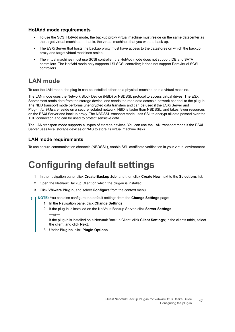### **HotAdd mode requirements**

- **•** To use the SCSI HotAdd mode, the backup proxy virtual machine must reside on the same datacenter as the target virtual machines — that is, the virtual machines that you want to back up.
- **•** The ESXi Server that hosts the backup proxy must have access to the datastores on which the backup proxy and target virtual machines reside.
- **•** The virtual machines must use SCSI controller; the HotAdd mode does not support IDE and SATA controllers. The HotAdd mode only supports LSI SCSI controller; it does not support Paravirtual SCSI controllers.

### <span id="page-16-1"></span>**LAN mode**

To use the LAN mode, the plug-in can be installed either on a physical machine or in a virtual machine.

The LAN mode uses the Network Block Device (NBD) or NBDSSL protocol to access virtual drives. The ESXi Server Host reads data from the storage device, and sends the read data across a network channel to the plug-in. The NBD transport mode performs unencrypted data transfers and can be used if the ESXi Server and Plug-in *for VMware* reside on a secure isolated network. NBD is faster than NBDSSL, and takes fewer resources on the ESXi Server and backup proxy. The NBDSSL transport mode uses SSL to encrypt all data passed over the TCP connection and can be used to protect sensitive data.

The LAN transport mode supports all types of storage devices. You can use the LAN transport mode if the ESXi Server uses local storage devices or NAS to store its virtual machine disks.

### **LAN mode requirements**

<span id="page-16-2"></span>To use secure communication channels (NBDSSL), enable SSL certificate verification in your virtual environment.

# <span id="page-16-0"></span>**Configuring default settings**

- 1 In the navigation pane, click **Create Backup Job**, and then click **Create New** next to the **Selections** list.
- 2 Open the NetVault Backup Client on which the plug-in is installed.
- 3 Click **VMware Plugin**, and select **Configure** from the context menu.
- **NOTE:** You can also configure the default settings from the **Change Settings** page: ÷
	- 1 In the Navigation pane, click **Change Settings**.
	- 2 If the plug-in is installed on the NetVault Backup Server, click **Server Settings**.  $-$ or $-$

If the plug-in is installed on a NetVault Backup Client, click **Client Settings**; in the clients table, select the client, and click **Next**.

3 Under **Plugins**, click **Plugin Options**.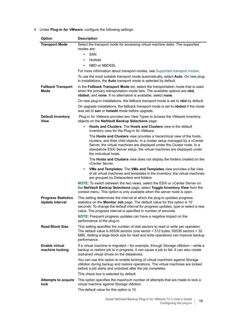### 4 Under **Plug-in** *for VMware*, configure the following settings:

| Option                                               | <b>Description</b>                                                                                                                                                                                                                                                                                                                 |
|------------------------------------------------------|------------------------------------------------------------------------------------------------------------------------------------------------------------------------------------------------------------------------------------------------------------------------------------------------------------------------------------|
| <b>Transport Mode</b>                                | Select the transport mode for accessing virtual machine disks. The supported<br>modes are:                                                                                                                                                                                                                                         |
|                                                      | SAN<br>$\bullet$                                                                                                                                                                                                                                                                                                                   |
|                                                      | HotAdd<br>$\bullet$                                                                                                                                                                                                                                                                                                                |
|                                                      | NBD or NBDSSL<br>$\bullet$                                                                                                                                                                                                                                                                                                         |
|                                                      | For more information about transport modes, see Supported transport modes.                                                                                                                                                                                                                                                         |
|                                                      | To use the most suitable transport mode automatically, select <b>Auto</b> . On new plug-<br>in installations, the Auto transport mode is selected by default.                                                                                                                                                                      |
| <b>Fallback Transport</b><br>Mode                    | In the Fallback Transport Mode list, select the transportation mode that is used<br>when the primary transportation mode fails. The available options are nbd,<br>nbdssl, and none. If no alternative is available, select none.                                                                                                   |
|                                                      | On new plug-in installations, the fallback transport mode is set to nbd by default.                                                                                                                                                                                                                                                |
|                                                      | On upgrade installations, the fallback transport mode is set to <b>nbdssl</b> if the mode<br>was set to san or hotadd mode before upgrade.                                                                                                                                                                                         |
| <b>Default Inventory</b><br>View                     | Plug-in for VMware provides two View Types to browse the VMware inventory<br>objects on the NetVault Backup Selections page:                                                                                                                                                                                                       |
|                                                      | <b>Hosts and Clusters: The Hosts and Clusters view is the default</b><br>$\bullet$<br>inventory view for the Plug-in for VMware.                                                                                                                                                                                                   |
|                                                      | The Hosts and Clusters view provides a hierarchical view of the hosts,<br>clusters, and their child objects. In a cluster setup managed by a vCenter<br>Server, the virtual machines are displayed under the Cluster node. In a<br>standalone ESXi Server setup, the virtual machines are displayed under<br>the individual hosts. |
|                                                      | The Hosts and Clusters view does not display the folders created on the<br>vCenter Server.                                                                                                                                                                                                                                         |
|                                                      | • VMs and Templates: The VMs and Templates view provides a flat view<br>of all virtual machines and templates in the inventory; the virtual machines<br>are grouped by Datacenters and folders.                                                                                                                                    |
|                                                      | NOTE: To switch between the two views, select the ESXi or vCenter Server on<br>the NetVault Backup Selections page, select Toggle Inventory View from the<br>context menu. This option is only available when the server node is open.                                                                                             |
| <b>Progress Statistics</b><br><b>Update Interval</b> | This setting determines the interval at which the plug-in updates progress<br>statistics on the Monitor Job page. The default value for this option is 10<br>seconds. To change the default interval for progress updates, type or select a new<br>value. The progress interval is specified in number of seconds.                 |
|                                                      | <b>NOTE:</b> Frequent progress updates can have a negative impact on the<br>performance of the plug-in.                                                                                                                                                                                                                            |
| <b>Read Block Size</b>                               | This setting specifies the number of disk sectors to read or write per operation.<br>The default value is $65536$ sectors (one sector = $512$ bytes; $65536$ sectors = $32$<br>MiB). Setting a large block size for read and write operations can improve backup<br>performance.                                                   |
| <b>Enable virtual</b><br>machine locking             | If a virtual machine is migrated-for example, through Storage vMotion-while a<br>backup or restore job is in progress, it can cause a job to fail. It can also create<br>orphaned virtual drives on the datastores.                                                                                                                |
|                                                      | You can use this option to enable locking of virtual machines against Storage<br>vMotion during backup and restore operations. The virtual machines are locked<br>before a job starts and unlocked after the job completes.                                                                                                        |
|                                                      | This check box is selected by default.                                                                                                                                                                                                                                                                                             |
| <b>Attempts to acquire</b><br>lock                   | This option specifies the maximum number of attempts that are made to lock a<br>virtual machine against Storage vMotion.<br>The default value for this option is 10.                                                                                                                                                               |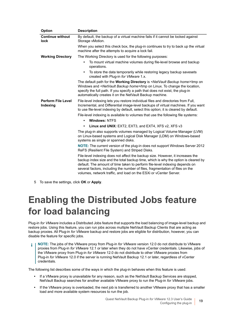| Option                                | <b>Description</b>                                                                                                                                                                                                                                                                                                                                                                                        |
|---------------------------------------|-----------------------------------------------------------------------------------------------------------------------------------------------------------------------------------------------------------------------------------------------------------------------------------------------------------------------------------------------------------------------------------------------------------|
| <b>Continue without</b>               | By default, the backup of a virtual machine fails if it cannot be locked against                                                                                                                                                                                                                                                                                                                          |
| lock                                  | Storage vMotion.                                                                                                                                                                                                                                                                                                                                                                                          |
|                                       | When you select this check box, the plug-in continues to try to back up the virtual<br>machine after the attempts to acquire a lock fail.                                                                                                                                                                                                                                                                 |
| <b>Working Directory</b>              | The Working Directory is used for the following purposes:                                                                                                                                                                                                                                                                                                                                                 |
|                                       | To mount virtual machine volumes during file-level browse and backup<br>$\bullet$<br>operations.                                                                                                                                                                                                                                                                                                          |
|                                       | To store the data temporarily while restoring legacy backup savesets<br>$\bullet$<br>created with Plug-in for VMware 1.x.                                                                                                                                                                                                                                                                                 |
|                                       | The default path for the Working Directory is <netvault backup="" home="">\tmp on<br/>Windows and <netvault backup="" home="">/tmp on Linux. To change the location,<br/>specify the full path. If you specify a path that does not exist, the plug-in<br/>automatically creates it on the NetVault Backup machine.</netvault></netvault>                                                                 |
| <b>Perform File Level</b><br>Indexing | File-level indexing lets you restore individual files and directories from Full,<br>Incremental, and Differential image-level backups of virtual machines. If you want<br>to use file-level indexing by default, select this option; it is cleared by default.                                                                                                                                            |
|                                       | File-level indexing is available to volumes that use the following file systems:                                                                                                                                                                                                                                                                                                                          |
|                                       | <b>Windows: NTFS</b><br>$\bullet$                                                                                                                                                                                                                                                                                                                                                                         |
|                                       | Linux and UNIX: EXT2, EXT3, and EXT4, XFS v2, XFS v3<br>$\bullet$                                                                                                                                                                                                                                                                                                                                         |
|                                       | The plug-in also supports volumes managed by Logical Volume Manager (LVM)<br>on Linux-based systems and Logical Disk Manager (LDM) on Windows-based<br>systems as single or spanned disks.                                                                                                                                                                                                                |
|                                       | <b>NOTE:</b> The current version of the plug-in does not support Windows Server 2012<br>ReFS (Resilient File System) and Striped Disks.                                                                                                                                                                                                                                                                   |
|                                       | File-level indexing does not affect the backup size. However, it increases the<br>backup index size and the total backup time, which is why the option is cleared by<br>default. The amount of time taken to perform file-level indexing depends on<br>several factors, including the number of files, fragmentation of files on the<br>volumes, network traffic, and load on the ESXi or vCenter Server. |

5 To save the settings, click **OK** or **Apply**.

# <span id="page-18-0"></span>**Enabling the Distributed Jobs feature for load balancing**

Plug-in *for VMware* includes a Distributed Jobs feature that supports the load balancing of image-level backup and restore jobs. Using this feature, you can run jobs across multiple NetVault Backup Clients that are acting as backup proxies. All Plug-in *for VMware* backup and restore jobs are eligible for distribution, however, you can disable the feature for specific jobs.

**NOTE:** The jobs of the VMware proxy from Plug-in *for VMware* version 12.0 do not distribute to VMware ÷. proxies from Plug-in *for VMware* 12.1 or later when they do not have vCenter credentials. Likewise, jobs of the VMware proxy from Plug-in *for VMware* 12.0 do not distribute to other VMware proxies from Plug-in *for VMware* 12.0 if the server is running NetVault Backup 12.1 or later, regardless of vCenter credentials.

The following list describes some of the ways in which the plug-in behaves when this feature is used:

- **•** If a VMware proxy is unavailable for any reason, such as the NetVault Backup Services are stopped, NetVault Backup searches for another available VMware proxy to run the Plug-in *for VMware* jobs.
- **•** If the VMware proxy is overloaded, the next job is transferred to another VMware proxy that has a smaller load and more available system resources to run the job.

Quest NetVault Backup Plug-in *for VMware* 12.3 User's Guide ware 12.3 User s Guide 19<br>Configuring the plug-in 19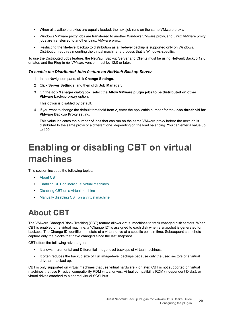- **•** When all available proxies are equally loaded, the next job runs on the same VMware proxy.
- **•** Windows VMware proxy jobs are transferred to another Windows VMware proxy, and Linux VMware proxy jobs are transferred to another Linux VMware proxy.
- **•** Restricting the file-level backup to distribution as a file-level backup is supported only on Windows. Distribution requires mounting the virtual machine, a process that is Windows-specific.

To use the Distributed Jobs feature, the NetVault Backup Server and Clients must be using NetVault Backup 12.0 or later, and the Plug-in *for VMware* version must be 12.0 or later.

### *To enable the Distributed Jobs feature on NetVault Backup Server*

- 1 In the Navigation pane, click **Change Settings**.
- 2 Click **Server Settings**, and then click **Job Manager**.
- 3 On the **Job Manager** dialog box, select the **Allow VMware plugin jobs to be distributed on other VMware backup proxy** option.

This option is disabled by default.

4 If you want to change the default threshold from **2**, enter the applicable number for the **Jobs threshold for VMware Backup Proxy** setting.

This value indicates the number of jobs that can run on the same VMware proxy before the next job is distributed to the same proxy or a different one, depending on the load balancing. You can enter a value up to 100.

# <span id="page-19-0"></span>**Enabling or disabling CBT on virtual machines**

This section includes the following topics:

- **•** [About CBT](#page-19-1)
- **•** [Enabling CBT on individual virtual machines](#page-20-0)
- **•** [Disabling CBT on a virtual machine](#page-20-1)
- **•** [Manually disabling CBT on a virtual machine](#page-21-0)

## <span id="page-19-1"></span>**About CBT**

The VMware Changed Block Tracking (CBT) feature allows virtual machines to track changed disk sectors. When CBT is enabled on a virtual machine, a "Change ID" is assigned to each disk when a snapshot is generated for backups. The Change ID identifies the state of a virtual drive at a specific point in time. Subsequent snapshots capture only the blocks that have changed since the last snapshot.

CBT offers the following advantages:

- **•** It allows Incremental and Differential image-level backups of virtual machines.
- **•** It often reduces the backup size of Full image-level backups because only the used sectors of a virtual drive are backed up.

CBT is only supported on virtual machines that use virtual hardware 7 or later. CBT is not supported on virtual machines that use Physical compatibility RDM virtual drives, Virtual compatibility RDM (Independent Disks), or virtual drives attached to a shared virtual SCSI bus.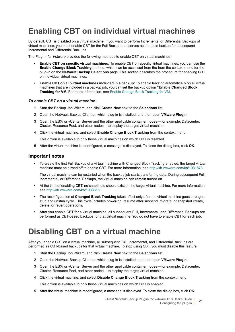## <span id="page-20-2"></span><span id="page-20-0"></span>**Enabling CBT on individual virtual machines**

By default, CBT is disabled on a virtual machine. If you want to perform Incremental or Differential Backups of virtual machines, you must enable CBT for the Full Backup that serves as the base backup for subsequent Incremental and Differential Backups.

The Plug-in *for VMware* provides the following methods to enable CBT on virtual machines:

- **Enable CBT on specific virtual machines:** To enable CBT on specific virtual machines, you can use the **Enable Change Block Tracking** method, which can be accessed from the from the context menu for the plug-in on the **NetVault Backup Selections** page. This section describes the procedure for enabling CBT on individual virtual machines.
- **Enable CBT on all virtual machines included in a backup:** To enable tracking automatically on all virtual machines that are included in a backup job, you can set the backup option **"Enable Changed Block Tracking for VM.** For more information, see [Enable Change Block Tracking for VM](#page-32-0).

### *To enable CBT on a virtual machine:*

- 1 Start the Backup Job Wizard, and click **Create New** next to the **Selections** list.
- 2 Open the NetVault Backup Client on which plug-in is installed, and then open **VMware Plugin**.
- 3 Open the ESXi or vCenter Server and the other applicable container nodes for example, Datacenter, Cluster, Resource Pool, and other nodes — to display the target virtual machine.
- 4 Click the virtual machine, and select **Enable Change Block Tracking** from the context menu.

This option is available to only those virtual machines on which CBT is disabled.

5 After the virtual machine is reconfigured, a message is displayed. To close the dialog box, click **OK**.

### **Important notes**

**•** To create the first Full Backup of a virtual machine with Changed Block Tracking enabled, the target virtual machine must be turned off to enable CBT. For more information, see [http://kb.vmware.com/kb/1031873.](http://kb.vmware.com/kb/1031873)

The virtual machine can be restarted when the backup job starts transferring data. During subsequent Full, Incremental, or Differential Backups, the virtual machine can remain turned on.

- **•** At the time of enabling CBT, no snapshots should exist on the target virtual machine. For more information, see [http://kb.vmware.com/kb/1033816.](http://kb.vmware.com/kb/1033816)
- **•** The reconfiguration of **Changed Block Tracking** takes effect only after the virtual machine goes through a stun and unstun cycle. This cycle includes power-on, resume after suspend, migrate, or snapshot create, delete, or revert operations.
- **•** After you enable CBT for a virtual machine, all subsequent Full, Incremental, and Differential Backups are performed as CBT-based backups for that virtual machine. You do not have to enable CBT for each job.

### <span id="page-20-3"></span><span id="page-20-1"></span>**Disabling CBT on a virtual machine**

After you enable CBT on a virtual machine, all subsequent Full, Incremental, and Differential Backups are performed as CBT-based backups for that virtual machine. To stop using CBT, you must disable this feature.

- 1 Start the Backup Job Wizard, and click **Create New** next to the **Selections** list.
- 2 Open the NetVault Backup Client on which plug-in is installed, and then open **VMware Plugin**.
- 3 Open the ESXi or vCenter Server and the other applicable container nodes for example, Datacenter, Cluster, Resource Pool, and other nodes — to display the target virtual machine.
- 4 Click the virtual machine, and select **Disable Change Block Tracking** from the context menu.

This option is available to only those virtual machines on which CBT is enabled.

5 After the virtual machine is reconfigured, a message is displayed. To close the dialog box, click **OK**.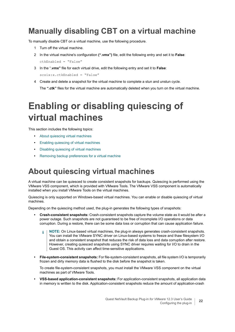## <span id="page-21-3"></span><span id="page-21-0"></span>**Manually disabling CBT on a virtual machine**

To manually disable CBT on a virtual machine, use the following procedure.

- 1 Turn off the virtual machine.
- 2 In the virtual machine's configuration **(".vmx")** file, edit the following entry and set it to **False**: ctkEnabled = "False"
- 3 In the "**.vmx"** file for each virtual drive, edit the following entry and set it to **False**: scsix:x.ctkEnabled = "False"
- 4 Create and delete a snapshot for the virtual machine to complete a stun and unstun cycle. The **".ctk"** files for the virtual machine are automatically deleted when you turn on the virtual machine.

# <span id="page-21-1"></span>**Enabling or disabling quiescing of virtual machines**

This section includes the following topics:

- **•** [About quiescing virtual machines](#page-21-2)
- **•** [Enabling quiescing of virtual machines](#page-22-0)
- **•** [Disabling quiescing of virtual machines](#page-22-1)
- **•** [Removing backup preferences for a virtual machine](#page-23-0)

## <span id="page-21-2"></span>**About quiescing virtual machines**

A virtual machine can be quiesced to create consistent snapshots for backups. Quiescing is performed using the VMware VSS component, which is provided with VMware Tools. The VMware VSS component is automatically installed when you install VMware Tools on the virtual machines.

Quiescing is only supported on Windows-based virtual machines. You can enable or disable quiescing of virtual machines.

Depending on the quiescing method used, the plug-in generates the following types of snapshots:

- **Crash-consistent snapshots:** Crash-consistent snapshots capture the volume state as it would be after a power outage. Such snapshots are not guaranteed to be free of incomplete I/O operations or data corruption. During a restore, there can be some data loss or corruption that can cause application failure.
	- **NOTE:** On Linux-based virtual machines, the plug-in always generates crash-consistent snapshots. ÷ You can install the VMware SYNC driver on Linux-based systems to freeze and thaw filesystem I/O and obtain a consistent snapshot that reduces the risk of data loss and data corruption after restore. However, creating quiesced snapshots using SYNC driver requires waiting for I/O to drain in the Guest OS. This activity can affect time-sensitive applications.
- **File-system-consistent snapshots:** For file-system-consistent snapshots, all file system I/O is temporarily frozen and dirty memory data is flushed to the disk before the snapshot is taken.

To create file-system-consistent snapshots, you must install the VMware VSS component on the virtual machines as part of VMware Tools.

**• VSS-based application-consistent snapshots:** For application-consistent snapshots, all application data in memory is written to the disk. Application-consistent snapshots reduce the amount of application-crash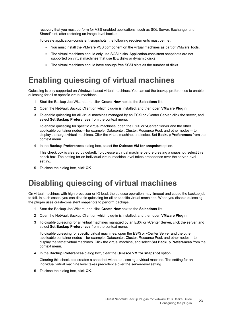recovery that you must perform for VSS-enabled applications, such as SQL Server, Exchange, and SharePoint, after restoring an image-level backup.

To create application-consistent snapshots, the following requirements must be met:

- **▪** You must install the VMware VSS component on the virtual machines as part of VMware Tools.
- **▪** The virtual machines should only use SCSI disks. Application-consistent snapshots are not supported on virtual machines that use IDE disks or dynamic disks.
- **▪** The virtual machines should have enough free SCSI slots as the number of disks.

## <span id="page-22-0"></span>**Enabling quiescing of virtual machines**

Quiescing is only supported on Windows-based virtual machines. You can set the backup preferences to enable quiescing for all or specific virtual machines.

- 1 Start the Backup Job Wizard, and click **Create New** next to the **Selections** list.
- 2 Open the NetVault Backup Client on which plug-in is installed, and then open **VMware Plugin**.
- 3 To enable quiescing for all virtual machines managed by an ESXi or vCenter Server, click the server, and select **Set Backup Preferences** from the context menu.

To enable quiescing for specific virtual machines, open the ESXi or vCenter Server and the other applicable container nodes — for example, Datacenter, Cluster, Resource Pool, and other nodes — to display the target virtual machines. Click the virtual machine, and select **Set Backup Preferences** from the context menu.

4 In the **Backup Preferences** dialog box, select the **Quiesce VM for snapshot** option.

This check box is cleared by default. To quiesce a virtual machine before creating a snapshot, select this check box. The setting for an individual virtual machine level takes precedence over the server-level setting.

5 To close the dialog box, click **OK**.

### <span id="page-22-1"></span>**Disabling quiescing of virtual machines**

On virtual machines with high processor or IO load, the quiesce operation may timeout and cause the backup job to fail. In such cases, you can disable quiescing for all or specific virtual machines. When you disable quiescing, the plug-in uses crash-consistent snapshots to perform backups.

- 1 Start the Backup Job Wizard, and click **Create New** next to the **Selections** list.
- 2 Open the NetVault Backup Client on which plug-in is installed, and then open **VMware Plugin**.
- 3 To disable quiescing for all virtual machines managed by an ESXi or vCenter Server, click the server, and select **Set Backup Preferences** from the context menu.

To disable quiescing for specific virtual machines, open the ESXi or vCenter Server and the other applicable container nodes — for example, Datacenter, Cluster, Resource Pool, and other nodes — to display the target virtual machines. Click the virtual machine, and select **Set Backup Preferences** from the context menu.

4 In the **Backup Preferences** dialog box, clear the **Quiesce VM for snapshot** option.

Clearing this check box creates a snapshot without quiescing a virtual machine. The setting for an individual virtual machine level takes precedence over the server-level setting.

5 To close the dialog box, click **OK**.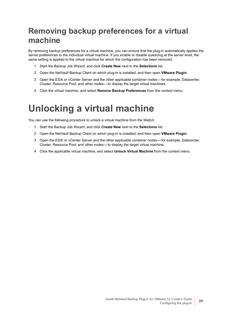## <span id="page-23-0"></span>**Removing backup preferences for a virtual machine**

By removing backup preferences for a virtual machine, you can ensure that the plug-in automatically applies the server preferences to the individual virtual machine. If you enable or disable quiescing at the server level, the same setting is applied to the virtual machine for which the configuration has been removed.

- 1 Start the Backup Job Wizard, and click **Create New** next to the **Selections** list.
- 2 Open the NetVault Backup Client on which plug-in is installed, and then open **VMware Plugin**.
- 3 Open the ESXi or vCenter Server and the other applicable container nodes for example, Datacenter, Cluster, Resource Pool, and other nodes — to display the target virtual machines.
- 4 Click the virtual machine, and select **Remove Backup Preferences** from the context menu.

# <span id="page-23-1"></span>**Unlocking a virtual machine**

You can use the following procedure to unlock a virtual machine from the WebUI.

- 1 Start the Backup Job Wizard, and click **Create New** next to the **Selections** list.
- 2 Open the NetVault Backup Client on which plug-in is installed, and then open **VMware Plugin**.
- 3 Open the ESXi or vCenter Server and the other applicable container nodes for example, Datacenter, Cluster, Resource Pool, and other nodes — to display the target virtual machine.
- 4 Click the applicable virtual machine, and select **Unlock Virtual Machine** from the context menu.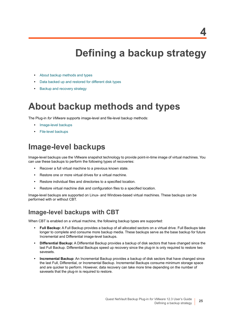# **Defining a backup strategy**

- <span id="page-24-0"></span>**•** [About backup methods and types](#page-24-1)
- **•** [Data backed up and restored for different disk types](#page-26-0)
- **[Backup and recovery strategy](#page-27-1)**

# <span id="page-24-1"></span>**About backup methods and types**

The Plug-in *for VMware* supports image-level and file-level backup methods:

- **•** [Image-level backups](#page-24-2)
- **•** [File-level backups](#page-25-0)

### <span id="page-24-3"></span><span id="page-24-2"></span>**Image-level backups**

Image-level backups use the VMware snapshot technology to provide point-in-time image of virtual machines. You can use these backups to perform the following types of recoveries:

- **•** Recover a full virtual machine to a previous known state.
- **•** Restore one or more virtual drives for a virtual machine.
- **•** Restore individual files and directories to a specified location.
- **•** Restore virtual machine disk and configuration files to a specified location.

Image-level backups are supported on Linux- and Windows-based virtual machines. These backups can be performed with or without CBT.

### **Image-level backups with CBT**

When CBT is enabled on a virtual machine, the following backup types are supported:

- **Full Backup:** A Full Backup provides a backup of all allocated sectors on a virtual drive. Full Backups take longer to complete and consume more backup media. These backups serve as the base backup for future Incremental and Differential image-level backups.
- **Differential Backup:** A Differential Backup provides a backup of disk sectors that have changed since the last Full Backup. Differential Backups speed up recovery since the plug-in is only required to restore two savesets.
- **Incremental Backup**: An Incremental Backup provides a backup of disk sectors that have changed since the last Full, Differential, or Incremental Backup. Incremental Backups consume minimum storage space and are quicker to perform. However, data recovery can take more time depending on the number of savesets that the plug-in is required to restore.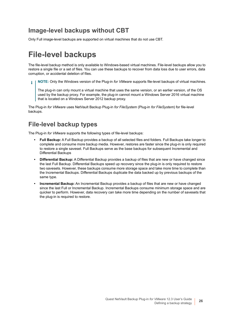### **Image-level backups without CBT**

Only Full image-level backups are supported on virtual machines that do not use CBT.

## <span id="page-25-0"></span>**File-level backups**

The file-level backup method is only available to Windows-based virtual machines. File-level backups allow you to restore a single file or a set of files. You can use these backups to recover from data loss due to user errors, data corruption, or accidental deletion of files.

**NOTE:** Only the Windows version of the Plug-in *for VMware* supports file-level backups of virtual machines. ÷

The plug-in can only mount a virtual machine that uses the same version, or an earlier version, of the OS used by the backup proxy. For example, the plug-in cannot mount a Windows Server 2016 virtual machine that is located on a Windows Server 2012 backup proxy.

The Plug-in *for VMware* uses NetVault Backup Plug-in *for FileSystem* (Plug-in *for FileSystem*) for file-level backups.

### **File-level backup types**

The Plug-in *for VMware* supports the following types of file-level backups:

- **Full Backup:** A Full Backup provides a backup of all selected files and folders. Full Backups take longer to complete and consume more backup media. However, restores are faster since the plug-in is only required to restore a single saveset. Full Backups serve as the base backups for subsequent Incremental and Differential Backups
- **Differential Backup:** A Differential Backup provides a backup of files that are new or have changed since the last Full Backup. Differential Backups speed up recovery since the plug-in is only required to restore two savesets. However, these backups consume more storage space and take more time to complete than the Incremental Backups. Differential Backups duplicate the data backed up by previous backups of the same type.
- **Incremental Backup:** An Incremental Backup provides a backup of files that are new or have changed since the last Full or Incremental Backup. Incremental Backups consume minimum storage space and are quicker to perform. However, data recovery can take more time depending on the number of savesets that the plug-in is required to restore.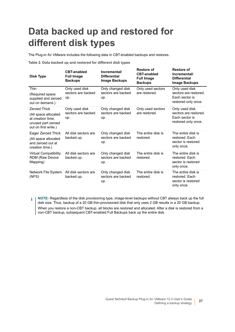# <span id="page-26-0"></span>**Data backed up and restored for different disk types**

The Plug-in *for VMware* includes the following data in CBT-enabled backups and restores.

**Table 2. Data backed up and restored for different disk types**

| Disk Type                                                                                                      | <b>CBT-enabled</b><br><b>Full Image</b><br><b>Backups</b> | Incremental/<br><b>Differential</b><br><b>Image Backups</b> | <b>Restore of</b><br><b>CBT-enabled</b><br><b>Full Image</b><br><b>Backups</b> | <b>Restore of</b><br>Incremental/<br><b>Differential</b><br><b>Image Backups</b> |
|----------------------------------------------------------------------------------------------------------------|-----------------------------------------------------------|-------------------------------------------------------------|--------------------------------------------------------------------------------|----------------------------------------------------------------------------------|
| Thin<br>(Required space<br>supplied and zeroed<br>out on demand.)                                              | Only used disk<br>sectors are backed<br>up.               | Only changed disk<br>sectors are backed<br>up.              | Only used sectors<br>are restored.                                             | Only used disk<br>sectors are restored.<br>Each sector is<br>restored only once. |
| <b>Zeroed Thick</b><br>(All space allocated<br>at creation time,<br>unused part zeroed<br>out on first write.) | Only used disk<br>sectors are backed<br>up.               | Only changed disk<br>sectors are backed<br>up.              | Only used sectors<br>are restored.                                             | Only used disk<br>sectors are restored.<br>Each sector is<br>restored only once. |
| Eager Zeroed Thick<br>(All space allocated<br>and zeroed out at<br>creation time.)                             | All disk sectors are<br>backed up.                        | Only changed disk<br>sectors are backed<br>up.              | The entire disk is<br>restored.                                                | The entire disk is<br>restored. Each<br>sector is restored<br>only once.         |
| <b>Virtual Compatibility</b><br><b>RDM (Raw Device</b><br>Mapping)                                             | All disk sectors are<br>backed up.                        | Only changed disk<br>sectors are backed<br>up.              | The entire disk is<br>restored.                                                | The entire disk is<br>restored. Each<br>sector is restored<br>only once.         |
| Network File System<br>(NFS)                                                                                   | All disk sectors are<br>backed up.                        | Only changed disk<br>sectors are backed<br>up.              | The entire disk is<br>restored.                                                | The entire disk is<br>restored. Each<br>sector is restored<br>only once.         |

**NOTE:** Regardless of the disk provisioning type, image-level backups without CBT always back up the full f. disk size. Thus, backup of a 20 GB thin-provisioned disk that only uses 2 GB results in a 20 GB backup. When you restore a non-CBT backup, all blocks are restored and allocated. After a disk is restored from a non-CBT backup, subsequent CBT-enabled Full Backups back up the entire disk.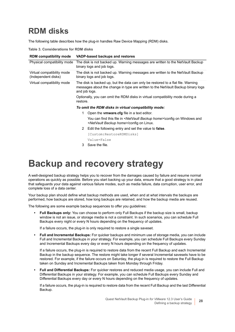## <span id="page-27-0"></span>**RDM disks**

The following table describes how the plug-in handles Raw Device Mapping (RDM) disks.

**Table 3. Considerations for RDM disks**

| <b>RDM</b> compatibility mode                     | VADP-based backups and restores                                                                                                                                                       |                                                                                                                                                      |  |
|---------------------------------------------------|---------------------------------------------------------------------------------------------------------------------------------------------------------------------------------------|------------------------------------------------------------------------------------------------------------------------------------------------------|--|
| Physical compatibility mode                       | The disk is not backed up. Warning messages are written to the NetVault Backup<br>binary logs and job logs.                                                                           |                                                                                                                                                      |  |
| Virtual compatibility mode<br>(Independent disks) | The disk is not backed up. Warning messages are written to the NetVault Backup<br>binary logs and job logs.                                                                           |                                                                                                                                                      |  |
| Virtual compatibility mode                        | The disk is backed up, but the data can only be restored to a flat file. Warning<br>messages about the change in type are written to the NetVault Backup binary logs<br>and job logs. |                                                                                                                                                      |  |
|                                                   | Optionally, you can omit the RDM disks in virtual compatibility mode during a<br>restore.                                                                                             |                                                                                                                                                      |  |
|                                                   | To omit the RDM disks in virtual compatibility mode:                                                                                                                                  |                                                                                                                                                      |  |
|                                                   | 1.                                                                                                                                                                                    | Open the <b>vmware.cfg</b> file in a text editor.                                                                                                    |  |
|                                                   |                                                                                                                                                                                       | You can find this file in <netvault backup="" home="">\config on Windows and<br/><netvault backup="" home="">/config on Linux.</netvault></netvault> |  |
|                                                   | $\mathbf{2}$                                                                                                                                                                          | Edit the following entry and set the value to <b>false</b> .                                                                                         |  |
|                                                   |                                                                                                                                                                                       | [Custom:RestoreRDMDisks]                                                                                                                             |  |
|                                                   |                                                                                                                                                                                       | Value=False                                                                                                                                          |  |
|                                                   | 3                                                                                                                                                                                     | Save the file.                                                                                                                                       |  |

# <span id="page-27-1"></span>**Backup and recovery strategy**

A well-designed backup strategy helps you to recover from the damages caused by failure and resume normal operations as quickly as possible. Before you start backing up your data, ensure that a good strategy is in place that safeguards your data against various failure modes, such as media failure, data corruption, user error, and complete loss of a data center.

Your backup plan should define what backup methods are used, when and at what intervals the backups are performed, how backups are stored, how long backups are retained, and how the backup media are reused.

The following are some example backup sequences to offer you guidelines:

**• Full Backups only:** You can choose to perform only Full Backups if the backup size is small, backup window is not an issue, or storage media is not a constraint. In such scenarios, you can schedule Full Backups every night or every N hours depending on the frequency of updates.

If a failure occurs, the plug-in is only required to restore a single saveset.

**• Full and Incremental Backups:** For quicker backups and minimum use of storage media, you can include Full and Incremental Backups in your strategy. For example, you can schedule Full Backups every Sunday and Incremental Backups every day or every N hours depending on the frequency of updates.

If a failure occurs, the plug-in is required to restore data from the recent Full Backup and each Incremental Backup in the backup sequence. The restore might take longer if several Incremental savesets have to be restored. For example, if the failure occurs on Saturday, the plug-in is required to restore the Full Backup taken on Sunday and Incremental Backups taken from Monday through Friday.

**• Full and Differential Backups:** For quicker restores and reduced media usage, you can include Full and Differential Backups in your strategy. For example, you can schedule Full Backups every Sunday and Differential Backups every day or every N hours depending on the frequency of updates.

If a failure occurs, the plug-in is required to restore data from the recent Full Backup and the last Differential Backup.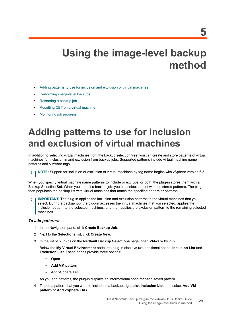# <span id="page-28-0"></span>**Using the image-level backup method**

- **•** [Adding patterns to use for inclusion and exclusion of virtual machines](#page-28-1)
- **•** [Performing image-level backups](#page-30-0)
- **•** [Restarting a backup job](#page-39-0)
- **•** [Resetting CBT on a virtual machine](#page-39-1)
- **•** [Monitoring job progress](#page-40-0)

# <span id="page-28-1"></span>**Adding patterns to use for inclusion and exclusion of virtual machines**

In addition to selecting virtual machines from the backup selection tree, you can create and store patterns of virtual machines for inclusion in and exclusion from backup jobs. Supported patterns include virtual machine name patterns and VMware tags.

**NOTE:** Support for inclusion or exclusion of virtual machines by tag name begins with vSphere version 6.5. i l

When you specify virtual machine name patterns to include or exclude, or both, the plug-in stores them with a Backup Selection Set. When you submit a backup job, you can select the set with the stored patterns. The plug-in then populates the backup list with virtual machines that match the specified pattern or patterns.

**IMPORTANT:** The plug-in applies the inclusion and exclusion patterns to the virtual machines that you select. During a backup job, the plug-in accesses the virtual machines that you selected, applies the inclusion pattern to the selected machines, and then applies the exclusion pattern to the remaining selected machines.

### *To add patterns:*

- 1 In the Navigation pane, click **Create Backup Job**.
- 2 Next to the **Selections** list, click **Create New**.
- 3 In the list of plug-ins on the **NetVault Backup Selections** page, open **VMware Plugin**.

Below the **My Virtual Environment** node, the plug-in displays two additional nodes, **Inclusion List** and **Exclusion List**. These nodes provide three options:

- **Open**
- **Add VM pattern**
- **▪** Add vSphere TAG

As you add patterns, the plug-in displays an informational node for each saved pattern.

<span id="page-28-2"></span>4 To add a pattern that you want to include in a backup, right-click **Inclusion List**, and select **Add VM pattern** or **Add vSphere TAG**.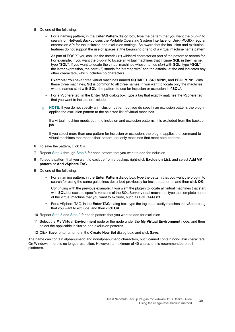- 5 Do one of the following:
	- **▪** For a naming pattern, in the **Enter Pattern** dialog box, type the pattern that you want the plug-in to search for. NetVault Backup uses the Portable Operating System Interface for Unix (POSIX) regular expression API for the inclusion and exclusion settings. Be aware that the inclusion and exclusion features do not support the use of spaces at the beginning or end of a virtual machine name pattern.

As part of POSIX, you can use the asterisk (**\***) wildcard character as part of the pattern to search for. For example, if you want the plug-in to locate all virtual machines that *include* **SQL** in their name, type **\*SQL\***. If you want to locate the virtual machines whose names *start* with **SQL**, type **^SQL\***. In the latter expression, the caret (^) stands for "starting with" and the asterisk at the end indicates any other characters, which includes no characters.

**Example:** You have three virtual machines named **SQTMP01**, **SQLMP01**, and **PSQLMP01**. With these three machines, **SQ** is common to all three names. If you want to locate only the machines whose names start with **SQL**, the pattern to use for inclusion or exclusion is **^SQL\***.

- **▪** For a vSphere tag, in the **Enter TAG** dialog box, type a tag that exactly matches the vSphere tag that you want to include or exclude.
- **NOTE:** If you do not specify an inclusion pattern but you do specify an exclusion pattern, the plug-in ÷. applies the exclusion pattern to the selected list of virtual machines.

If a virtual machine meets both the inclusion and exclusion patterns, it is excluded from the backup job.

If you select more than one pattern for inclusion or exclusion, the plug-in applies the command to virtual machines that meet either pattern, not only machines that meet both patterns.

- 6 To save the pattern, click **OK**.
- 7 Repeat [Step 4](#page-28-2) through Step 6 for each pattern that you want to add for inclusion.
- <span id="page-29-0"></span>8 To add a pattern that you want to exclude from a backup, right-click **Exclusion List**, and select **Add VM pattern** or **Add vSphere TAG**.
- <span id="page-29-1"></span>9 Do one of the following:
	- **▪** For a naming pattern, in the **Enter Pattern** dialog box, type the pattern that you want the plug-in to search for using the same guidelines described previously for include patterns, and then click **OK**.

Continuing with the previous example, if you want the plug-in to locate all virtual machines that start with **SQL** but exclude specific versions of the SQL Server virtual machines, type the complete name of the virtual machine that you want to exclude, such as **SQLQATest1**.

- **▪** For a vSphere TAG, in the **Enter TAG** dialog box, type the tag that exactly matches the vSphere tag that you want to exclude, and then click **OK**.
- 10 Repeat [Step 8](#page-29-0) and [Step 9](#page-29-1) for each pattern that you want to add for exclusion.
- 11 Select the **My Virtual Environment** node or the node under the **My Virtual Environment** node, and then select the applicable inclusion and exclusion patterns.
- 12 Click **Save**, enter a name in the **Create New Set** dialog box, and click **Save**.

The name can contain alphanumeric and nonalphanumeric characters, but it cannot contain non-Latin characters. On Windows, there is no length restriction. However, a maximum of 40 characters is recommended on all platforms.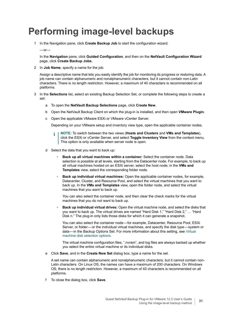# <span id="page-30-0"></span>**Performing image-level backups**

1 In the Navigation pane, click **Create Backup Job** to start the configuration wizard.

 $-$ or-

In the **Navigation** pane, click **Guided Configuration**, and then on the **NetVault Configuration Wizard**  page, click **Create Backup Jobs**.

2 In **Job Name**, specify a name for the job.

Assign a descriptive name that lets you easily identify the job for monitoring its progress or restoring data. A job name can contain alphanumeric and nonalphanumeric characters, but it cannot contain non-Latin characters. There is no length restriction. However, a maximum of 40 characters is recommended on all platforms.

- 3 In the **Selections** list, select an existing Backup Selection Set, or complete the following steps to create a set:
	- a To open the **NetVault Backup Selections** page, click **Create New**.
	- b Open the NetVault Backup Client on which the plug-in is installed, and then open **VMware Plugin**.
	- c Open the applicable VMware ESXi or VMware vCenter Server.

Depending on your VMware setup and inventory view type, open the applicable container nodes.

- **NOTE:** To switch between the two views (**Hosts and Clusters** and **VMs and Templates**), ÷ click the ESXi or vCenter Server, and select **Toggle Inventory View** from the context menu. This option is only available when server node is open.
- d Select the data that you want to back up:
	- **Back up all virtual machines within a container:** Select the container node. Data selection is possible at all levels, starting from the Datacenter node. For example, to back up all virtual machines hosted on an ESXi server, select the host node; in the **VMs and Templates** view, select the corresponding folder node.
	- **Back up individual virtual machines:** Open the applicable container nodes, for example, Datacenter, Cluster, and Resource Pool, and select the virtual machines that you want to back up. In the **VMs and Templates** view, open the folder node, and select the virtual machines that you want to back up.

You can also select the container node, and then clear the check marks for the virtual machines that you do not want to back up.

**▫ Back up individual virtual drives:** Open the virtual machine node, and select the disks that you want to back up. The virtual drives are named "Hard Disk 1," "Hard Disk 2," … "Hard Disk n." The plug-in only lists those disks for which it can generate a snapshot.

You can also select the container node — for example, Datacenter, Resource Pool, ESXi Server, or folder—or the individual virtual machines, and specify the disk type—system or data—in the Backup Options Set. For more information about this setting, see Virtual machine disk selection options.

The virtual machine configuration files, ".nvram", and log files are always backed up whether you select the entire virtual machine or its individual disks.

e Click **Save**, and in the **Create New Set** dialog box, type a name for the set.

A set name can contain alphanumeric and nonalphanumeric characters, but it cannot contain non-Latin characters. On Linux OS, the names can have a maximum of 200 characters. On Windows OS, there is no length restriction. However, a maximum of 40 characters is recommended on all platforms.

f To close the dialog box, click **Save**.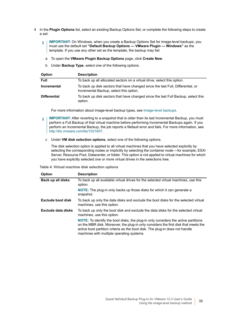- 4 In the **Plugin Options** list, select an existing Backup Options Set, or complete the following steps to create a set:
	- **IMPORTANT:** On Windows, when you create a Backup Options Set for image-level backups, you ì must use the default set **"Default Backup Options — VMware Plugin — Windows"** as the template. If you use any other set as the template, the backup may fail.
		- a To open the **VMware Plugin Backup Options** page, click **Create New**.
		- b Under **Backup Type**, select one of the following options.

| <b>Option</b>       | <b>Description</b>                                                                                                         |
|---------------------|----------------------------------------------------------------------------------------------------------------------------|
| <b>Full</b>         | To back up all allocated sectors on a virtual drive, select this option.                                                   |
| <b>Incremental</b>  | To back up disk sectors that have changed since the last Full, Differential, or<br>Incremental Backup, select this option. |
| <b>Differential</b> | To back up disk sectors that have changed since the last Full Backup, select this<br>option.                               |

For more information about image-level backup types, see [Image-level backups](#page-24-3).

- **IMPORTANT:** After reverting to a snapshot that is older than its last Incremental Backup, you must  $\mathbf{i}$ perform a Full Backup of that virtual machine before performing Incremental Backups again. If you perform an Incremental Backup, the job reports a filefault error and fails. For more information, see [http://kb.vmware.com/kb/1021607.](http://kb.vmware.com/kb/1021607)
	- c Under **VM disk selection options**, select one of the following options.

The disk selection option is applied to all virtual machines that you have selected explicitly by selecting the corresponding nodes or implicitly by selecting the container node—for example, ESXi Server, Resource Pool, Datacenter, or folder. This option is not applied to virtual machines for which you have explicitly selected one or more virtual drives in the selections tree.

**Table 4. Virtual machine disk selection options**

| Option                   | <b>Description</b>                                                                                                                                                                                                                                                                                     |
|--------------------------|--------------------------------------------------------------------------------------------------------------------------------------------------------------------------------------------------------------------------------------------------------------------------------------------------------|
| Back up all disks        | To back up all available virtual drives for the selected virtual machines, use this<br>option.                                                                                                                                                                                                         |
|                          | <b>NOTE:</b> The plug-in only backs up those disks for which it can generate a<br>snapshot.                                                                                                                                                                                                            |
| <b>Exclude boot disk</b> | To back up only the data disks and exclude the boot disks for the selected virtual<br>machines, use this option.                                                                                                                                                                                       |
| Exclude data disks       | To back up only the boot disk and exclude the data disks for the selected virtual<br>machines, use this option.                                                                                                                                                                                        |
|                          | NOTE: To identify the boot disks, the plug-in only considers the active partitions<br>on the MBR disk. Moreover, the plug-in only considers the first disk that meets the<br>active boot partition criteria as the boot disk. The plug-in does not handle<br>machines with multiple operating systems. |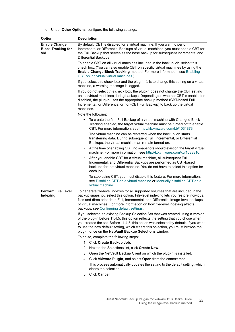d Under **Other Options**, configure the following settings:

<span id="page-32-0"></span>

| Option                                                  | <b>Description</b>                                                                                                                                                                                                                                                                                                                                                                                            |  |  |
|---------------------------------------------------------|---------------------------------------------------------------------------------------------------------------------------------------------------------------------------------------------------------------------------------------------------------------------------------------------------------------------------------------------------------------------------------------------------------------|--|--|
| <b>Enable Change</b><br><b>Block Tracking for</b><br>VM | By default, CBT is disabled for a virtual machine. If you want to perform<br>Incremental or Differential Backups of virtual machines, you must enable CBT for<br>the Full Backup that serves as the base backup for subsequent Incremental and<br>Differential Backups.                                                                                                                                       |  |  |
|                                                         | To enable CBT on all virtual machines included in the backup job, select this<br>check box. (You can also enable CBT on specific virtual machines by using the<br>Enable Change Block Tracking method. For more information, see Enabling<br>CBT on individual virtual machines.)                                                                                                                             |  |  |
|                                                         | If you select this check box and the plug-in fails to change this setting on a virtual<br>machine, a warning message is logged.                                                                                                                                                                                                                                                                               |  |  |
|                                                         | If you do not select this check box, the plug-in does not change the CBT setting<br>on the virtual machines during backups. Depending on whether CBT is enabled or<br>disabled, the plug-in uses the appropriate backup method (CBT-based Full,<br>Incremental, or Differential or non-CBT Full Backup) to back up the virtual<br>machines.                                                                   |  |  |
|                                                         | Note the following:                                                                                                                                                                                                                                                                                                                                                                                           |  |  |
|                                                         | To create the first Full Backup of a virtual machine with Changed Block<br>$\bullet$<br>Tracking enabled, the target virtual machine must be turned off to enable<br>CBT. For more information, see http://kb.vmware.com/kb/1031873.                                                                                                                                                                          |  |  |
|                                                         | The virtual machine can be restarted when the backup job starts<br>transferring data. During subsequent Full, Incremental, or Differential<br>Backups, the virtual machine can remain turned on.                                                                                                                                                                                                              |  |  |
|                                                         | At the time of enabling CBT, no snapshots should exist on the target virtual<br>$\bullet$<br>machine. For more information, see http://kb.vmware.com/kb/1033816.                                                                                                                                                                                                                                              |  |  |
|                                                         | After you enable CBT for a virtual machine, all subsequent Full,<br>$\bullet$<br>Incremental, and Differential Backups are performed as CBT-based<br>backups for that virtual machine. You do not have to select this option for<br>each job.                                                                                                                                                                 |  |  |
|                                                         | To stop using CBT, you must disable this feature. For more information,<br>see Disabling CBT on a virtual machine or Manually disabling CBT on a<br>virtual machine.                                                                                                                                                                                                                                          |  |  |
| <b>Perform File Level</b><br>Indexing                   | To generate file-level indexes for all supported volumes that are included in the<br>backup snapshot, select this option. File-level indexing lets you restore individual<br>files and directories from Full, Incremental, and Differential image-level backups<br>of virtual machines. For more information on how file-level indexing affects<br>backups, see Configuring default settings.                 |  |  |
|                                                         | If you selected an existing Backup Selection Set that was created using a version<br>of the plug-in before 11.4.5, this option reflects the setting that you chose when<br>you created the set. Before 11.4.5, this option was selected by default. If you want<br>to use the new default setting, which clears this selection, you must browse the<br>plug-in once on the NetVault Backup Selections window. |  |  |
|                                                         | To do so, complete the following steps:                                                                                                                                                                                                                                                                                                                                                                       |  |  |
|                                                         | 1.<br>Click Create Backup Job.                                                                                                                                                                                                                                                                                                                                                                                |  |  |
|                                                         | 2<br>Next to the Selections list, click Create New.                                                                                                                                                                                                                                                                                                                                                           |  |  |
|                                                         | 3<br>Open the NetVault Backup Client on which the plug-in is installed.                                                                                                                                                                                                                                                                                                                                       |  |  |
|                                                         | 4<br>Click VMware Plugin, and select Open from the context menu.                                                                                                                                                                                                                                                                                                                                              |  |  |
|                                                         | This process automatically updates the setting to the default setting, which<br>clears the selection.                                                                                                                                                                                                                                                                                                         |  |  |
|                                                         | Click Cancel.<br>5                                                                                                                                                                                                                                                                                                                                                                                            |  |  |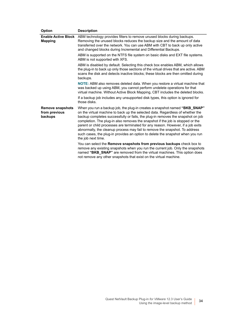| Option                                              | <b>Description</b>                                                                                                                                                                                                                                                                                                                                                                                                                                                                                                                                                                                           |
|-----------------------------------------------------|--------------------------------------------------------------------------------------------------------------------------------------------------------------------------------------------------------------------------------------------------------------------------------------------------------------------------------------------------------------------------------------------------------------------------------------------------------------------------------------------------------------------------------------------------------------------------------------------------------------|
| <b>Enable Active Block</b><br><b>Mapping</b>        | ABM technology provides filters to remove unused blocks during backups.<br>Removing the unused blocks reduces the backup size and the amount of data<br>transferred over the network. You can use ABM with CBT to back up only active<br>and changed blocks during Incremental and Differential Backups.                                                                                                                                                                                                                                                                                                     |
|                                                     | ABM is supported on the NTFS file system on basic disks and EXT file systems.<br>ABM is not supported with XFS.                                                                                                                                                                                                                                                                                                                                                                                                                                                                                              |
|                                                     | ABM is disabled by default. Selecting this check box enables ABM, which allows<br>the plug-in to back up only those sections of the virtual drives that are active. ABM<br>scans the disk and detects inactive blocks; these blocks are then omitted during<br>backups.                                                                                                                                                                                                                                                                                                                                      |
|                                                     | NOTE: ABM also removes deleted data. When you restore a virtual machine that<br>was backed up using ABM, you cannot perform undelete operations for that<br>virtual machine. Without Active Block Mapping, CBT includes the deleted blocks.                                                                                                                                                                                                                                                                                                                                                                  |
|                                                     | If a backup job includes any unsupported disk types, this option is ignored for<br>those disks.                                                                                                                                                                                                                                                                                                                                                                                                                                                                                                              |
| <b>Remove snapshots</b><br>from previous<br>backups | When you run a backup job, the plug-in creates a snapshot named "BKB_SNAP"<br>on the virtual machine to back up the selected data. Regardless of whether the<br>backup completes successfully or fails, the plug-in removes the snapshot on job<br>completion. The plug-in also removes the snapshot if the job is stopped or the<br>parent or child processes are terminated for any reason. However, if a job exits<br>abnormally, the cleanup process may fail to remove the snapshot. To address<br>such cases, the plug-in provides an option to delete the snapshot when you run<br>the job next time. |
|                                                     | You can select the Remove snapshots from previous backups check box to<br>remove any existing snapshots when you run the current job. Only the snapshots<br>named "BKB_SNAP" are removed from the virtual machines. This option does<br>not remove any other snapshots that exist on the virtual machine.                                                                                                                                                                                                                                                                                                    |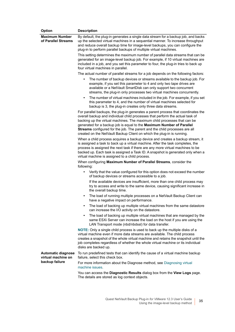| Option                                                            | <b>Description</b>                                                                                                                                                                                                                                                                                                                                                                                                                                                              |
|-------------------------------------------------------------------|---------------------------------------------------------------------------------------------------------------------------------------------------------------------------------------------------------------------------------------------------------------------------------------------------------------------------------------------------------------------------------------------------------------------------------------------------------------------------------|
| <b>Maximum Number</b><br>of Parallel Streams                      | By default, the plug-in generates a single data stream for a backup job, and backs<br>up the selected virtual machines in a sequential manner. To increase throughput<br>and reduce overall backup time for image-level backups, you can configure the<br>plug-in to perform parallel backups of multiple virtual machines.                                                                                                                                                     |
|                                                                   | This setting determines the maximum number of parallel data streams that can be<br>generated for an image-level backup job. For example, if 10 virtual machines are<br>included in a job, and you set this parameter to four, the plug-in tries to back up<br>four virtual machines in parallel.                                                                                                                                                                                |
|                                                                   | The actual number of parallel streams for a job depends on the following factors:                                                                                                                                                                                                                                                                                                                                                                                               |
|                                                                   | The number of backup devices or streams available to the backup job. For<br>$\bullet$<br>example, if you set this parameter to 4 and only two tape drives are<br>available or a NetVault SmartDisk can only support two concurrent<br>streams, the plug-in only processes two virtual machines concurrently.                                                                                                                                                                    |
|                                                                   | The number of virtual machines included in the job. For example, if you set<br>$\bullet$<br>this parameter to 4, and the number of virtual machines selected for<br>backup is 3, the plug-in creates only three data streams.                                                                                                                                                                                                                                                   |
|                                                                   | For parallel backups, the plug-in generates a parent process that coordinates the<br>overall backup and individual child processes that perform the actual task of<br>backing up the virtual machines. The maximum child processes that can be<br>generated for a backup job is equal to the Maximum Number of Parallel<br>Streams configured for the job. The parent and the child processes are all<br>created on the NetVault Backup Client on which the plug-in is running. |
|                                                                   | When a child process acquires a backup device and creates a backup stream, it<br>is assigned a task to back up a virtual machine. After the task completes, the<br>process is assigned the next task if there are any more virtual machines to be<br>backed up. Each task is assigned a Task ID. A snapshot is generated only when a<br>virtual machine is assigned to a child process.                                                                                         |
|                                                                   | When configuring Maximum Number of Parallel Streams, consider the<br>following:                                                                                                                                                                                                                                                                                                                                                                                                 |
|                                                                   | Verify that the value configured for this option does not exceed the number<br>of backup devices or streams accessible to a job.                                                                                                                                                                                                                                                                                                                                                |
|                                                                   | If the available devices are insufficient, more than one child process may<br>try to access and write to the same device, causing significant increase in<br>the overall backup time.                                                                                                                                                                                                                                                                                           |
|                                                                   | The load of running multiple processes on a NetVault Backup Client can<br>have a negative impact on performance.                                                                                                                                                                                                                                                                                                                                                                |
|                                                                   | The load of backing up multiple virtual machines from the same datastore<br>can increase the I/O activity on the datastore.                                                                                                                                                                                                                                                                                                                                                     |
|                                                                   | The load of backing up multiple virtual machines that are managed by the<br>$\bullet$<br>same ESXi Server can increase the load on the host if you are using the<br>LAN Transport mode (nbd/nbdssl) for data transfer.                                                                                                                                                                                                                                                          |
|                                                                   | <b>NOTE:</b> Only a single child process is used to back up the multiple disks of a<br>virtual machine even if more data streams are available. The child process<br>creates a snapshot of the whole virtual machine and retains the snapshot until the<br>job completes regardless of whether the whole virtual machine or its individual<br>disks are backed up.                                                                                                              |
| <b>Automatic diagnose</b><br>virtual machine on<br>backup failure | To run predefined tests that can identify the cause of a virtual machine backup<br>failure, select this check box.                                                                                                                                                                                                                                                                                                                                                              |
|                                                                   | For more information about the Diagnose method, see Diagnosing virtual<br>machine issues.                                                                                                                                                                                                                                                                                                                                                                                       |
|                                                                   | You can access the Diagnostic Results dialog box from the View Logs page.<br>The details are stored as log context objects.                                                                                                                                                                                                                                                                                                                                                     |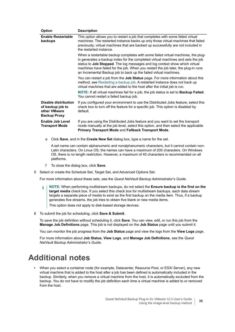| <b>Option</b>                                                                   | <b>Description</b>                                                                                                                                                                                                                                                                                                                                                                                           |
|---------------------------------------------------------------------------------|--------------------------------------------------------------------------------------------------------------------------------------------------------------------------------------------------------------------------------------------------------------------------------------------------------------------------------------------------------------------------------------------------------------|
| <b>Enable Restartable</b><br>backups                                            | This option allows you to restart a job that completes with some failed virtual<br>machines. The restarted instance backs up only those virtual machines that failed<br>previously; virtual machines that are backed up successfully are not included in<br>the restarted instance.                                                                                                                          |
|                                                                                 | When a restartable backup completes with some failed virtual machines, the plug-<br>in generates a backup index for the completed virtual machines and sets the job<br>status to Job Stopped. The log messages and log context show which virtual<br>machines have failed for the job. When you restart the job later, the plug-in runs<br>an Incremental Backup job to back up the failed virtual machines. |
|                                                                                 | You can restart a job from the Job Status page. For more information about this<br>method, see Restarting a backup job. A restarted instance does not back up<br>virtual machines that are added to the host after the initial job is run.                                                                                                                                                                   |
|                                                                                 | NOTE: If all virtual machines fail for a job, the job status is set to <b>Backup Failed</b> .<br>You cannot restart a failed backup job.                                                                                                                                                                                                                                                                     |
| Disable distribution<br>of backup job to<br>other VMware<br><b>Backup Proxy</b> | If you configured your environment to use the Distributed Jobs feature, select this<br>check box to turn off the feature for a specific job. This option is disabled by<br>default.                                                                                                                                                                                                                          |
| Enable Job Level<br><b>Transport Mode</b>                                       | If you are using the Distributed Jobs feature and you want to set the transport<br>mode manually at the job level, select this option, and then select the applicable<br>Primary Transport Mode and Fallback Transport Mode.                                                                                                                                                                                 |
| Click Save, and in the Create New Set dialog box, type a name for the set.<br>е |                                                                                                                                                                                                                                                                                                                                                                                                              |

A set name can contain alphanumeric and nonalphanumeric characters, but it cannot contain non-Latin characters. On Linux OS, the names can have a maximum of 200 characters. On Windows OS, there is no length restriction. However, a maximum of 40 characters is recommended on all platforms.

- f To close the dialog box, click **Save**.
- 5 Select or create the Schedule Set, Target Set, and Advanced Options Set.

For more information about these sets, see the *Quest NetVault Backup Administrator's Guide*.

**NOTE:** When performing multistream backups, do not select the **Ensure backup is the first on the**  f. **target media** check box. If you select this check box for multistream backups, each data stream targets a separate piece of media to exist as the first backup on the media item. Thus, if a backup generates five streams, the job tries to obtain five blank or new media items.

This option does not apply to disk-based storage devices.

6 To submit the job for scheduling, click **Save & Submit**.

To save the job definition without scheduling it, click **Save**. You can view, edit, or run this job from the **Manage Job Definitions** page. This job is not displayed on the **Job Status** page until you submit it.

You can monitor the job progress from the **Job Status** page and view the logs from the **View Logs** page.

For more information about **Job Status**, **View Logs**, and **Manage Job Definitions**, see the *Quest NetVault Backup Administrator's Guide*.

### <span id="page-35-0"></span>**Additional notes**

**•** When you select a container node (for example, Datacenter, Resource Pool, or ESXi Server), any new virtual machine that is added to the host after a job has been defined is automatically included in the backup. Similarly, when you remove a virtual machine from the host, it is automatically excluded from the backup. You do not have to modify the job definition each time a virtual machine is added to or removed from the host.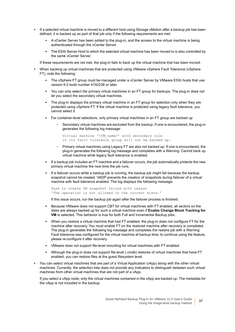- **•** If a selected virtual machine is moved to a different host using Storage vMotion after a backup job has been defined, it is backed up as part of that job only if the following requirements are met:
	- **▪** A vCenter Server has been added to the plug-in, and the access to the virtual machine is being authenticated through the vCenter Server.
	- **The ESXi Server Host to which the selected virtual machine has been moved to is also controlled by** the same vCenter Server.

If these requirements are not met, the plug-in fails to back up the virtual machine that has been moved.

- **•** When backing up virtual machines that are protected using VMware vSphere Fault Tolerance (vSphere FT), note the following:
	- **▪** The vSphere FT group must be managed under a vCenter Server by VMware ESXi hosts that use version 6.0 build number 4192238 or later.
	- **▪** You can only select the primary virtual machines in an FT group for backups. The plug-in does not let you select the secondary virtual machines.
	- **▪** The plug-in displays the primary virtual machine in an FT group for selection only when they are protected using vSphere FT. If the virtual machine is protected using legacy fault tolerance, you cannot select it.
	- **▪** For container-level selections, only primary virtual machines in an FT group are backed up
		- **▫** Secondary virtual machines are excluded from the backup. If one is encountered, the plug-in generates the following log message:

```
Virtual machine '<VM_name>' with secondary role
in its fault tolerance group will not be backed up.
```
- **▫** Primary virtual machines using Legacy FT are also not backed up. If one is encountered, the plug-in generates the following log message and completes with a Warning: Cannot back up virtual machine while legacy fault tolerance is enabled.
- **▪** If a backup job includes an FT machine and a failover occurs, the job automatically protects the new primary virtual machine the next time the job runs.
- **▪** If a failover occurs while a backup job is running, the backup job might fail because the backup snapshot cannot be created. VADP prevents the creation of snapshots during failover of a virtual machine with fault tolerance enabled. The log displays the following message:

```
Task to create VM snapshot failed with reason
'The operation is not allowed in the current state.'
```
If this issue occurs, run the backup job again after the failover process is finished.

- **▪** Because VMware does not support CBT for virtual machines with FT enabled, all sectors on the disks are always backed up for such a virtual machine even if **Enable Change Block Tracking for VM** is selected. This behavior is true for both Full and Incremental Backup jobs.
- **▪** When you restore a virtual machine that had FT enabled, the plug-in does not configure FT for the machine after recovery. You must enable FT on the restored machine after recovery is completed. The plug-in generates the following log message and completes the restore job with a Warning: Fault tolerance was configured for the virtual machine at backup time; to continue using the feature, please re-configure it after recovery.
- **▪** VMware does not support file-level mounting for virtual machines with FT enabled.
- **▪** Although the plug-in does not support file-level (.vmdk) restores of virtual machines that have FT enabled, you can restore files at the guest filesystem level.
- **•** You can select virtual machines that are part of a Virtual Application (vApp) along with the other virtual machines. Currently, the selection tree does not provide any indicators to distinguish between such virtual machines from other virtual machines that are not part of a vApp.

If you select a vApp node, only the virtual machines contained in the vApp are backed up. The metadata for the vApp is not included in the backup.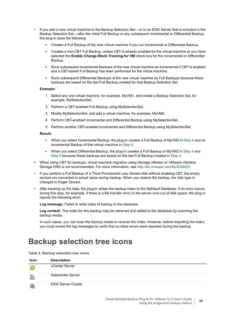- **•** If you add a new virtual machine to the Backup Selection Set or to an ESXi Server that is included in the Backup Selection Set — after the initial Full Backup or any subsequent Incremental or Differential Backup, the plug-in does the following:
	- **▪** Creates a Full Backup of the new virtual machine if you run Incremental or Differential Backup.
	- **▪** Creates a non-CBT Full Backup, unless CBT is already enabled for the virtual machine or you have selected the **Enable Change Block Tracking for VM** check box for the Incremental or Differential Backup.
	- **▪** Runs subsequent Incremental Backups of the new virtual machine as Incremental if CBT is enabled and a CBT-based Full Backup has been performed for the virtual machine.
	- **▪** Runs subsequent Differential Backups of the new virtual machine as Full Backups because these backups are based on the last Full Backup created for that Backup Selection Set.

#### **Example:**

- 1 Select any one virtual machine, for example, MyVM1, and create a Backup Selection Set, for example, MySelectionSet.
- <span id="page-37-2"></span>2 Perform a CBT-enabled Full Backup using MySelectionSet.
- 3 Modify MySelectionSet, and add a virtual machine, for example, MyVM2.
- <span id="page-37-0"></span>4 Perform CBT-enabled Incremental and Differential Backup using MySelectionSet.
- 5 Perform another CBT-enabled Incremental and Differential Backup using MySelectionSet.

#### <span id="page-37-1"></span>**Result:**

- **▪** When you select Incremental Backup, the plug-in creates a Full Backup of MyVM2 in [Step 4](#page-37-0) and an Incremental Backup of that virtual machine in [Step 5](#page-37-1).
- **▪** When you select Differential Backup, the plug-in creates a Full Backup of MyVM2 in [Step 4](#page-37-0) and [Step 5](#page-37-1) because these backups are based on the last Full Backup created in [Step 2.](#page-37-2)
- **•** When using CBT for backups, virtual machine migration using Storage vMotion or VMware vSphere Storage DRS is not recommended. For more information, see [http://kb.vmware.com/kb/2048201.](http://kb.vmware.com/kb/2048201)
- **•** If you perform a Full Backup of a Thick Provisioned Lazy Zeroed disk without enabling CBT, the empty sectors are converted to actual zeros during backup. When you restore the backup, the disk type is changed to Eager Zeroed.
- **•** After backing up the data, the plug-in writes the backup index to the NetVault Database. If an error occurs during this step, for example, if there is a file transfer error or the server runs out of disk space, the plug-in reports the following error:

**Log message:** Failed to write index of backup to the database.

**Log context:** The index for this backup may be retrieved and added to the database by scanning the backup media.

In such cases, you can scan the backup media to recover the index. However, before importing the index, you must review the log messages to verify that no other errors were reported during the backup.

## **Backup selection tree icons**

**Table 5. Backup selection tree icons**

| Icon | <b>Description</b>         |
|------|----------------------------|
| Ø    | vCenter Server             |
| 騙    | Datacenter Server          |
| 曲    | <b>ESXi Server Cluster</b> |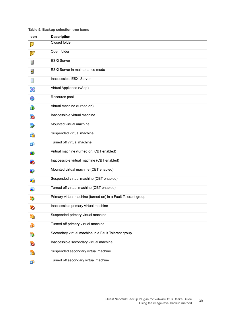### **Table 5. Backup selection tree icons**

| Icon | <b>Description</b>                                            |
|------|---------------------------------------------------------------|
|      | <b>Closed folder</b>                                          |
| ø    | Open folder                                                   |
| 益    | <b>ESXi Server</b>                                            |
| 륟    | ESXI Server in maintenance mode                               |
|      | Inaccessible ESXi Server                                      |
| 器    | Virtual Appliance (vApp)                                      |
| O    | Resource pool                                                 |
| Ð    | Virtual machine (turned on)                                   |
| 5    | Inaccessible virtual machine                                  |
| 母    | Mounted virtual machine                                       |
| di   | Suspended virtual machine                                     |
| 喦    | Turned off virtual machine                                    |
| Ð    | Virtual machine (turned on, CBT enabled)                      |
| łÓ.  | Inaccessible virtual machine (CBT enabled)                    |
| 幓    | Mounted virtual machine (CBT enabled)                         |
| łò   | Suspended virtual machine (CBT enabled)                       |
| Ð    | Turned off virtual machine (CBT enabled)                      |
| ġ,   | Primary virtual machine (turned on) in a Fault Tolerant group |
| 5    | Inaccessible primary virtual machine                          |
| 曲    | Suspended primary virtual machine                             |
| 画    | Turned off primary virtual machine                            |
| 邙    | Secondary virtual machine in a Fault Tolerant group           |
| 内    | Inaccessible secondary virtual machine                        |
| 喦    | Suspended secondary virtual machine                           |
| 喦    | Turned off secondary virtual machine                          |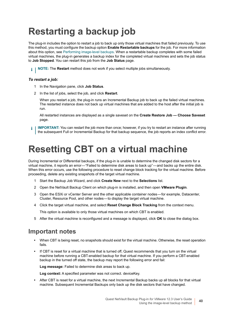# **Restarting a backup job**

The plug-in includes the option to restart a job to back up only those virtual machines that failed previously. To use this method, you must configure the backup option **Enable Restartable backups** for the job. For more information about this option, see [Performing image-level backups](#page-30-0). When a restartable backup completes with some failed virtual machines, the plug-in generates a backup index for the completed virtual machines and sets the job status to **Job Stopped**. You can restart this job from the **Job Status** page.

**i** | NOTE: The Restart method does not work if you select multiple jobs simultaneously.

#### *To restart a job:*

- 1 In the Navigation pane, click **Job Status**.
- 2 In the list of jobs, select the job, and click **Restart**.

When you restart a job, the plug-in runs an Incremental Backup job to back up the failed virtual machines. The restarted instance does not back up virtual machines that are added to the host after the initial job is run.

All restarted instances are displayed as a single saveset on the **Create Restore Job — Choose Saveset** page.

**IMPORTANT:** You can restart the job more than once; however, if you try to restart an instance after running ÷ the subsequent Full or Incremental Backup for that backup sequence, the job reports an index conflict error.

# <span id="page-39-0"></span>**Resetting CBT on a virtual machine**

During Incremental or Differential backups, if the plug-in is unable to determine the changed disk sectors for a virtual machine, it reports an error—"Failed to determine disk areas to back up"—and backs up the entire disk. When this error occurs, use the following procedure to reset change block tracking for the virtual machine. Before proceeding, delete any existing snapshots of the target virtual machine.

- 1 Start the Backup Job Wizard, and click **Create New** next to the **Selections** list.
- 2 Open the NetVault Backup Client on which plug-in is installed, and then open **VMware Plugin**.
- 3 Open the ESXi or vCenter Server and the other applicable container nodes for example, Datacenter, Cluster, Resource Pool, and other nodes — to display the target virtual machine.
- 4 Click the target virtual machine, and select **Reset Change Block Tracking** from the context menu.

This option is available to only those virtual machines on which CBT is enabled.

5 After the virtual machine is reconfigured and a message is displayed, click **OK** to close the dialog box.

### **Important notes**

- **•** When CBT is being reset, no snapshots should exist for the virtual machine. Otherwise, the reset operation fails.
- **•** If CBT is reset for a virtual machine that is turned off, Quest recommends that you turn on the virtual machine before running a CBT-enabled backup for that virtual machine. If you perform a CBT-enabled backup in the turned off state, the backup may report the following error and fail:

**Log message:** Failed to determine disk areas to back up.

**Log context:** A specified parameter was not correct. deviceKey.

**•** After CBT is reset for a virtual machine, the next Incremental Backup backs up all blocks for that virtual machine. Subsequent Incremental Backups only back up the disk sectors that have changed.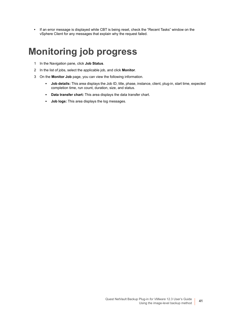**•** If an error message is displayed while CBT is being reset, check the "Recent Tasks" window on the vSphere Client for any messages that explain why the request failed.

# **Monitoring job progress**

- 1 In the Navigation pane, click **Job Status**.
- 2 In the list of jobs, select the applicable job, and click **Monitor**.
- 3 On the **Monitor Job** page, you can view the following information.
	- **Job details:** This area displays the Job ID, title, phase, instance, client, plug-in, start time, expected completion time, run count, duration, size, and status.
	- **Data transfer chart:** This area displays the data transfer chart.
	- **Job logs:** This area displays the log messages.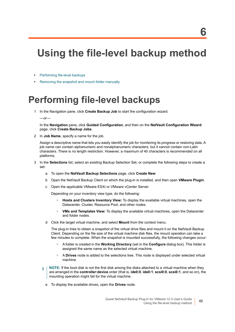# **Using the file-level backup method**

- **•** [Performing file-level backups](#page-41-0)
- **•** [Removing the snapshot and mount folder manually](#page-44-0)

# <span id="page-41-0"></span>**Performing file-level backups**

1 In the Navigation pane, click **Create Backup Job** to start the configuration wizard.

 $-$ or $-$ 

In the **Navigation** pane, click **Guided Configuration**, and then on the **NetVault Configuration Wizard**  page, click **Create Backup Jobs**.

2 In **Job Name**, specify a name for the job.

Assign a descriptive name that lets you easily identify the job for monitoring its progress or restoring data. A job name can contain alphanumeric and nonalphanumeric characters, but it cannot contain non-Latin characters. There is no length restriction. However, a maximum of 40 characters is recommended on all platforms.

- 3 In the **Selections** list, select an existing Backup Selection Set, or complete the following steps to create a set:
	- a To open the **NetVault Backup Selections** page, click **Create New**.
	- b Open the NetVault Backup Client on which the plug-in is installed, and then open **VMware Plugin**.
	- c Open the applicable VMware ESXi or VMware vCenter Server.

Depending on your inventory view type, do the following:

- **Hosts and Clusters Inventory View:** To display the available virtual machines, open the Datacenter, Cluster, Resource Pool, and other nodes.
- **VMs and Templates View:** To display the available virtual machines, open the Datacenter and folder nodes.
- d Click the target virtual machine, and select **Mount** from the context menu.

The plug-in tries to obtain a snapshot of the virtual drive files and mount it on the NetVault Backup Client. Depending on the file size of the virtual machine disk files, the mount operation can take a few minutes to complete. When the snapshot is mounted successfully, the following changes occur:

- **▫** A folder is created in the **Working Directory** (set in the **Configure** dialog box). This folder is assigned the same name as the selected virtual machine.
- **▫** A **Drives** node is added to the selections tree. This node is displayed under selected virtual machine.
- **NOTE:** If the boot disk is not the first disk among the disks attached to a virtual machine when they f. are arranged in the **controller:device** order (that is, **ide0:0**, **ide0:1**, **scsi0:0**, **scsi0:1**, and so on), the mounting operation might fail for the virtual machine.
	- e To display the available drives, open the **Drives** node.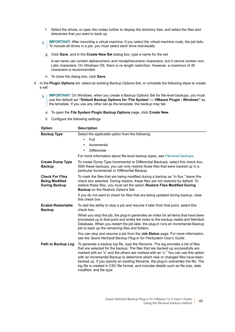- f Select the drives, or open the nodes further to display the directory tree, and select the files and directories that you want to back up.
- **I | IMPORTANT:** After mounting a virtual machine, if you select the virtual machine node, the job fails. To include all drives in a job, you must select each drive individually.
	- g Click **Save**, and in the **Create New Set** dialog box, type a name for the set.

A set name can contain alphanumeric and nonalphanumeric characters, but it cannot contain non-Latin characters. On Windows OS, there is no length restriction. However, a maximum of 40 characters is recommended.

- h To close the dialog box, click **Save**.
- 4 In the **Plugin Options** list, select an existing Backup Options Set, or complete the following steps to create a set:
	- **IMPORTANT:** On Windows, when you create a Backup Options Set for file-level backups, you must f. use the default set **"Default Backup Options for 'File System' — VMware Plugin - Windows"** as the template. If you use any other set as the template, the backup may fail.
		- a To open the **File System Plugin Backup Options** page, click **Create New**.
		- b Configure the following settings:

| <b>Option</b>                                                           | <b>Description</b>                                                                                                                                                                                                                                                                                                                                                                                                                                                                                                                                     |
|-------------------------------------------------------------------------|--------------------------------------------------------------------------------------------------------------------------------------------------------------------------------------------------------------------------------------------------------------------------------------------------------------------------------------------------------------------------------------------------------------------------------------------------------------------------------------------------------------------------------------------------------|
| <b>Backup Type</b>                                                      | Select the applicable option from the following:                                                                                                                                                                                                                                                                                                                                                                                                                                                                                                       |
|                                                                         | Full<br>$\bullet$                                                                                                                                                                                                                                                                                                                                                                                                                                                                                                                                      |
|                                                                         | Incremental<br>٠                                                                                                                                                                                                                                                                                                                                                                                                                                                                                                                                       |
|                                                                         | <b>Differential</b><br>$\bullet$                                                                                                                                                                                                                                                                                                                                                                                                                                                                                                                       |
|                                                                         | For more information about file-level backup types, see File-level backups.                                                                                                                                                                                                                                                                                                                                                                                                                                                                            |
| <b>Create Dump Type</b><br><b>Backup</b>                                | To create Dump Type Incremental or Differential Backups, select this check box.<br>With these backups, you can only restore those files that were backed up in a<br>particular Incremental or Differential Backup.                                                                                                                                                                                                                                                                                                                                     |
| <b>Check For Files</b><br><b>Being Modified</b><br><b>During Backup</b> | To mark the files that are being modified during a backup as "in flux," leave this<br>check box selected. During restore, these files are not restored by default. To<br>restore these files, you must set the option Restore Files Modified During<br><b>Backup</b> on the Restore Options Set.                                                                                                                                                                                                                                                       |
|                                                                         | If you do not want to check for files that are being updated during backup, clear<br>this check box.                                                                                                                                                                                                                                                                                                                                                                                                                                                   |
| <b>Enable Restartable</b><br><b>Backup</b>                              | To add the ability to stop a job and resume it later from that point, select this<br>check box.                                                                                                                                                                                                                                                                                                                                                                                                                                                        |
|                                                                         | When you stop the job, the plug-in generates an index for all items that have been<br>processed up to that point and writes the index to the backup media and NetVault<br>Database. When you restart the job later, the plug-in runs an Incremental Backup<br>job to back up the remaining files and folders.                                                                                                                                                                                                                                          |
|                                                                         | You can stop and resume a job from the <b>Job Status</b> page. For more information,<br>see the Quest NetVault Backup Plug-in for FileSystem User's Guide.                                                                                                                                                                                                                                                                                                                                                                                             |
| Path to Backup Log                                                      | To generate a backup log file, type the filename. The log provides a list of files<br>that are selected for the backup. The files that are backed up successfully are<br>marked with an "o" and the others are marked with an "x." You can use this option<br>with an Incremental Backup to determine which new or changed files have been<br>backed up. If you specify an existing filename, the plug-in overwrites the file. The<br>log file is created in CSV file format, and includes details such as file size, date<br>modified, and file type. |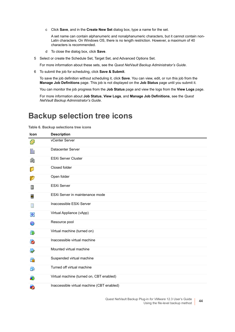c Click **Save**, and in the **Create New Set** dialog box, type a name for the set.

A set name can contain alphanumeric and nonalphanumeric characters, but it cannot contain non-Latin characters. On Windows OS, there is no length restriction. However, a maximum of 40 characters is recommended.

d To close the dialog box, click **Save**.

5 Select or create the Schedule Set, Target Set, and Advanced Options Set.

For more information about these sets, see the *Quest NetVault Backup Administrator's Guide*.

6 To submit the job for scheduling, click **Save & Submit**.

To save the job definition without scheduling it, click **Save**. You can view, edit, or run this job from the **Manage Job Definitions** page. This job is not displayed on the **Job Status** page until you submit it.

You can monitor the job progress from the **Job Status** page and view the logs from the **View Logs** page.

For more information about **Job Status**, **View Logs**, and **Manage Job Definitions**, see the *Quest NetVault Backup Administrator's Guide*.

## **Backup selection tree icons**

**Table 6. Backup selections tree icons**

| <b>Icon</b> | <b>Description</b>                         |
|-------------|--------------------------------------------|
| Ø           | vCenter Server                             |
| 顯           | Datacenter Server                          |
| 盹           | <b>ESXi Server Cluster</b>                 |
| p           | Closed folder                              |
| Ø           | Open folder                                |
| 垦           | <b>ESXi Server</b>                         |
| 묻           | ESXi Server in maintenance mode            |
| ⊟           | Inaccessible ESXi Server                   |
| 먦           | Virtual Appliance (vApp)                   |
| ₩           | Resource pool                              |
| 63          | Virtual machine (turned on)                |
| lo.         | Inaccessible virtual machine               |
| 母           | Mounted virtual machine                    |
| đò.         | Suspended virtual machine                  |
| 喦           | Turned off virtual machine                 |
| Ð           | Virtual machine (turned on, CBT enabled)   |
| Г.          | Inaccessible virtual machine (CBT enabled) |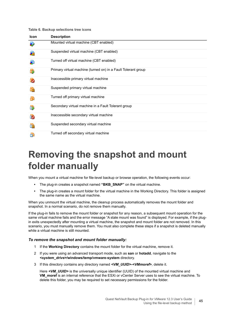#### **Table 6. Backup selections tree icons**

| Icon | <b>Description</b>                                            |
|------|---------------------------------------------------------------|
|      | Mounted virtual machine (CBT enabled)                         |
|      | Suspended virtual machine (CBT enabled)                       |
| 凾    | Turned off virtual machine (CBT enabled)                      |
| 小    | Primary virtual machine (turned on) in a Fault Tolerant group |
| ts.  | Inaccessible primary virtual machine                          |
|      | Suspended primary virtual machine                             |
| 曲    | Turned off primary virtual machine                            |
| 暈    | Secondary virtual machine in a Fault Tolerant group           |
| ä5   | Inaccessible secondary virtual machine                        |
| e.   | Suspended secondary virtual machine                           |
| 喦    | Turned off secondary virtual machine                          |

# <span id="page-44-0"></span>**Removing the snapshot and mount folder manually**

When you mount a virtual machine for file-level backup or browse operation, the following events occur:

- **•** The plug-in creates a snapshot named **"BKB\_SNAP"** on the virtual machine.
- **•** The plug-in creates a mount folder for the virtual machine in the Working Directory. This folder is assigned the same name as the virtual machine.

When you unmount the virtual machine, the cleanup process automatically removes the mount folder and snapshot. In a normal scenario, do not remove them manually.

If the plug-in fails to remove the mount folder or snapshot for any reason, a subsequent mount operation for the same virtual machine fails and the error message "A stale mount was found" is displayed. For example, if the plugin exits unexpectedly after mounting a virtual machine, the snapshot and mount folder are not removed. In this scenario, you must manually remove them. You must also complete these steps if a snapshot is deleted manually while a virtual machine is still mounted.

#### *To remove the snapshot and mount folder manually:*

- 1 If the **Working Directory** contains the mount folder for the virtual machine, remove it.
- 2 If you were using an advanced transport mode, such as **san** or **hotadd**, navigate to the *<system\_drive>***/windows/temp/vmware-system** directory.
- 3 If this directory contains any directory named *<VM\_UUID>***-***<VMmoref>*, delete it.

Here **<VM\_UUID>** is the universally unique identifier (UUID) of the mounted virtual machine and **VM\_moref** is an internal reference that the ESXi or vCenter Server uses to see the virtual machine. To delete this folder, you may be required to set necessary permissions for the folder.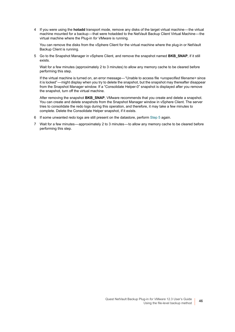4 If you were using the **hotadd** transport mode, remove any disks of the target virtual machine — the virtual machine mounted for a backup — that were hotadded to the NetVault Backup Client Virtual Machine — the virtual machine where the Plug-in *for VMware* is running.

You can remove the disks from the vSphere Client for the virtual machine where the plug-in or NetVault Backup Client is running.

<span id="page-45-0"></span>5 Go to the Snapshot Manager in vSphere Client, and remove the snapshot named **BKB\_SNAP**, if it still exists.

Wait for a few minutes (approximately 2 to 3 minutes) to allow any memory cache to be cleared before performing this step.

If the virtual machine is turned on, an error message — "Unable to access file *<unspecified filename>* since it is locked" — might display when you try to delete the snapshot, but the snapshot may thereafter disappear from the Snapshot Manager window. If a "Consolidate Helper-0" snapshot is displayed after you remove the snapshot, turn off the virtual machine.

After removing the snapshot **BKB SNAP**, VMware recommends that you create and delete a snapshot. You can create and delete snapshots from the Snapshot Manager window in vSphere Client. The server tries to consolidate the redo logs during this operation, and therefore, it may take a few minutes to complete. Delete the Consolidate Helper snapshot, if it exists.

- 6 If some unwanted redo logs are still present on the datastore, perform [Step 5](#page-45-0) again.
- 7 Wait for a few minutes approximately 2 to 3 minutes to allow any memory cache to be cleared before performing this step.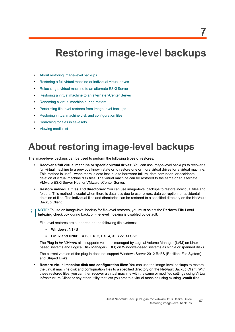# **Restoring image-level backups**

- **•** [About restoring image-level backups](#page-46-0)
- **•** [Restoring a full virtual machine or individual virtual drives](#page-47-0)
- **•** [Relocating a virtual machine to an alternate ESXi Server](#page-52-0)
- **•** [Restoring a virtual machine to an alternate vCenter Server](#page-53-0)
- **•** [Renaming a virtual machine during restore](#page-54-0)
- **•** [Performing file-level restores from image-level backups](#page-55-0)
- **•** [Restoring virtual machine disk and configuration files](#page-57-0)
- **•** [Searching for files in savesets](#page-60-0)
- **•** [Viewing media list](#page-61-0)

# <span id="page-46-0"></span>**About restoring image-level backups**

The image-level backups can be used to perform the following types of restores:

- **Recover a full virtual machine or specific virtual drives:** You can use image-level backups to recover a full virtual machine to a previous known state or to restore one or more virtual drives for a virtual machine. This method is useful when there is data loss due to hardware failure, data corruption, or accidental deletion of virtual machine disk files. The virtual machine can be restored to the same or an alternate VMware ESXi Server Host or VMware vCenter Server.
- **Restore individual files and directories:** You can use image-level backups to restore individual files and folders. This method is useful when there is data loss due to user errors, data corruption, or accidental deletion of files. The individual files and directories can be restored to a specified directory on the NetVault Backup Client.
- **NOTE:** To use an image-level backup for file-level restores, you must select the **Perform File Level**  ÷ **Indexing** check box during backup. File-level indexing is disabled by default.

File-level restores are supported on the following file systems:

- **Windows:** NTFS
- **Linux and UNIX:** EXT2, EXT3, EXT4, XFS v2, XFS v3

The Plug-in *for VMware* also supports volumes managed by Logical Volume Manager (LVM) on Linuxbased systems and Logical Disk Manager (LDM) on Windows-based systems as single or spanned disks.

The current version of the plug-in does not support Windows Server 2012 ReFS (Resilient File System) and Striped Disks.

**• Restore virtual machine disk and configuration files:** You can use the image-level backups to restore the virtual machine disk and configuration files to a specified directory on the NetVault Backup Client. With these restored files, you can then recover a virtual machine with the same or modified settings using Virtual Infrastructure Client or any other utility that lets you create a virtual machine using existing **.vmdk** files.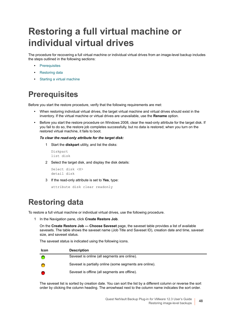# <span id="page-47-0"></span>**Restoring a full virtual machine or individual virtual drives**

The procedure for recovering a full virtual machine or individual virtual drives from an image-level backup includes the steps outlined in the following sections:

- **•** [Prerequisites](#page-47-1)
- **•** [Restoring data](#page-47-2)
- **•** [Starting a virtual machine](#page-51-0)

## <span id="page-47-1"></span>**Prerequisites**

Before you start the restore procedure, verify that the following requirements are met:

- **•** When restoring individual virtual drives, the target virtual machine and virtual drives should exist in the inventory. If the virtual machine or virtual drives are unavailable, use the **Rename** option.
- **•** Before you start the restore procedure on Windows 2008, clear the read-only attribute for the target disk. If you fail to do so, the restore job completes successfully, but no data is restored; when you turn on the restored virtual machine, it fails to boot.

#### *To clear the read-only attribute for the target disk:*

1 Start the **diskpart** utility, and list the disks:

```
Diskpart
list disk
```
2 Select the target disk, and display the disk details:

```
Select disk <X>
detail disk
```
3 If the read-only attribute is set to **Yes**, type:

```
attribute disk clear readonly
```
## <span id="page-47-2"></span>**Restoring data**

To restore a full virtual machine or individual virtual drives, use the following procedure.

<span id="page-47-3"></span>1 In the Navigation pane, click **Create Restore Job**.

On the **Create Restore Job — Choose Saveset** page, the saveset table provides a list of available savesets. The table shows the saveset name (Job Title and Saveset ID), creation date and time, saveset size, and saveset status.

The saveset status is indicated using the following icons.

| <b>Icon</b> | <b>Description</b>                                      |
|-------------|---------------------------------------------------------|
|             | Saveset is online (all segments are online).            |
|             | Saveset is partially online (some segments are online). |
|             | Saveset is offline (all segments are offline).          |

The saveset list is sorted by creation date. You can sort the list by a different column or reverse the sort order by clicking the column heading. The arrowhead next to the column name indicates the sort order.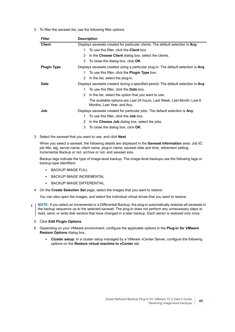2 To filter the saveset list, use the following filter options:

| <b>Filter</b>      | <b>Description</b>                                                                                    |
|--------------------|-------------------------------------------------------------------------------------------------------|
| <b>Client</b>      | Displays savesets created for particular clients. The default selection is Any.                       |
|                    | To use this filter, click the <b>Client</b> box.<br>1                                                 |
|                    | In the Choose Client dialog box, select the clients.<br>2                                             |
|                    | 3<br>To close the dialog box, click OK.                                                               |
| <b>Plugin Type</b> | Displays savesets created using a particular plug-in. The default selection is Any.                   |
|                    | To use this filter, click the <b>Plugin Type</b> box.<br>1                                            |
|                    | In the list, select the plug-in.<br>2                                                                 |
| Date               | Displays savesets created during a specified period. The default selection is Any.                    |
|                    | To use this filter, click the <b>Date</b> box.<br>1.                                                  |
|                    | In the list, select the option that you want to use.<br>2                                             |
|                    | The available options are Last 24 hours, Last Week, Last Month, Last 6<br>Months, Last Year, and Any. |
| Job                | Displays savesets created for particular jobs. The default selection is Any.                          |
|                    | To use this filter, click the <b>Job</b> box.<br>1.                                                   |
|                    | In the Choose Job dialog box, select the jobs.<br>2                                                   |
|                    | 3<br>To close the dialog box, click OK.                                                               |
|                    |                                                                                                       |

3 Select the saveset that you want to use, and click **Next**.

When you select a saveset, the following details are displayed in the **Saveset Information** area: Job ID, job title, tag, server name, client name, plug-in name, saveset date and time, retirement setting, Incremental Backup or not, archive or not, and saveset size.

Backup tags indicate the type of image-level backup. The image-level backups use the following tags or backup-type identifiers:

- **▪** BACKUP IMAGE FULL
- **▪** BACKUP IMAGE INCREMENTAL
- **▪** BACKUP IMAGE DIFFERENTIAL
- <span id="page-48-0"></span>4 On the **Create Selection Set** page, select the images that you want to restore.

You can also open the images, and select the individual virtual drives that you want to restore.

- <span id="page-48-1"></span>**NOTE:** If you select an Incremental or a Differential Backup, the plug-in automatically restores all savesets in  $\ddot{\mathbf{r}}$ the backup sequence up to the selected saveset. The plug-in does not perform any unnecessary steps to read, send, or write disk sectors that have changed in a later backup. Each sector is restored only once.
	- 5 Click **Edit Plugin Options**.
	- 6 Depending on your VMware environment, configure the applicable options in the **Plug-in** *for VMware* **Restore Options** dialog box.
		- **Cluster setup:** In a cluster setup managed by a VMware vCenter Server, configure the following options on the **Restore virtual machine to vCenter** tab.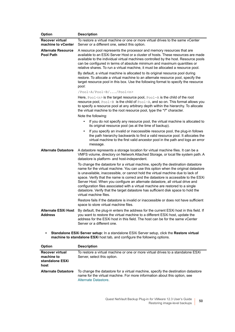| <b>Option</b>                                | <b>Description</b>                                                                                                                                                                                                                                                                                                                                                                                                                                                                                                                                                                                                               |
|----------------------------------------------|----------------------------------------------------------------------------------------------------------------------------------------------------------------------------------------------------------------------------------------------------------------------------------------------------------------------------------------------------------------------------------------------------------------------------------------------------------------------------------------------------------------------------------------------------------------------------------------------------------------------------------|
| <b>Recover virtual</b><br>machine to vCenter | To restore a virtual machine or one or more virtual drives to the same vCenter<br>Server or a different one, select this option.                                                                                                                                                                                                                                                                                                                                                                                                                                                                                                 |
| <b>Alternate Resource</b><br>Pool Path       | A resource pool represents the processor and memory resources that are<br>available to an ESXi Server Host or a cluster of hosts. These resources are made<br>available to the individual virtual machines controlled by the host. Resource pools<br>can be configured in terms of absolute minimum and maximum quantities or<br>relative shares. To run a virtual machine, it must be allocated a resource pool.                                                                                                                                                                                                                |
|                                              | By default, a virtual machine is allocated to its original resource pool during<br>restore. To allocate a virtual machine to an alternate resource pool, specify the<br>target resource pool in this box. Use the following format to specify the resource<br>pool:                                                                                                                                                                                                                                                                                                                                                              |
|                                              | /Pool-A/Pool-B//Pool <n></n>                                                                                                                                                                                                                                                                                                                                                                                                                                                                                                                                                                                                     |
|                                              | Here, $Pool \le n$ is the target resource pool, $Pool - A$ is the child of the root<br>resource pool, Pool-B is the child of Pool-A, and so on. This format allows you<br>to specify a resource pool at any arbitrary depth within the hierarchy. To allocate<br>the virtual machine to the root resource pool, type the "I" character.                                                                                                                                                                                                                                                                                          |
|                                              | Note the following:                                                                                                                                                                                                                                                                                                                                                                                                                                                                                                                                                                                                              |
|                                              | If you do not specify any resource pool, the virtual machine is allocated to<br>$\bullet$<br>its original resource pool (as at the time of backup).                                                                                                                                                                                                                                                                                                                                                                                                                                                                              |
|                                              | If you specify an invalid or inaccessible resource pool, the plug-in follows<br>٠<br>the path hierarchy backwards to find a valid resource pool. It allocates the<br>virtual machine to the first valid ancestor pool in the path and logs an error<br>message.                                                                                                                                                                                                                                                                                                                                                                  |
| <b>Alternate Datastore</b>                   | A datastore represents a storage location for virtual machine files. It can be a<br>VMFS volume, directory on Network Attached Storage, or local file system path. A<br>datastore is platform- and host-independent.                                                                                                                                                                                                                                                                                                                                                                                                             |
|                                              | To change the datastore for a virtual machine, specify the destination datastore<br>name for the virtual machine. You can use this option when the original datastore<br>is unavailable, inaccessible, or cannot hold the virtual machine due to lack of<br>space. Verify that the name is correct and the datastore is accessible to the ESXi<br>Server Host. When you configure an alternate datastore, all virtual drive and<br>configuration files associated with a virtual machine are restored to a single<br>datastore. Verify that the target datastore has sufficient disk space to hold the<br>virtual machine files. |
|                                              | Restore fails if the datastore is invalid or inaccessible or does not have sufficient<br>space to store virtual machine files.                                                                                                                                                                                                                                                                                                                                                                                                                                                                                                   |
| <b>Alternate ESXi Host</b><br><b>Address</b> | By default, the plug-in enters the address for the current ESXi host in this field. If<br>you want to restore the virtual machine to a different ESXi host, update the<br>address for the ESXi host in this field. The host can be for the same yCenter<br>Server or a different one.                                                                                                                                                                                                                                                                                                                                            |
|                                              | Standalone ESXi Server setup: In a standalone ESXi Server setup, click the Restore virtual<br>machine to standalone ESXi host tab, and configure the following options.                                                                                                                                                                                                                                                                                                                                                                                                                                                          |

<span id="page-49-0"></span>

| <b>Option</b>                                                   | <b>Description</b>                                                                                                                                                                    |
|-----------------------------------------------------------------|---------------------------------------------------------------------------------------------------------------------------------------------------------------------------------------|
| <b>Recover virtual</b><br>machine to<br>standalone ESXi<br>host | To restore a virtual machine or one or more virtual drives to a standalone ESXi<br>Server, select this option.                                                                        |
| <b>Alternate Datastore</b>                                      | To change the datastore for a virtual machine, specify the destination datastore<br>name for the virtual machine. For more information about this option, see<br>Alternate Datastore. |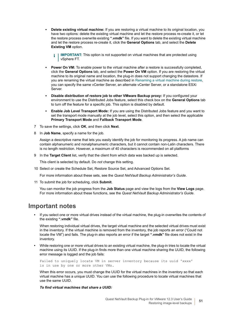- **Delete existing virtual machine:** If you are restoring a virtual machine to its original location, you have two options: delete the existing virtual machine and let the restore process re-create it, or let the restore process overwrite existing **".vmdk"** file. If you want to delete the existing virtual machine and let the restore process re-create it, click the **General Options** tab, and select the **Delete Existing VM** option.
	- **IMPORTANT:** This option is not supported on virtual machines that are protected using ÷ vSphere FT.
- **Power On VM:** To enable power to the virtual machine after a restore is successfully completed, click the **General Options** tab, and select the **Power On VM** option. If you are restoring the virtual machine to its original name and location, the plug-in does not support changing the datastore. If you are renaming the virtual machine as described in [Renaming a virtual machine during restore](#page-54-0), you can specify the same vCenter Server, an alternate vCenter Server, or a standalone ESXi .<br>Server.
- **Disable distribution of restore job to other VMware Backup proxy:** If you configured your environment to use the Distributed Jobs feature, select this check box on the **General Options** tab to turn off the feature for a specific job. This option is disabled by default.
- **Enable Job Level Transport Mode:** If you are using the Distributed Jobs feature and you want to set the transport mode manually at the job level, select this option, and then select the applicable **Primary Transport Mode** and **Fallback Transport Mode**.
- 7 To save the settings, click **OK**, and then click **Next**.
- 8 In **Job Name**, specify a name for the job.

Assign a descriptive name that lets you easily identify the job for monitoring its progress. A job name can contain alphanumeric and nonalphanumeric characters, but it cannot contain non-Latin characters. There is no length restriction. However, a maximum of 40 characters is recommended on all platforms

9 In the **Target Client** list, verify that the client from which data was backed up is selected.

This client is selected by default. Do *not* change this setting.

10 Select or create the Schedule Set, Restore Source Set, and Advanced Options Set.

For more information about these sets, see the *Quest NetVault Backup Administrator's Guide*.

<span id="page-50-0"></span>11 To submit the job for scheduling, click **Submit**.

You can monitor the job progress from the **Job Status** page and view the logs from the **View Logs** page. For more information about these functions, see the *Quest NetVault Backup Administrator's Guide*.

### **Important notes**

**•** If you select one or more virtual drives instead of the virtual machine, the plug-in overwrites the contents of the existing **".vmdk"** file.

When restoring individual virtual drives, the target virtual machine and the selected virtual drives must exist in the inventory. If the virtual machine is removed from the inventory, the job reports an error ("Could not locate the VM") and fails. The plug-in also reports an error if the target **".vmdk"** file does not exist in the inventory.

**•** While restoring one or more virtual drives to an existing virtual machine, the plug-in tries to locate the virtual machine using its UUID. If the plug-in finds more than one virtual machine sharing the UUID, the following error message is logged and the job fails:

Failed to uniquely locate VM in server inventory because its uuid 'xxxx' is in use by one or more other VMs.

When this error occurs, you must change the UUID for the virtual machines in the inventory so that each virtual machine has a unique UUID. You can use the following procedure to locate virtual machines that use the same UUID.

*To find virtual machines that share a UUID:*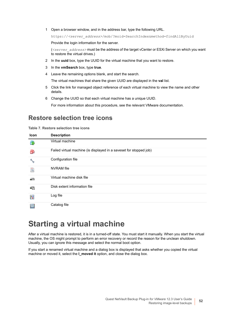1 Open a browser window, and in the address bar, type the following URL.

https://*<server\_address>*/mob/?moid=SearchIndex&method=findAllByUuid

Provide the login information for the server.

(*<server\_address>* must be the address of the target vCenter or ESXi Server on which you want to restore the virtual drives.)

- 2 In the **uuid** box, type the UUID for the virtual machine that you want to restore.
- 3 In the **vmSearch** box, type **true**.
- 4 Leave the remaining options blank, and start the search.

The virtual machines that share the given UUID are displayed in the **val** list.

- 5 Click the link for managed object reference of each virtual machine to view the name and other details.
- 6 Change the UUID so that each virtual machine has a unique UUID.

For more information about this procedure, see the relevant VMware documentation.

### **Restore selection tree icons**

**Table 7. Restore selection tree icons**

| Icon          | <b>Description</b>                                                 |
|---------------|--------------------------------------------------------------------|
| 喦             | Virtual machine                                                    |
| 喦             | Failed virtual machine (is displayed in a saveset for stopped job) |
|               | Configuration file                                                 |
| B             | <b>NVRAM</b> file                                                  |
| a             | Virtual machine disk file                                          |
| $\rightarrow$ | Disk extent information file                                       |
| 屦             | Log file                                                           |
| E             | Catalog file                                                       |

## <span id="page-51-0"></span>**Starting a virtual machine**

After a virtual machine is restored, it is in a turned-off state. You must start it manually. When you start the virtual machine, the OS might prompt to perform an error recovery or record the reason for the unclean shutdown. Usually, you can ignore this message and select the normal boot option.

If you start a renamed virtual machine and a dialog box is displayed that asks whether you copied the virtual machine or moved it, select the **I\_moved it** option, and close the dialog box.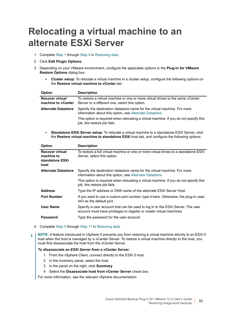# <span id="page-52-0"></span>**Relocating a virtual machine to an alternate ESXi Server**

- 1 Complete [Step 1](#page-47-3) through [Step 4](#page-48-0) in [Restoring data.](#page-47-2)
- 2 Click **Edit Plugin Options**.
- 3 Depending on your VMware environment, configure the applicable options in the **Plug-in** *for VMware* **Restore Options** dialog box.
	- **Cluster setup:** To relocate a virtual machine in a cluster setup, configure the following options on the **Restore virtual machine to vCenter** tab.

| <b>Option</b>                                | <b>Description</b>                                                                                                                  |
|----------------------------------------------|-------------------------------------------------------------------------------------------------------------------------------------|
| <b>Recover virtual</b><br>machine to vCenter | To restore a virtual machine or one or more virtual drives to the same vCenter<br>Server or a different one, select this option.    |
| <b>Alternate Datastore</b>                   | Specify the destination datastore name for the virtual machine. For more<br>information about this option, see Alternate Datastore. |
|                                              | This option is required when relocating a virtual machine. If you do not specify this<br>job, the restore job fails.                |

**• Standalone ESXi Server setup:** To relocate a virtual machine to a standalone ESXi Server, click the **Restore virtual machine to standalone ESXi** host tab, and configure the following options.

| Option                                                          | <b>Description</b>                                                                                                                                    |
|-----------------------------------------------------------------|-------------------------------------------------------------------------------------------------------------------------------------------------------|
| <b>Recover virtual</b><br>machine to<br>standalone ESXi<br>host | To restore a full virtual machine or one or more virtual drives to a standalone ESXi<br>Server, select this option.                                   |
| <b>Alternate Datastore</b>                                      | Specify the destination datastore name for the virtual machine. For more<br>information about this option, see Alternate Datastore.                   |
|                                                                 | This option is required when relocating a virtual machine. If you do not specify this<br>job, the restore job fails.                                  |
| <b>Address</b>                                                  | Type the IP address or DNS name of the alternate ESXI Server Host.                                                                                    |
| <b>Port Number</b>                                              | If you want to use a custom port number, type it here. Otherwise, the plug-in uses<br>443 as the default port.                                        |
| <b>User Name</b>                                                | Specify a user account that can be used to log in to the ESXi Server. The user<br>account must have privileges to register or create virtual machines |
| <b>Password</b>                                                 | Type the password for the user account.                                                                                                               |
|                                                                 |                                                                                                                                                       |

4 Complete [Step 5](#page-48-1) through [Step 11](#page-50-0) in [Restoring data.](#page-47-2)

**NOTE:** A feature introduced in vSphere 5 prevents you from restoring a virtual machine directly to an ESXi 5 f. host when the host is managed by a vCenter Server. To restore a virtual machine directly to the host, you must first disassociate the host from the vCenter Server.

#### *To disassociate an ESXi Server from a vCenter Server:*

- 1 From the vSphere Client, connect directly to the ESXi 5 host.
- 2 In the Inventory panel, select the host.
- 3 In the panel on the right, click **Summary**.
- 4 Select the **Disassociate host from vCenter Server** check box.

For more information, see the relevant vSphere documentation.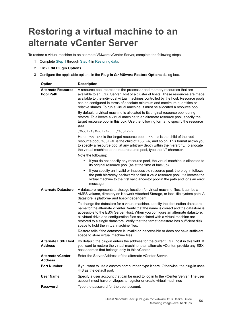# <span id="page-53-0"></span>**Restoring a virtual machine to an alternate vCenter Server**

To restore a virtual machine to an alternate VMware vCenter Server, complete the following steps.

- 1 Complete [Step 1](#page-47-3) through [Step 4](#page-48-0) in [Restoring data.](#page-47-2)
- 2 Click **Edit Plugin Options**.
- 3 Configure the applicable options in the **Plug-in** *for VMware* **Restore Options** dialog box.

| Option                                       | <b>Description</b>                                                                                                                                                                                                                                                                                                                                                                                                                                                                |
|----------------------------------------------|-----------------------------------------------------------------------------------------------------------------------------------------------------------------------------------------------------------------------------------------------------------------------------------------------------------------------------------------------------------------------------------------------------------------------------------------------------------------------------------|
| Alternate Resource<br><b>Pool Path</b>       | A resource pool represents the processor and memory resources that are<br>available to an ESXi Server Host or a cluster of hosts. These resources are made<br>available to the individual virtual machines controlled by the host. Resource pools<br>can be configured in terms of absolute minimum and maximum quantities or<br>relative shares. To run a virtual machine, it must be allocated a resource pool.                                                                 |
|                                              | By default, a virtual machine is allocated to its original resource pool during<br>restore. To allocate a virtual machine to an alternate resource pool, specify the<br>target resource pool in this box. Use the following format to specify the resource<br>pool:                                                                                                                                                                                                               |
|                                              | /Pool-A/Pool-B//Pool <n></n>                                                                                                                                                                                                                                                                                                                                                                                                                                                      |
|                                              | Here, $Pool \le n$ is the target resource pool, $Pool - A$ is the child of the root<br>resource pool, Pool-B is the child of Pool-A, and so on. This format allows you<br>to specify a resource pool at any arbitrary depth within the hierarchy. To allocate<br>the virtual machine to the root resource pool, type the "I" character.<br>Note the following:                                                                                                                    |
|                                              | If you do not specify any resource pool, the virtual machine is allocated to<br>its original resource pool (as at the time of backup).                                                                                                                                                                                                                                                                                                                                            |
|                                              | If you specify an invalid or inaccessible resource pool, the plug-in follows<br>$\bullet$<br>the path hierarchy backwards to find a valid resource pool. It allocates the<br>virtual machine to the first valid ancestor pool in the path and logs an error<br>message.                                                                                                                                                                                                           |
| <b>Alternate Datastore</b>                   | A datastore represents a storage location for virtual machine files. It can be a<br>VMFS volume, directory on Network Attached Storage, or local file system path. A<br>datastore is platform- and host-independent.                                                                                                                                                                                                                                                              |
|                                              | To change the datastore for a virtual machine, specify the destination datastore<br>name for the alternate vCenter. Verify that the name is correct and the datastore is<br>accessible to the ESXi Server Host. When you configure an alternate datastore,<br>all virtual drive and configuration files associated with a virtual machine are<br>restored to a single datastore. Verify that the target datastore has sufficient disk<br>space to hold the virtual machine files. |
|                                              | Restore fails if the datastore is invalid or inaccessible or does not have sufficient<br>space to store virtual machine files.                                                                                                                                                                                                                                                                                                                                                    |
| <b>Alternate ESXi Host</b><br><b>Address</b> | By default, the plug-in enters the address for the current ESXi host in this field. If<br>you want to restore the virtual machine to an alternate vCenter, provide any ESXi<br>host address that belongs only to this vCenter.                                                                                                                                                                                                                                                    |
| <b>Alternate vCenter</b><br><b>Address</b>   | Enter the Server Address of the alternate vCenter Server.                                                                                                                                                                                                                                                                                                                                                                                                                         |
| <b>Port Number</b>                           | If you want to use a custom port number, type it here. Otherwise, the plug-in uses<br>443 as the default port.                                                                                                                                                                                                                                                                                                                                                                    |
| <b>User Name</b>                             | Specify a user account that can be used to log in to the vCenter Server. The user<br>account must have privileges to register or create virtual machines                                                                                                                                                                                                                                                                                                                          |
| Password                                     | Type the password for the user account.                                                                                                                                                                                                                                                                                                                                                                                                                                           |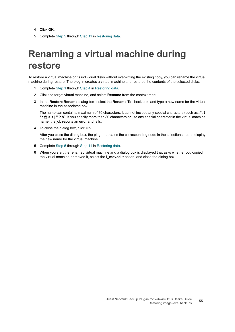- 4 Click **OK**.
- 5 Complete [Step 5](#page-48-1) through [Step 11](#page-50-0) in [Restoring data.](#page-47-2)

# <span id="page-54-0"></span>**Renaming a virtual machine during restore**

To restore a virtual machine or its individual disks without overwriting the existing copy, you can rename the virtual machine during restore. The plug-in creates a virtual machine and restores the contents of the selected disks.

- 1 Complete [Step 1](#page-47-3) through [Step 4](#page-48-0) in [Restoring data.](#page-47-2)
- 2 Click the target virtual machine, and select **Rename** from the context menu.
- 3 In the **Restore Rename** dialog box, select the **Rename To** check box, and type a new name for the virtual machine in the associated box.

The name can contain a maximum of 80 characters. It cannot include any special characters (such as, **/ \ ? \* : @ > < | " ? &**). If you specify more than 80 characters or use any special character in the virtual machine name, the job reports an error and fails.

4 To close the dialog box, click **OK**.

After you close the dialog box, the plug-in updates the corresponding node in the selections tree to display the new name for the virtual machine.

- 5 Complete [Step 5](#page-48-1) through [Step 11](#page-50-0) in [Restoring data.](#page-47-2)
- 6 When you start the renamed virtual machine and a dialog box is displayed that asks whether you copied the virtual machine or moved it, select the **I\_moved it** option, and close the dialog box.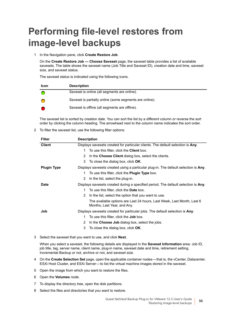# <span id="page-55-0"></span>**Performing file-level restores from image-level backups**

1 In the Navigation pane, click **Create Restore Job**.

On the **Create Restore Job — Choose Saveset** page, the saveset table provides a list of available savesets. The table shows the saveset name (Job Title and Saveset ID), creation date and time, saveset size, and saveset status.

The saveset status is indicated using the following icons.

| <b>Icon</b> | <b>Description</b>                                      |
|-------------|---------------------------------------------------------|
|             | Saveset is online (all segments are online).            |
|             | Saveset is partially online (some segments are online). |
|             | Saveset is offline (all segments are offline).          |

The saveset list is sorted by creation date. You can sort the list by a different column or reverse the sort order by clicking the column heading. The arrowhead next to the column name indicates the sort order.

2 To filter the saveset list, use the following filter options:

| <b>Filter</b>      | <b>Description</b>                                                                                    |
|--------------------|-------------------------------------------------------------------------------------------------------|
| <b>Client</b>      | Displays savesets created for particular clients. The default selection is Any.                       |
|                    | To use this filter, click the <b>Client</b> box.<br>1.                                                |
|                    | In the Choose Client dialog box, select the clients.<br>2                                             |
|                    | 3<br>To close the dialog box, click OK.                                                               |
| <b>Plugin Type</b> | Displays savesets created using a particular plug-in. The default selection is Any.                   |
|                    | To use this filter, click the <b>Plugin Type</b> box.<br>1.                                           |
|                    | In the list, select the plug-in.<br>2                                                                 |
| Date               | Displays savesets created during a specified period. The default selection is Any.                    |
|                    | To use this filter, click the <b>Date</b> box.<br>1.                                                  |
|                    | In the list, select the option that you want to use.<br>2                                             |
|                    | The available options are Last 24 hours, Last Week, Last Month, Last 6<br>Months, Last Year, and Any. |
| Job                | Displays savesets created for particular jobs. The default selection is Any.                          |
|                    | To use this filter, click the <b>Job</b> box.<br>1.                                                   |
|                    | In the Choose Job dialog box, select the jobs.<br>2                                                   |
|                    | 3<br>To close the dialog box, click OK.                                                               |
|                    |                                                                                                       |

3 Select the saveset that you want to use, and click **Next**.

When you select a saveset, the following details are displayed in the **Saveset Information** area: Job ID, job title, tag, server name, client name, plug-in name, saveset date and time, retirement setting, Incremental Backup or not, archive or not, and saveset size.

- 4 On the **Create Selection Set** page, open the applicable container nodes that is, the vCenter, Datacenter, ESXi Host Cluster, and ESXi Server — to list the virtual machine images stored in the saveset.
- 5 Open the image from which you want to restore the files.
- 6 Open the **Volumes** node.
- 7 To display the directory tree, open the disk partitions.
- 8 Select the files and directories that you want to restore.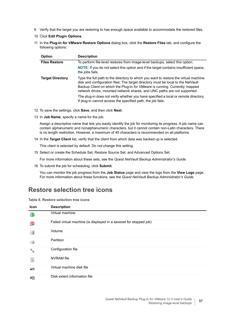- 9 Verify that the target you are restoring to has enough space available to accommodate the restored files.
- 10 Click **Edit Plugin Options**.
- 11 In the **Plug-in** *for VMware* **Restore Options** dialog box, click the **Restore Files** tab, and configure the following options:

| <b>Option</b>           | <b>Description</b>                                                                                                                                                                                                                                                                                                                  |
|-------------------------|-------------------------------------------------------------------------------------------------------------------------------------------------------------------------------------------------------------------------------------------------------------------------------------------------------------------------------------|
| <b>Files Restore</b>    | To perform file-level restores from image-level backups, select this option.                                                                                                                                                                                                                                                        |
|                         | <b>NOTE:</b> If you do not select this option and if the target contains insufficient space,<br>the jobs fails.                                                                                                                                                                                                                     |
| <b>Target Directory</b> | Type the full path to the directory to which you want to restore the virtual machine<br>disk and configuration files. The target directory must be local to the NetVault<br>Backup Client on which the Plug-in for VMware is running. Currently, mapped<br>network drives, mounted network shares, and UNC paths are not supported. |
|                         | The plug-in does not verify whether you have specified a local or remote directory.<br>If plug-in cannot access the specified path, the job fails.                                                                                                                                                                                  |

- 12 To save the settings, click **Save**, and then click **Next**.
- 13 In **Job Name**, specify a name for the job.

Assign a descriptive name that lets you easily identify the job for monitoring its progress. A job name can contain alphanumeric and nonalphanumeric characters, but it cannot contain non-Latin characters. There is no length restriction. However, a maximum of 40 characters is recommended on all platforms.

14 In the **Target Client** list, verify that the client from which data was backed up is selected.

This client is selected by default. Do *not* change this setting.

15 Select or create the Schedule Set, Restore Source Set, and Advanced Options Set.

For more information about these sets, see the *Quest NetVault Backup Administrator's Guide*.

16 To submit the job for scheduling, click **Submit**.

You can monitor the job progress from the **Job Status** page and view the logs from the **View Logs** page. For more information about these functions, see the *Quest NetVault Backup Administrator's Guide*.

### **Restore selection tree icons**

|  |  | Table 8. Restore selection tree icons |  |  |
|--|--|---------------------------------------|--|--|
|--|--|---------------------------------------|--|--|

| Icon          | <b>Description</b>                                                 |
|---------------|--------------------------------------------------------------------|
|               | Virtual machine                                                    |
| 喦             | Failed virtual machine (is displayed in a saveset for stopped job) |
| 辅             | Volume                                                             |
| 计图            | Partition                                                          |
|               | Configuration file                                                 |
| Ê             | <b>NVRAM</b> file                                                  |
| $\Rightarrow$ | Virtual machine disk file                                          |
| - 4           | Disk extent information file                                       |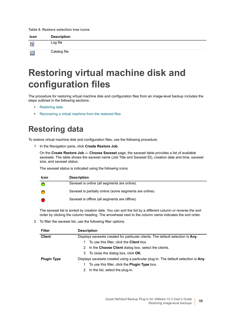#### **Table 8. Restore selection tree icons**

| Icon | <b>Description</b> |
|------|--------------------|
| ¦.i  | Log file           |
| E    | Catalog file       |

# <span id="page-57-0"></span>**Restoring virtual machine disk and configuration files**

The procedure for restoring virtual machine disk and configuration files from an image-level backup includes the steps outlined in the following sections:

- **•** [Restoring data](#page-57-1)
- **•** [Recovering a virtual machine from the restored files](#page-59-0)

## <span id="page-57-1"></span>**Restoring data**

To restore virtual machine disk and configuration files, use the following procedure.

1 In the Navigation pane, click **Create Restore Job**.

On the **Create Restore Job — Choose Saveset** page, the saveset table provides a list of available savesets. The table shows the saveset name (Job Title and Saveset ID), creation date and time, saveset size, and saveset status.

The saveset status is indicated using the following icons.

| <b>Icon</b> | <b>Description</b>                                      |
|-------------|---------------------------------------------------------|
|             | Saveset is online (all segments are online).            |
|             | Saveset is partially online (some segments are online). |
|             | Saveset is offline (all segments are offline).          |

The saveset list is sorted by creation date. You can sort the list by a different column or reverse the sort order by clicking the column heading. The arrowhead next to the column name indicates the sort order.

2 To filter the saveset list, use the following filter options:

| <b>Filter</b>      | <b>Description</b><br>Displays savesets created for particular clients. The default selection is Any. |  |  |
|--------------------|-------------------------------------------------------------------------------------------------------|--|--|
| <b>Client</b>      |                                                                                                       |  |  |
|                    | To use this filter, click the <b>Client</b> box.                                                      |  |  |
|                    | In the Choose Client dialog box, select the clients.<br>2                                             |  |  |
|                    | 3 To close the dialog box, click <b>OK</b> .                                                          |  |  |
| <b>Plugin Type</b> | Displays savesets created using a particular plug-in. The default selection is Any.                   |  |  |
|                    | To use this filter, click the <b>Plugin Type</b> box.                                                 |  |  |
|                    | In the list, select the plug-in.<br>2                                                                 |  |  |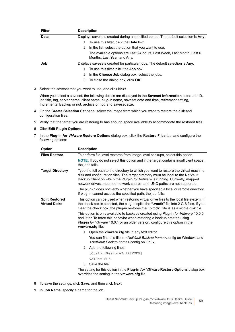| <b>Filter</b> |   | <b>Description</b>                                                                                    |
|---------------|---|-------------------------------------------------------------------------------------------------------|
| <b>Date</b>   |   | Displays savesets created during a specified period. The default selection is Any.                    |
|               |   | To use this filter, click the <b>Date</b> box.                                                        |
|               | 2 | In the list, select the option that you want to use.                                                  |
|               |   | The available options are Last 24 hours, Last Week, Last Month, Last 6<br>Months, Last Year, and Any. |
| Job           |   | Displays savesets created for particular jobs. The default selection is Any.                          |
|               |   | To use this filter, click the <b>Job</b> box.                                                         |
|               | 2 | In the Choose Job dialog box, select the jobs.                                                        |
|               | 3 | To close the dialog box, click <b>OK</b> .                                                            |
| 3             |   | Select the saveset that you want to use, and click <b>Next</b> .                                      |

When you select a saveset, the following details are displayed in the **Saveset Information** area: Job ID, job title, tag, server name, client name, plug-in name, saveset date and time, retirement setting, Incremental Backup or not, archive or not, and saveset size.

- 4 On the **Create Selection Set** page, select the image from which you want to restore the disk and configuration files.
- 5 Verify that the target you are restoring to has enough space available to accommodate the restored files.
- 6 Click **Edit Plugin Options**.
- 7 In the **Plug-in** *for VMware* **Restore Options** dialog box, click the R**estore Files** tab, and configure the following options:

| <b>Option</b>                                 | <b>Description</b>                                                                                                                                                                                                                                                                                                                  |
|-----------------------------------------------|-------------------------------------------------------------------------------------------------------------------------------------------------------------------------------------------------------------------------------------------------------------------------------------------------------------------------------------|
| <b>Files Restore</b>                          | To perform file-level restores from image-level backups, select this option.                                                                                                                                                                                                                                                        |
|                                               | <b>NOTE:</b> If you do not select this option and if the target contains insufficient space,<br>the jobs fails.                                                                                                                                                                                                                     |
| <b>Target Directory</b>                       | Type the full path to the directory to which you want to restore the virtual machine<br>disk and configuration files. The target directory must be local to the NetVault<br>Backup Client on which the Plug-in for VMware is running. Currently, mapped<br>network drives, mounted network shares, and UNC paths are not supported. |
|                                               | The plug-in does not verify whether you have specified a local or remote directory.<br>If plug-in cannot access the specified path, the job fails.                                                                                                                                                                                  |
| <b>Split Restored</b><br><b>Virtual Disks</b> | This option can be used when restoring virtual drive files to the local file system. If<br>the check box is selected, the plug-in splits the ".vmdk" file into 2 GiB files. If you<br>clear the check box, the plug-in restores the ".vmdk" file is as a single disk file.                                                          |
|                                               | This option is only available to backups created using Plug-in for VMware 10.0.5<br>and later. To force this behavior when restoring a backup created using<br>Plug-in for VMware 10.0.1 or an older version, configure this option in the<br>vmware.cfg file:                                                                      |
|                                               | Open the <b>vmware.cfg</b> file in any text editor.<br>1.                                                                                                                                                                                                                                                                           |
|                                               | You can find this file in <netvault backup="" home="">\config on Windows and<br/><netvault backup="" home="">/config on Linux.</netvault></netvault>                                                                                                                                                                                |
|                                               | Add the following lines:<br>2                                                                                                                                                                                                                                                                                                       |
|                                               | [Custom:RestoreSplitVMDK]                                                                                                                                                                                                                                                                                                           |
|                                               | Value=TRUE                                                                                                                                                                                                                                                                                                                          |
|                                               | Save the file.<br>3                                                                                                                                                                                                                                                                                                                 |
|                                               | The setting for this option in the <b>Plug-in <i>for VMware</i> Restore Options</b> dialog box                                                                                                                                                                                                                                      |

The setting for this option in the **Plug-in** *for VMware* **Restore Options** dialog box overrides the setting in the **vmware.cfg** file.

- 8 To save the settings, click **Save**, and then click **Next**.
- 9 In **Job Name**, specify a name for the job.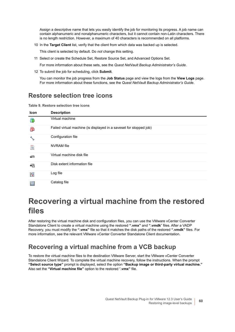Assign a descriptive name that lets you easily identify the job for monitoring its progress. A job name can contain alphanumeric and nonalphanumeric characters, but it cannot contain non-Latin characters. There is no length restriction. However, a maximum of 40 characters is recommended on all platforms.

10 In the **Target Client** list, verify that the client from which data was backed up is selected.

This client is selected by default. Do *not* change this setting.

11 Select or create the Schedule Set, Restore Source Set, and Advanced Options Set.

For more information about these sets, see the *Quest NetVault Backup Administrator's Guide*.

12 To submit the job for scheduling, click **Submit**.

You can monitor the job progress from the **Job Status** page and view the logs from the **View Logs** page. For more information about these functions, see the *Quest NetVault Backup Administrator's Guide*.

### **Restore selection tree icons**

**Table 9. Restore selection tree icons**

| Icon | <b>Description</b>                                                 |
|------|--------------------------------------------------------------------|
| 暈    | Virtual machine                                                    |
| 喦    | Failed virtual machine (is displayed in a saveset for stopped job) |
|      | Configuration file                                                 |
| E    | <b>NVRAM</b> file                                                  |
| a    | Virtual machine disk file                                          |
| €∆   | Disk extent information file                                       |
| R    | Log file                                                           |
| E    | Catalog file                                                       |

## <span id="page-59-0"></span>**Recovering a virtual machine from the restored files**

After restoring the virtual machine disk and configuration files, you can use the VMware vCenter Converter Standalone Client to create a virtual machine using the restored **".vmx"** and **".vmdk**" files. After a VADP Recovery, you must modify the **".vmx"** file so that it matches the disk paths of the restored **".vmdk"** files. For more information, see the relevant VMware vCenter Converter Standalone Client documentation.

### **Recovering a virtual machine from a VCB backup**

To restore the virtual machine files to the destination VMware Server, start the VMware vCenter Converter Standalone Client Wizard. To complete the virtual machine recovery, follow the instructions. When the prompt **"Select source type"** prompt is displayed, select the option **"Backup image or third-party virtual machine."** Also set the **"Virtual machine file"** option to the restored "**.vmx"** file.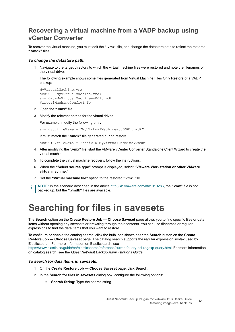### **Recovering a virtual machine from a VADP backup using vCenter Converter**

To recover the virtual machine, you must edit the **".vmx"** file, and change the datastore path to reflect the restored **".vmdk"** files.

#### *To change the datastore path:*

Navigate to the target directory to which the virtual machine files were restored and note the filenames of the virtual drives.

The following example shows some files generated from Virtual Machine Files Only Restore of a VADP backup:

```
MyVirtualMachine.vmx
scsi0-0-MyVirtualMachine.vmdk
scsi0-0-MyVirtualMachine-s001.vmdk
VirtualMachineConfigInfo
```
- 2 Open the **".vmx"** file.
- 3 Modify the relevant entries for the virtual drives.

For example, modify the following entry:

scsi0:0.fileName = "MyVirtualMachine-000001.vmdk"

It must match the "**.vmdk"** file generated during restore.

scsi0:0.fileName = "scsi0-0-MyVirtualMachine.vmdk"

- 4 After modifying the "**.vmx"** file, start the VMware vCenter Converter Standalone Client Wizard to create the virtual machine.
- 5 To complete the virtual machine recovery, follow the instructions.
- 6 When the **"Select source type"** prompt is displayed, select **"VMware Workstation or other VMware virtual machine."**
- 7 Set the **"Virtual machine file"** option to the restored "**.vmx"** file.
- **NOTE:** In the scenario described in the article<http://kb.vmware.com/kb/1019286>, the "**.vmx"** file is not i. backed up, but the **".vmdk"** files are available.

# <span id="page-60-0"></span>**Searching for files in savesets**

The **Search** option on the **Create Restore Job — Choose Saveset** page allows you to find specific files or data items without opening any savesets or browsing through their contents. You can use filenames or regular expressions to find the data items that you want to restore.

To configure or enable the catalog search, click the bulb icon shown near the **Search** button on the **Create Restore Job — Choose Saveset** page. The catalog search supports the regular expression syntax used by Elasticsearch. For more information on Elasticsearch, see

[https://www.elastic.co/guide/en/elasticsearch/reference/current/query-dsl-regexp-query.html.](https://www.elastic.co/guide/en/elasticsearch/reference/current/query-dsl-regexp-query.html) For more information on catalog search, see the *Quest NetVault Backup Administrator's Guide.*

#### *To search for data items in savesets:*

- 1 On the **Create Restore Job Choose Saveset** page, click **Search**.
- 2 In the **Search for files in savesets** dialog box, configure the following options:
	- **Search String:** Type the search string.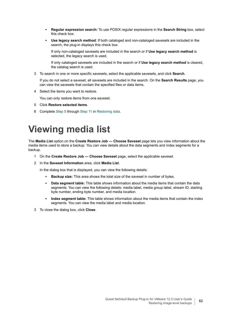- **Regular expression search:** To use POSIX regular expressions in the **Search String** box, select this check box.
- **Use legacy search method**: If both cataloged and non-cataloged savesets are included in the search, the plug-in displays this check box.

If only non-cataloged savesets are included in the search or if **Use legacy search method** is selected, the legacy search is used.

If only cataloged savesets are included in the search or if **Use legacy search method** is cleared, the catalog search is used.

3 To search in one or more specific savesets, select the applicable savesets, and click **Search**.

If you do not select a saveset, all savesets are included in the search. On the **Search Results** page, you can view the savesets that contain the specified files or data items.

4 Select the items you want to restore.

You can only restore items from one saveset.

- 5 Click **Restore selected items**.
- 6 Complete [Step 5](#page-48-1) through [Step 11](#page-50-0) in [Restoring data.](#page-47-2)

# <span id="page-61-0"></span>**Viewing media list**

The **Media List** option on the **Create Restore Job — Choose Saveset** page lets you view information about the media items used to store a backup. You can view details about the data segments and index segments for a backup.

- 1 On the **Create Restore Job Choose Saveset** page, select the applicable saveset.
- 2 In the **Saveset Information** area, click **Media List**.

In the dialog box that is displayed, you can view the following details:

- **Backup size:** This area shows the total size of the saveset in number of bytes.
- **Data segment table:** This table shows information about the media items that contain the data segments. You can view the following details: media label, media group label, stream ID, starting byte number, ending byte number, and media location.
- **Index segment table:** This table shows information about the media items that contain the index segments. You can view the media label and media location.
- 3 To close the dialog box, click **Close**.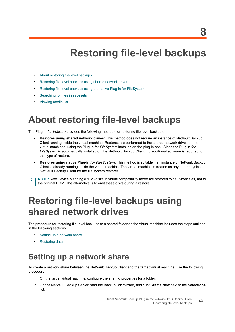# **Restoring file-level backups**

- **•** [About restoring file-level backups](#page-62-0)
- **•** [Restoring file-level backups using shared network drives](#page-62-1)
- **•** [Restoring file-level backups using the native Plug-in for FileSystem](#page-65-0)
- **•** [Searching for files in savesets](#page-67-0)
- **•** [Viewing media list](#page-68-0)

## <span id="page-62-0"></span>**About restoring file-level backups**

The Plug-in *for VMware* provides the following methods for restoring file-level backups.

- **Restores using shared network drives:** This method does not require an instance of NetVault Backup Client running inside the virtual machine. Restores are performed to the shared network drives on the virtual machines, using the Plug-in *for FileSystem* installed on the plug-in host. Since the Plug-in *for FileSystem* is automatically installed on the NetVault Backup Client, no additional software is required for this type of restore.
- **Restores using native Plug-in** *for FileSystem***:** This method is suitable if an instance of NetVault Backup Client is already running inside the virtual machine. The virtual machine is treated as any other physical NetVault Backup Client for the file system restores.
- **NOTE:** Raw Device Mapping (RDM) disks in virtual compatibility mode are restored to flat .vmdk files, not to ÷ the original RDM. The alternative is to omit these disks during a restore.

## <span id="page-62-1"></span>**Restoring file-level backups using shared network drives**

The procedure for restoring file-level backups to a shared folder on the virtual machine includes the steps outlined in the following sections:

- **•** [Setting up a network share](#page-62-2)
- **•** [Restoring data](#page-63-0)

## <span id="page-62-2"></span>**Setting up a network share**

To create a network share between the NetVault Backup Client and the target virtual machine, use the following procedure.

- 1 On the target virtual machine, configure the sharing properties for a folder.
- 2 On the NetVault Backup Server, start the Backup Job Wizard, and click **Create New** next to the **Selections**  list.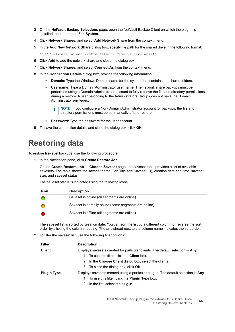- 3 On the **NetVault Backup Selections** page, open the NetVault Backup Client on which the plug-in is installed, and then open **File System**.
- 4 Click **Network Shares**, and select **Add Network Share** from the context menu.
- 5 In the **Add New Network Share** dialog box, specify file path for the shared drive in the following format:
	- \\*<IP Address or Resolvable Network Name>*\*<Share Name>*\
- 6 Click **Add** to add the network share and close the dialog box.
- 7 Click **Network Shares**, and select **Connect As** from the context menu.
- 8 In the **Connection Details** dialog box, provide the following information:
	- **Domain:** Type the Windows Domain name for the system that contains the shared folders.
	- **Username:** Type a Domain Administrator user name. The network share backups must be performed using a Domain Administrator account to fully retrieve the file and directory permissions during a restore. A user belonging to the Administrators Group does not have the Domain Administrator privileges.
		- **NOTE:** If you configure a Non-Domain Administrator account for backups, the file and  $\ddot{\mathbf{r}}$ directory permissions must be set manually after a restore.
	- **Password:** Type the password for the user account.
- 9 To save the connection details and close the dialog box, click **OK**.

## <span id="page-63-0"></span>**Restoring data**

To restore file-level backups, use the following procedure.

1 In the Navigation pane, click **Create Restore Job**.

On the **Create Restore Job — Choose Saveset** page, the saveset table provides a list of available savesets. The table shows the saveset name (Job Title and Saveset ID), creation date and time, saveset size, and saveset status.

The saveset status is indicated using the following icons.

| <b>Icon</b> | <b>Description</b>                                      |
|-------------|---------------------------------------------------------|
|             | Saveset is online (all segments are online).            |
|             | Saveset is partially online (some segments are online). |
|             | Saveset is offline (all segments are offline).          |

The saveset list is sorted by creation date. You can sort the list by a different column or reverse the sort order by clicking the column heading. The arrowhead next to the column name indicates the sort order.

2 To filter the saveset list, use the following filter options:

| <b>Filter</b>      | <b>Description</b>                                                                  |
|--------------------|-------------------------------------------------------------------------------------|
| <b>Client</b>      | Displays savesets created for particular clients. The default selection is Any.     |
|                    | To use this filter, click the <b>Client</b> box.                                    |
|                    | In the Choose Client dialog box, select the clients.<br>2                           |
|                    | To close the dialog box, click <b>OK</b> .<br>3                                     |
| <b>Plugin Type</b> | Displays savesets created using a particular plug-in. The default selection is Any. |
|                    | To use this filter, click the Plugin Type box.                                      |
|                    | In the list, select the plug-in.                                                    |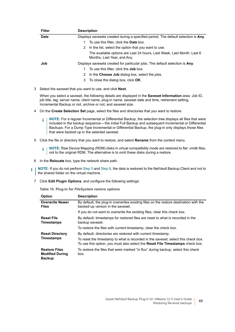| <b>Filter</b> | <b>Description</b>                                                                                    |
|---------------|-------------------------------------------------------------------------------------------------------|
| <b>Date</b>   | Displays savesets created during a specified period. The default selection is Any.                    |
|               | To use this filter, click the <b>Date</b> box.                                                        |
|               | In the list, select the option that you want to use.<br>2                                             |
|               | The available options are Last 24 hours, Last Week, Last Month, Last 6<br>Months, Last Year, and Any. |
| Job           | Displays savesets created for particular jobs. The default selection is Any.                          |
|               | To use this filter, click the <b>Job</b> box.                                                         |
|               | In the Choose Job dialog box, select the jobs.<br>2                                                   |
|               | 3 To close the dialog box, click <b>OK</b> .                                                          |
|               | Select the saveset that you want to use, and click <b>Next</b> .                                      |

When you select a saveset, the following details are displayed in the **Saveset Information** area: Job ID, job title, tag, server name, client name, plug-in name, saveset date and time, retirement setting, Incremental Backup or not, archive or not, and saveset size.

4 On the **Create Selection Set** page, select the files and directories that you want to restore.

**NOTE:** For a regular Incremental or Differential Backup, the selection tree displays all files that were f. included in the backup sequence — the initial Full Backup and subsequent Incremental or Differential Backups. For a Dump Type Incremental or Differential Backup, the plug-in only displays those files that were backed up in the selected saveset.

<span id="page-64-0"></span>5 Click the file or directory that you want to restore, and select **Rename** from the context menu.

**NOTE:** Raw Device Mapping (RDM) disks in virtual compatibility mode are restored to flat .vmdk files, f. not to the original RDM. The alternative is to omit these disks during a restore.

<span id="page-64-1"></span>6 In the **Relocate** box, type the network share path.

**NOTE:** If you do not perform [Step 5](#page-64-0) and [Step 6](#page-64-1), the data is restored to the NetVault Backup Client and not to ÷ the shared folder on the virtual machine.

<span id="page-64-2"></span>7 Click **Edit Plugin Options**, and configure the following settings:

**Table 10. Plug-in** *for FileSystem* **restore options**

| <b>Option</b>                                                   | <b>Description</b>                                                                                                                                                        |
|-----------------------------------------------------------------|---------------------------------------------------------------------------------------------------------------------------------------------------------------------------|
| <b>Overwrite Newer</b><br><b>Files</b>                          | By default, the plug-in overwrites existing files on the restore destination with the<br>backed-up version in the saveset.                                                |
|                                                                 | If you do not want to overwrite the existing files, clear this check box.                                                                                                 |
| <b>Reset File</b><br><b>Timestamps</b>                          | By default, timestamps for restored files are reset to what is recorded in the<br>backup saveset.                                                                         |
|                                                                 | To restore the files with current timestamp, clear the check box.                                                                                                         |
| <b>Reset Directory</b>                                          | By default, directories are restored with current timestamp.                                                                                                              |
| <b>Timestamps</b>                                               | To reset the timestamp to what is recorded in the saveset, select this check box.<br>To use this option, you must also select the <b>Reset File Timestamps</b> check box. |
| <b>Restore Files</b><br><b>Modified During</b><br><b>Backup</b> | To restore the files that were marked "in flux" during backup, select this check<br>box.                                                                                  |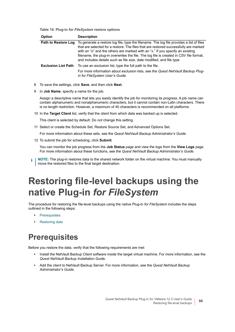**Table 10. Plug-in** *for FileSystem* **restore options**

| <b>Description</b>                                                                                                                                                                                                                                                                                                                                                                                                                   |
|--------------------------------------------------------------------------------------------------------------------------------------------------------------------------------------------------------------------------------------------------------------------------------------------------------------------------------------------------------------------------------------------------------------------------------------|
| To generate a restore log file, type the filename. The log file provides a list of files<br>that are selected for a restore. The files that are restored successfully are marked<br>with an "o" and the others are marked with an "x." If you specify an existing<br>filename, the plug-in overwrites the file. The log file is created in CSV file format,<br>and includes details such as file size, date modified, and file type. |
| To use an exclusion list, type the full path to the file.<br>For more information about exclusion lists, see the Quest NetVault Backup Plug-<br>in for FileSystem User's Guide.                                                                                                                                                                                                                                                      |
|                                                                                                                                                                                                                                                                                                                                                                                                                                      |

- 8 To save the settings, click **Save**, and then click **Next**.
- 9 In **Job Name**, specify a name for the job.

Assign a descriptive name that lets you easily identify the job for monitoring its progress. A job name can contain alphanumeric and nonalphanumeric characters, but it cannot contain non-Latin characters. There is no length restriction. However, a maximum of 40 characters is recommended on all platforms

10 In the **Target Client** list, verify that the client from which data was backed up is selected.

This client is selected by default. Do *not* change this setting.

11 Select or create the Schedule Set, Restore Source Set, and Advanced Options Set.

For more information about these sets, see the *Quest NetVault Backup Administrator's Guide*.

<span id="page-65-2"></span>12 To submit the job for scheduling, click **Submit**.

You can monitor the job progress from the **Job Status** page and view the logs from the **View Logs** page. For more information about these functions, see the *Quest NetVault Backup Administrator's Guide*.

**NOTE:** The plug-in restores data to the shared network folder on the virtual machine. You must manually i. move the restored files to the final target destination.

# <span id="page-65-0"></span>**Restoring file-level backups using the native Plug-in** *for FileSystem*

The procedure for restoring the file-level backups using the native Plug-in *for FileSystem* includes the steps outlined in the following steps:

- **•** [Prerequisites](#page-65-1)
- **•** [Restoring data](#page-66-0)

## <span id="page-65-1"></span>**Prerequisites**

Before you restore the data, verify that the following requirements are met:

- **•** Install the NetVault Backup Client software inside the target virtual machine. For more information, see the *Quest NetVault Backup Installation Guide*.
- **•** Add the client to NetVault Backup Server. For more information, see the *Quest NetVault Backup Administrator's Guide*.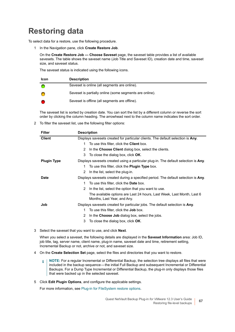## <span id="page-66-0"></span>**Restoring data**

To select data for a restore, use the following procedure.

1 In the Navigation pane, click **Create Restore Job**.

On the **Create Restore Job — Choose Saveset** page, the saveset table provides a list of available savesets. The table shows the saveset name (Job Title and Saveset ID), creation date and time, saveset size, and saveset status.

The saveset status is indicated using the following icons.

| <b>Icon</b> | <b>Description</b>                                      |
|-------------|---------------------------------------------------------|
|             | Saveset is online (all segments are online).            |
|             | Saveset is partially online (some segments are online). |
|             | Saveset is offline (all segments are offline).          |

The saveset list is sorted by creation date. You can sort the list by a different column or reverse the sort order by clicking the column heading. The arrowhead next to the column name indicates the sort order.

2 To filter the saveset list, use the following filter options:

| <b>Filter</b>      | <b>Description</b>                                                                                    |
|--------------------|-------------------------------------------------------------------------------------------------------|
| <b>Client</b>      | Displays savesets created for particular clients. The default selection is Any.                       |
|                    | To use this filter, click the <b>Client</b> box.<br>1.                                                |
|                    | In the Choose Client dialog box, select the clients.<br>2                                             |
|                    | To close the dialog box, click OK.<br>3                                                               |
| <b>Plugin Type</b> | Displays savesets created using a particular plug-in. The default selection is Any.                   |
|                    | To use this filter, click the <b>Plugin Type</b> box.<br>1.                                           |
|                    | 2<br>In the list, select the plug-in.                                                                 |
| <b>Date</b>        | Displays savesets created during a specified period. The default selection is Any.                    |
|                    | To use this filter, click the <b>Date</b> box.<br>1.                                                  |
|                    | In the list, select the option that you want to use.<br>2                                             |
|                    | The available options are Last 24 hours, Last Week, Last Month, Last 6<br>Months, Last Year, and Any. |
| Job                | Displays savesets created for particular jobs. The default selection is Any.                          |
|                    | To use this filter, click the <b>Job</b> box.<br>1.                                                   |
|                    | In the Choose Job dialog box, select the jobs.<br>2                                                   |
|                    | 3<br>To close the dialog box, click OK.                                                               |

3 Select the saveset that you want to use, and click **Next**.

When you select a saveset, the following details are displayed in the **Saveset Information** area: Job ID, job title, tag, server name, client name, plug-in name, saveset date and time, retirement setting, Incremental Backup or not, archive or not, and saveset size.

- 4 On the **Create Selection Set** page, select the files and directories that you want to restore.
	- **NOTE:** For a regular Incremental or Differential Backup, the selection tree displays all files that were f. included in the backup sequence — the initial Full Backup and subsequent Incremental or Differential Backups. For a Dump Type Incremental or Differential Backup, the plug-in only displays those files that were backed up in the selected saveset.
- 5 Click **Edit Plugin Options**, and configure the applicable settings.

For more information, see [Plug-in for FileSystem restore options.](#page-64-2)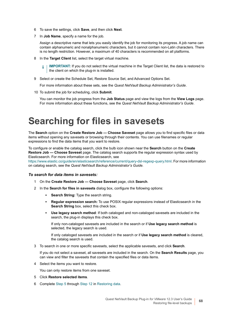- 6 To save the settings, click **Save**, and then click **Next**.
- 7 In **Job Name**, specify a name for the job.

÷

Assign a descriptive name that lets you easily identify the job for monitoring its progress. A job name can contain alphanumeric and nonalphanumeric characters, but it cannot contain non-Latin characters. There is no length restriction. However, a maximum of 40 characters is recommended on all platforms.

8 In the **Target Client** list, select the target virtual machine.

**IMPORTANT:** If you do not select the virtual machine in the Target Client list, the data is restored to the client on which the plug-in is installed.

9 Select or create the Schedule Set, Restore Source Set, and Advanced Options Set.

For more information about these sets, see the *Quest NetVault Backup Administrator's Guide*.

10 To submit the job for scheduling, click **Submit**.

You can monitor the job progress from the **Job Status** page and view the logs from the **View Logs** page. For more information about these functions, see the *Quest NetVault Backup Administrator's Guide*.

## <span id="page-67-0"></span>**Searching for files in savesets**

The **Search** option on the **Create Restore Job — Choose Saveset** page allows you to find specific files or data items without opening any savesets or browsing through their contents. You can use filenames or regular expressions to find the data items that you want to restore.

To configure or enable the catalog search, click the bulb icon shown near the **Search** button on the **Create Restore Job — Choose Saveset** page. The catalog search supports the regular expression syntax used by Elasticsearch. For more information on Elasticsearch, see

[https://www.elastic.co/guide/en/elasticsearch/reference/current/query-dsl-regexp-query.html.](https://www.elastic.co/guide/en/elasticsearch/reference/current/query-dsl-regexp-query.html) For more information on catalog search, see the *Quest NetVault Backup Administrator's Guide.*

#### *To search for data items in savesets:*

- 1 On the **Create Restore Job Choose Saveset** page, click **Search**.
- 2 In the **Search for files in savesets** dialog box, configure the following options:
	- **Search String:** Type the search string.
	- **Regular expression search:** To use POSIX regular expressions instead of Elasticsearch in the **Search String** box, select this check box.
	- **Use legacy search method**: If both cataloged and non-cataloged savesets are included in the search, the plug-in displays this check box.

If only non-cataloged savesets are included in the search or if **Use legacy search method** is selected, the legacy search is used.

If only cataloged savesets are included in the search or if **Use legacy search method** is cleared, the catalog search is used.

3 To search in one or more specific savesets, select the applicable savesets, and click **Search**.

If you do not select a saveset, all savesets are included in the search. On the **Search Results** page, you can view and filter the savesets that contain the specified files or data items.

4 Select the items you want to restore.

You can only restore items from one saveset.

- 5 Click **Restore selected items**.
- 6 Complete [Step 5](#page-64-0) through [Step 12](#page-65-2) in [Restoring data.](#page-63-0)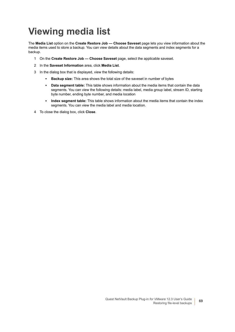# <span id="page-68-0"></span>**Viewing media list**

The **Media List** option on the **Create Restore Job — Choose Saveset** page lets you view information about the media items used to store a backup. You can view details about the data segments and index segments for a backup.

- 1 On the **Create Restore Job Choose Saveset** page, select the applicable saveset.
- 2 In the **Saveset Information** area, click **Media List**.
- 3 In the dialog box that is displayed, view the following details:
	- **Backup size:** This area shows the total size of the saveset in number of bytes
	- **Data segment table:** This table shows information about the media items that contain the data segments. You can view the following details: media label, media group label, stream ID, starting byte number, ending byte number, and media location
	- **Index segment table:** This table shows information about the media items that contain the index segments. You can view the media label and media location.
- 4 To close the dialog box, click **Close**.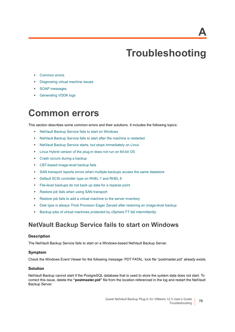**A**

# **Troubleshooting**

- **•** [Common errors](#page-69-0)
- **•** [Diagnosing virtual machine issues](#page-77-0)
- **•** [SOAP messages](#page-78-0)
- **•** [Generating VDDK logs](#page-78-1)

# <span id="page-69-0"></span>**Common errors**

This section describes some common errors and their solutions. It includes the following topics:

- **•** [NetVault Backup Service fails to start on Windows](#page-69-1)
- **•** [NetVault Backup Service fails to start after the machine is restarted](#page-70-0)
- **•** [NetVault Backup Service starts, but stops immediately on Linux](#page-70-1)
- **•** [Linux Hybrid version of the plug-in does not run on 64-bit OS](#page-70-2)
- **•** [Crash occurs during a backup](#page-71-0)
- **•** [CBT-based image-level backup fails](#page-71-1)
- **•** [SAN transport reports errors when multiple backups access the same datastore](#page-72-0)
- **•** [Default SCSI controller type on RHEL 7 and RHEL 6](#page-72-1)
- **•** [File-level backups do not back up data for a reparse point](#page-72-2)
- **•** [Restore job fails when using SAN transport](#page-73-0)
- **•** [Restore job fails to add a virtual machine to the server inventory](#page-73-1)
- **•** [Disk type is always Thick Provision Eager Zeroed after restoring an image-level backup](#page-74-0)
- **•** [Backup jobs of virtual machines protected by vSphere FT fail intermittently](#page-75-0)

### <span id="page-69-1"></span>**NetVault Backup Service fails to start on Windows**

### **Description**

The NetVault Backup Service fails to start on a Windows-based NetVault Backup Server.

### **Symptom**

Check the Windows Event Viewer for the following message: PDT FATAL: lock file "postmaster.pid" already exists.

### **Solution**

NetVault Backup cannot start if the PostgreSQL database that is used to store the system data does not start. To correct this issue, delete the **"postmaster.pid"** file from the location referenced in the log and restart the NetVault Backup Server.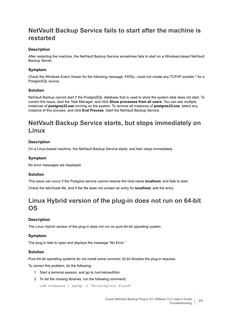### <span id="page-70-0"></span>**NetVault Backup Service fails to start after the machine is restarted**

### **Description**

After restarting the machine, the NetVault Backup Service sometimes fails to start on a Windows-based NetVault Backup Server.

### **Symptom**

Check the Windows Event Viewer for the following message: FATAL: could not create any TCP/IP sockets " for a PostgreSQL source

### **Solution**

NetVault Backup cannot start if the PostgreSQL database that is used to store the system data does not start. To correct this issue, start the Task Manager, and click **Show processes from all users**. You can see multiple instances of **postgres32.exe** running on the system. To remove all instances of **postgres32.exe**, select any instance of this process, and click **End Process**. Start the NetVault Backup Service.

### <span id="page-70-1"></span>**NetVault Backup Service starts, but stops immediately on Linux**

### **Description**

On a Linux-based machine, the NetVault Backup Service starts, and then stops immediately.

### **Symptom**

No error messages are displayed.

### **Solution**

This issue can occur if the Postgres service cannot resolve the host name **localhost**, and fails to start. Check the /etc/hosts file, and if the file does not contain an entry for **localhost**, add the entry.

### <span id="page-70-2"></span>**Linux Hybrid version of the plug-in does not run on 64-bit OS**

### **Description**

The Linux Hybrid version of the plug-in does not run on pure 64-bit operating system.

### **Symptom**

The plug-in fails to open and displays the message "No Error."

### **Solution**

Pure 64-bit operating systems do not install some common 32-bit libraries the plug-in requires.

To correct this problem, do the following:

- 1 Start a terminal session, and go to /usr/netvault/bin.
- 2 To list the missing libraries, run the following command:

ldd nvvmware | egrep -i "missing|not found"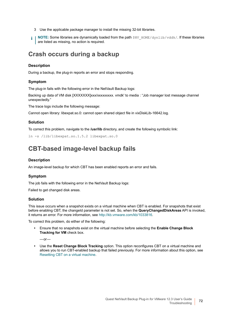- 3 Use the applicable package manager to install the missing 32-bit libraries.
- **NOTE:** Some libraries are dynamically loaded from the path  $\frac{1}{2}NV$  HOME/dynlib/vddk/. If these libraries f. are listed as missing, no action is required.

### <span id="page-71-0"></span>**Crash occurs during a backup**

### **Description**

During a backup, the plug-in reports an error and stops responding.

### **Symptom**

The plug-in fails with the following error in the NetVault Backup logs:

Backing up data of VM disk [XXXXXXX]xxx/xxxxxxxxxx vmdk' to media : "Job manager lost message channel unexpectedly."

The trace logs include the following message:

Cannot open library: libexpat.so.0: cannot open shared object file in vixDiskLib-16642.log.

### **Solution**

To correct this problem, navigate to the **/usr/lib** directory, and create the following symbolic link:

```
ln -s /lib/libexpat.so.1.5.2 libexpat.so.0
```
### <span id="page-71-1"></span>**CBT-based image-level backup fails**

### **Description**

An image-level backup for which CBT has been enabled reports an error and fails.

### **Symptom**

The job fails with the following error in the NetVault Backup logs:

Failed to get changed disk areas.

#### **Solution**

This issue occurs when a snapshot exists on a virtual machine when CBT is enabled. For snapshots that exist before enabling CBT, the changeId parameter is not set. So, when the **QueryChangedDiskAreas** API is invoked, it returns an error. For more information, see [http://kb.vmware.com/kb/1033816.](http://kb.vmware.com/kb/1033816)

To correct this problem, do either of the following:

**•** Ensure that no snapshots exist on the virtual machine before selecting the **Enable Change Block Tracking for VM** check box.

 $-$ or $-$ 

**•** Use the **Reset Change Block Tracking** option. This option reconfigures CBT on a virtual machine and allows you to run CBT-enabled backup that failed previously. For more information about this option, see [Resetting CBT on a virtual machine.](#page-39-0)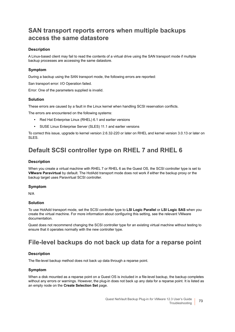## **SAN transport reports errors when multiple backups access the same datastore**

## **Description**

A Linux-based client may fail to read the contents of a virtual drive using the SAN transport mode if multiple backup processes are accessing the same datastore.

### **Symptom**

During a backup using the SAN transport mode, the following errors are reported:

San transport error: I/O Operation failed.

Error: One of the parameters supplied is invalid.

### **Solution**

These errors are caused by a fault in the Linux kernel when handling SCSI reservation conflicts.

The errors are encountered on the following systems:

- **•** Red Hat Enterprise Linux (RHEL) 6.1 and earlier versions
- **•** SUSE Linux Enterprise Server (SLES) 11.1 and earlier versions

To correct this issue, upgrade to kernel version 2.6.32-220 or later on RHEL and kernel version 3.0.13 or later on SLES.

## **Default SCSI controller type on RHEL 7 and RHEL 6**

### **Description**

When you create a virtual machine with RHEL 7 or RHEL 6 as the Guest OS, the SCSI controller type is set to **VMware Paravirtual** by default. The HotAdd transport mode does not work if either the backup proxy or the backup target uses Paravirtual SCSI controller.

### **Symptom**

N/A

### **Solution**

To use HotAdd transport mode, set the SCSI controller type to **LSI Logic Parallel** or **LSI Logic SAS** when you create the virtual machine. For more information about configuring this setting, see the relevant VMware documentation.

Quest does not recommend changing the SCSI controller type for an existing virtual machine without testing to ensure that it operates normally with the new controller type.

## **File-level backups do not back up data for a reparse point**

### **Description**

The file-level backup method does not back up data through a reparse point.

### **Symptom**

When a disk mounted as a reparse point on a Guest OS is included in a file-level backup, the backup completes without any errors or warnings. However, the plug-in does not back up any data for a reparse point. It is listed as an empty node on the **Create Selection Set** page.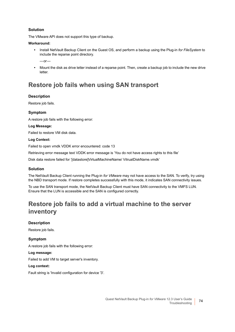The VMware API does not support this type of backup.

### **Workaround:**

- **•** Install NetVault Backup Client on the Guest OS, and perform a backup using the Plug-in *for FileSystem* to include the reparse point directory.
	- $-$ or $-$
- **•** Mount the disk as drive letter instead of a reparse point. Then, create a backup job to include the new drive letter.

## **Restore job fails when using SAN transport**

## **Description**

Restore job fails.

## **Symptom**

A restore job fails with the following error:

### **Log Message:**

Failed to restore VM disk data.

### **Log Context:**

Failed to open vmdk VDDK error encountered: code 13

Retrieving error message text VDDK error message is 'You do not have access rights to this file'

Disk data restore failed for '[datastore]VirtualMachineName/ VitrualDiskName.vmdk'

## **Solution**

The NetVault Backup Client running the Plug-in *for VMware* may not have access to the SAN. To verify, try using the NBD transport mode. If restore completes successfully with this mode, it indicates SAN connectivity issues.

To use the SAN transport mode, the NetVault Backup Client must have SAN connectivity to the VMFS LUN. Ensure that the LUN is accessible and the SAN is configured correctly.

## **Restore job fails to add a virtual machine to the server inventory**

## **Description**

Restore job fails.

## **Symptom**

A restore job fails with the following error:

### **Log message:**

Failed to add VM to target server's inventory.

### **Log context:**

Fault string is 'Invalid configuration for device '3'.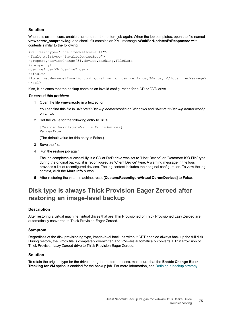When this error occurs, enable trace and run the restore job again. When the job completes, open the file named **vmw***<nnn>***\_soaprecv.log**, and check if it contains an XML message **<WaitForUpdatesExResponse>** with contents similar to the following:

```
<val xsi:type="LocalizedMethodFault">
<fault xsi:type="InvalidDeviceSpec">
<property>deviceChange[3].device.backing.fileName
</property>
<deviceIndex>3</deviceIndex>
\langle/fault>
<localizedMessage>Invalid configuration for device &apos;3&apos;.</localizedMessage>
\langle/val>
```
If so, it indicates that the backup contains an invalid configuration for a CD or DVD drive.

### *To correct this problem:*

1 Open the file **vmware.cfg** in a text editor.

You can find this file in *<NetVault Backup home>*\config on Windows and *<NetVault Backup home>*/config on Linux.

2 Set the value for the following entry to **True**:

```
[Custom:ReconfigureVirtualCdromDevices]
Value=True
```
(The default value for this entry is False.)

- 3 Save the file.
- 4 Run the restore job again.

The job completes successfully. If a CD or DVD drive was set to "Host Device" or "Datastore ISO File" type during the original backup, it is reconfigured as "Client Device" type. A warning message in the logs provides a list of reconfigured devices. The log context includes their original configuration. To view the log context, click the **More Info** button.

5 After restoring the virtual machine, reset **[Custom:ReconfigureVirtual CdromDevices]** to **False**.

## **Disk type is always Thick Provision Eager Zeroed after restoring an image-level backup**

## **Description**

After restoring a virtual machine, virtual drives that are Thin Provisioned or Thick Provisioned Lazy Zeroed are automatically converted to Thick Provision Eager Zeroed.

## **Symptom**

Regardless of the disk provisioning type, image-level backups without CBT enabled always back up the full disk. During restore, the .vmdk file is completely overwritten and VMware automatically converts a Thin Provision or Thick Provision Lazy Zeroed drive to Thick Provision Eager Zeroed.

### **Solution**

To retain the original type for the drive during the restore process, make sure that the **Enable Change Block Tracking for VM** option is enabled for the backup job. For more information, see [Defining a backup strategy.](#page-24-0)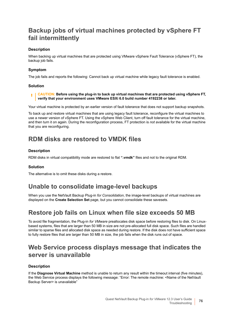## **Backup jobs of virtual machines protected by vSphere FT fail intermittently**

## **Description**

When backing up virtual machines that are protected using VMware vSphere Fault Tolerance (vSphere FT), the backup job fails.

## **Symptom**

The job fails and reports the following: Cannot back up virtual machine while legacy fault tolerance is enabled.

## **Solution**

#### **CAUTION: Before using the plug-in to back up virtual machines that are protected using vSphere FT,**  n **verify that your environment uses VMware ESXi 6.0 build number 4192238 or later.**

Your virtual machine is protected by an earlier version of fault tolerance that does not support backup snapshots.

To back up and restore virtual machines that are using legacy fault tolerance, reconfigure the virtual machines to use a newer version of vSphere FT. Using the vSphere Web Client, turn off fault tolerance for the virtual machine, and then turn it on again. During the reconfiguration process, FT protection is *not* available for the virtual machine that you are reconfiguring.

## **RDM disks are restored to VMDK files**

## **Description**

RDM disks in virtual compatibility mode are restored to flat **".vmdk"** files and not to the original RDM.

## **Solution**

The alternative is to omit these disks during a restore.

## **Unable to consolidate image-level backups**

When you use the NetVault Backup Plug-in *for Consolidation*, the image-level backups of virtual machines are displayed on the **Create Selection Set** page, but you cannot consolidate these savesets.

## **Restore job fails on Linux when file size exceeds 50 MB**

To avoid file fragmentation, the Plug-in *for VMware* preallocates disk space before restoring files to disk. On Linuxbased systems, files that are larger than 50 MB in size are not pre-allocated full disk space. Such files are handled similar to sparse files and allocated disk space as needed during restore. If the disk does not have sufficient space to fully restore files that are larger than 50 MB in size, the job fails when the disk runs out of space.

## **Web Service process displays message that indicates the server is unavailable**

## **Description**

If the **Diagnose Virtual Machine** method is unable to return any result within the timeout interval (five minutes), the Web Service process displays the following message: "Error: The remote machine: <Name of the NetVault Backup Server> is unavailable"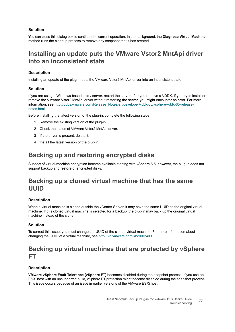You can close this dialog box to continue the current operation. In the background, the **Diagnose Virtual Machine** method runs the cleanup process to remove any snapshot that it has created.

## **Installing an update puts the VMware Vstor2 MntApi driver into an inconsistent state**

## **Description**

Installing an update of the plug-in puts the VMware Vstor2 MntApi driver into an inconsistent state.

## **Solution**

If you are using a Windows-based proxy server, restart the server after you remove a VDDK. If you try to install or remove the VMware Vstor2 MntApi driver without restarting the server, you might encounter an error. For more information, see [http://pubs.vmware.com/Release\\_Notes/en/developer/vddk/65/vsphere-vddk-65-release](http://pubs.vmware.com/Release_Notes/en/developer/vddk/65/vsphere-vddk-65-release-notes.html)[notes.html](http://pubs.vmware.com/Release_Notes/en/developer/vddk/65/vsphere-vddk-65-release-notes.html).

Before installing the latest version of the plug-in, complete the following steps:

- 1 Remove the existing version of the plug-in.
- 2 Check the status of VMware Vstor2 MntApi driver.
- 3 If the driver is present, delete it.
- 4 Install the latest version of the plug-in.

## **Backing up and restoring encrypted disks**

Support of virtual-machine encryption became available starting with vSphere 6.5; however, the plug-in does not support backup and restore of encrypted disks.

## **Backing up a cloned virtual machine that has the same UUID**

## **Description**

When a virtual machine is cloned outside the vCenter Server, it may have the same UUID as the original virtual machine. If this cloned virtual machine is selected for a backup, the plug-in may back up the original virtual machine instead of the clone.

## **Solution**

To correct this issue, you must change the UUID of the cloned virtual machine. For more information about changing the UUID of a virtual machine, see<http://kb.vmware.com/kb/1002403>.

## **Backing up virtual machines that are protected by vSphere FT**

## **Description**

**VMware vSphere Fault Tolerance (vSphere FT)** becomes disabled during the snapshot process. If you use an ESXi host with an unsupported build, vSphere FT protection might become disabled during the snapshot process. This issue occurs because of an issue in earlier versions of the VMware ESXi host.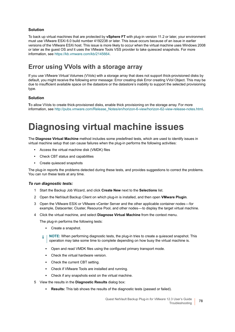To back up virtual machines that are protected by **vSphere FT** with plug-in version 11.2 or later, your environment must use VMware ESXi 6.0 build number 4192238 or later. This issue occurs because of an issue in earlier versions of the VMware ESXi host. This issue is more likely to occur when the virtual machine uses Windows 2008 or later as the guest OS *and* it uses the VMware Tools VSS provider to take quiesced snapshots. For more information, see [https://kb.vmware.com/kb/2145664.](https://kb.vmware.com/kb/2145664)

## **Error using VVols with a storage array**

If you use VMware Virtual Volumes (VVols) with a storage array that does not support thick-provisioned disks by default, you might receive the following error message: Error creating disk Error creating VVol Object. This may be due to insufficient available space on the datastore or the datastore's inability to support the selected provisioning type.

## **Solution**

**T**o allow VVols to create thick-provisioned disks, enable thick provisioning on the storage array. For more information, see [http://pubs.vmware.com/Release\\_Notes/en/horizon-6-view/horizon-62-view-release-notes.html](http://pubs.vmware.com/Release_Notes/en/horizon-6-view/horizon-62-view-release-notes.html).

# **Diagnosing virtual machine issues**

The **Diagnose Virtual Machine** method includes some predefined tests, which are used to identify issues in virtual machine setup that can cause failures when the plug-in performs the following activities:

- **•** Access the virtual machine disk (VMDK) files
- **•** Check CBT status and capabilities
- **•** Create quiesced snapshots

The plug-in reports the problems detected during these tests, and provides suggestions to correct the problems. You can run these tests at any time.

### *To run diagnostic tests:*

- 1 Start the Backup Job Wizard, and click **Create New** next to the **Selections** list.
- 2 Open the NetVault Backup Client on which plug-in is installed, and then open **VMware Plugin**.
- 3 Open the VMware ESXi or VMware vCenter Server and the other applicable container nodes for example, Datacenter, Cluster, Resource Pool, and other nodes — to display the target virtual machine.
- 4 Click the virtual machine, and select **Diagnose Virtual Machine** from the context menu.

The plug-in performs the following tests:

- **▪** Create a snapshot.
- **NOTE:** When performing diagnostic tests, the plug-in tries to create a quiesced snapshot. This f. operation may take some time to complete depending on how busy the virtual machine is.
	- Open and read VMDK files using the configured primary transport mode.
	- Check the virtual hardware version.
	- **Check the current CBT setting.**
	- Check if VMware Tools are installed and running.
	- **▪** Check if any snapshots exist on the virtual machine.
- 5 View the results in the **Diagnostic Results** dialog box:
	- **Results:** This tab shows the results of the diagnostic tests (passed or failed).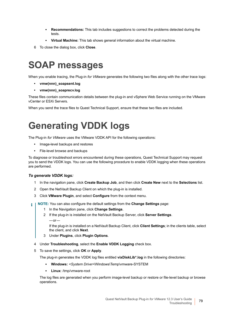- **Recommendations:** This tab includes suggestions to correct the problems detected during the tests.
- **Virtual Machine:** This tab shows general information about the virtual machine.
- 6 To close the dialog box, click **Close**.

# **SOAP messages**

When you enable tracing, the Plug-in *for VMware* generates the following two files along with the other trace logs:

- **vmw(nnn)\_soapsent.log**
- **vmw(nnn)\_soaprecv.log**

These files contain communication details between the plug-in and vSphere Web Service running on the VMware vCenter or ESXi Servers.

When you send the trace files to Quest Technical Support, ensure that these two files are included.

# **Generating VDDK logs**

The Plug-in *for VMware* uses the VMware VDDK API for the following operations:

- **•** Image-level backups and restores
- **•** File-level browse and backups

To diagnose or troubleshoot errors encountered during these operations, Quest Technical Support may request you to send the VDDK logs. You can use the following procedure to enable VDDK logging when these operations are performed.

## *To generate VDDK logs:*

- 1 In the navigation pane, click **Create Backup Job**, and then click **Create New** next to the **Selections** list.
- 2 Open the NetVault Backup Client on which the plug-in is installed.
- 3 Click **VMware Plugin**, and select **Configure** from the context menu.
- **NOTE:** You can also configure the default settings from the **Change Settings** page: ÷
	- 1 In the Navigation pane, click **Change Settings**.
	- 2 If the plug-in is installed on the NetVault Backup Server, click **Server Settings**.
		- $-$ or $-$

If the plug-in is installed on a NetVault Backup Client, click **Client Settings**; in the clients table, select the client, and click **Next**.

- 3 Under **Plugins**, click **Plugin Options**.
- 4 Under **Troubleshooting**, select the **Enable VDDK Logging** check box.
- 5 To save the settings, click **OK** or **Apply**.

The plug-in generates the VDDK log files entitled **vixDiskLib\*.log** in the following directories:

- **Windows:** *<System Drive>*\Windows\Temp\vmware-SYSTEM
- **Linux**: /tmp/vmware-root

The log files are generated when you perform image-level backup or restore or file-level backup or browse operations.